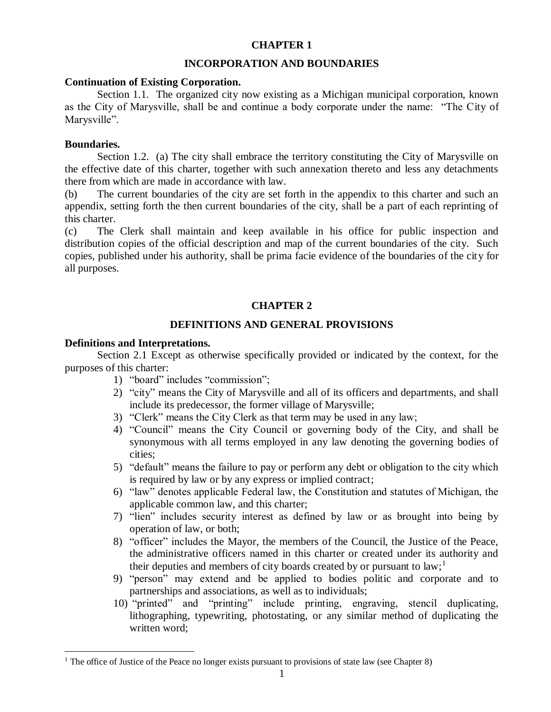# **CHAPTER 1**

## **INCORPORATION AND BOUNDARIES**

### **Continuation of Existing Corporation.**

Section 1.1. The organized city now existing as a Michigan municipal corporation, known as the City of Marysville, shall be and continue a body corporate under the name: "The City of Marysville".

## **Boundaries.**

 $\overline{a}$ 

Section 1.2. (a) The city shall embrace the territory constituting the City of Marysville on the effective date of this charter, together with such annexation thereto and less any detachments there from which are made in accordance with law.

(b) The current boundaries of the city are set forth in the appendix to this charter and such an appendix, setting forth the then current boundaries of the city, shall be a part of each reprinting of this charter.

(c) The Clerk shall maintain and keep available in his office for public inspection and distribution copies of the official description and map of the current boundaries of the city. Such copies, published under his authority, shall be prima facie evidence of the boundaries of the city for all purposes.

# **CHAPTER 2**

## **DEFINITIONS AND GENERAL PROVISIONS**

## **Definitions and Interpretations.**

Section 2.1 Except as otherwise specifically provided or indicated by the context, for the purposes of this charter:

- 1) "board" includes "commission";
- 2) "city" means the City of Marysville and all of its officers and departments, and shall include its predecessor, the former village of Marysville;
- 3) "Clerk" means the City Clerk as that term may be used in any law;
- 4) "Council" means the City Council or governing body of the City, and shall be synonymous with all terms employed in any law denoting the governing bodies of cities;
- 5) "default" means the failure to pay or perform any debt or obligation to the city which is required by law or by any express or implied contract;
- 6) "law" denotes applicable Federal law, the Constitution and statutes of Michigan, the applicable common law, and this charter;
- 7) "lien" includes security interest as defined by law or as brought into being by operation of law, or both;
- 8) "officer" includes the Mayor, the members of the Council, the Justice of the Peace, the administrative officers named in this charter or created under its authority and their deputies and members of city boards created by or pursuant to  $law$ ;<sup>1</sup>
- 9) "person" may extend and be applied to bodies politic and corporate and to partnerships and associations, as well as to individuals;
- 10) "printed" and "printing" include printing, engraving, stencil duplicating, lithographing, typewriting, photostating, or any similar method of duplicating the written word;

<sup>&</sup>lt;sup>1</sup> The office of Justice of the Peace no longer exists pursuant to provisions of state law (see Chapter 8)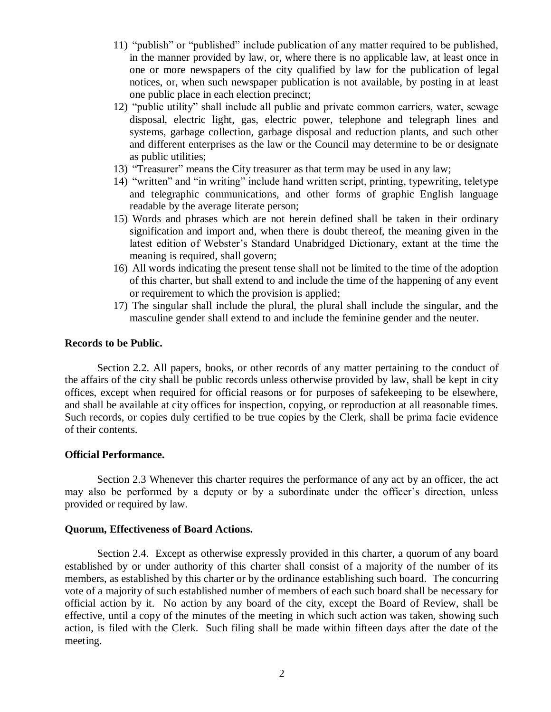- 11) "publish" or "published" include publication of any matter required to be published, in the manner provided by law, or, where there is no applicable law, at least once in one or more newspapers of the city qualified by law for the publication of legal notices, or, when such newspaper publication is not available, by posting in at least one public place in each election precinct;
- 12) "public utility" shall include all public and private common carriers, water, sewage disposal, electric light, gas, electric power, telephone and telegraph lines and systems, garbage collection, garbage disposal and reduction plants, and such other and different enterprises as the law or the Council may determine to be or designate as public utilities;
- 13) "Treasurer" means the City treasurer as that term may be used in any law;
- 14) "written" and "in writing" include hand written script, printing, typewriting, teletype and telegraphic communications, and other forms of graphic English language readable by the average literate person;
- 15) Words and phrases which are not herein defined shall be taken in their ordinary signification and import and, when there is doubt thereof, the meaning given in the latest edition of Webster's Standard Unabridged Dictionary, extant at the time the meaning is required, shall govern;
- 16) All words indicating the present tense shall not be limited to the time of the adoption of this charter, but shall extend to and include the time of the happening of any event or requirement to which the provision is applied;
- 17) The singular shall include the plural, the plural shall include the singular, and the masculine gender shall extend to and include the feminine gender and the neuter.

## **Records to be Public.**

Section 2.2. All papers, books, or other records of any matter pertaining to the conduct of the affairs of the city shall be public records unless otherwise provided by law, shall be kept in city offices, except when required for official reasons or for purposes of safekeeping to be elsewhere, and shall be available at city offices for inspection, copying, or reproduction at all reasonable times. Such records, or copies duly certified to be true copies by the Clerk, shall be prima facie evidence of their contents.

#### **Official Performance.**

Section 2.3 Whenever this charter requires the performance of any act by an officer, the act may also be performed by a deputy or by a subordinate under the officer's direction, unless provided or required by law.

### **Quorum, Effectiveness of Board Actions.**

Section 2.4. Except as otherwise expressly provided in this charter, a quorum of any board established by or under authority of this charter shall consist of a majority of the number of its members, as established by this charter or by the ordinance establishing such board. The concurring vote of a majority of such established number of members of each such board shall be necessary for official action by it. No action by any board of the city, except the Board of Review, shall be effective, until a copy of the minutes of the meeting in which such action was taken, showing such action, is filed with the Clerk. Such filing shall be made within fifteen days after the date of the meeting.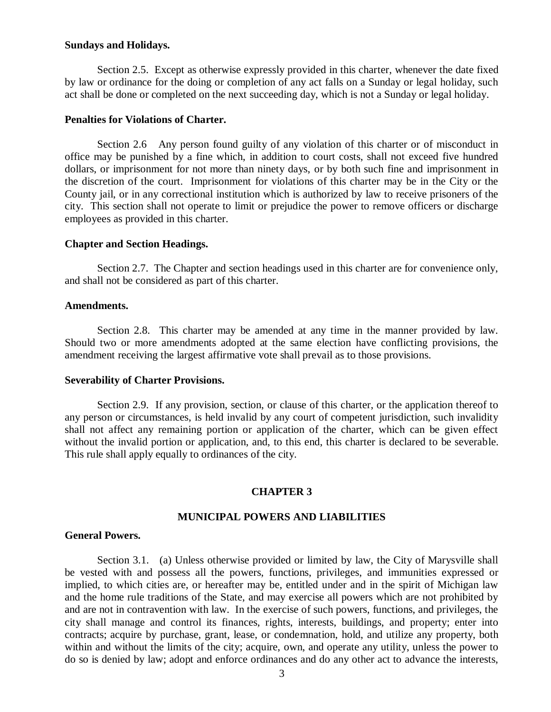### **Sundays and Holidays.**

Section 2.5. Except as otherwise expressly provided in this charter, whenever the date fixed by law or ordinance for the doing or completion of any act falls on a Sunday or legal holiday, such act shall be done or completed on the next succeeding day, which is not a Sunday or legal holiday.

## **Penalties for Violations of Charter.**

Section 2.6 Any person found guilty of any violation of this charter or of misconduct in office may be punished by a fine which, in addition to court costs, shall not exceed five hundred dollars, or imprisonment for not more than ninety days, or by both such fine and imprisonment in the discretion of the court. Imprisonment for violations of this charter may be in the City or the County jail, or in any correctional institution which is authorized by law to receive prisoners of the city. This section shall not operate to limit or prejudice the power to remove officers or discharge employees as provided in this charter.

## **Chapter and Section Headings.**

Section 2.7. The Chapter and section headings used in this charter are for convenience only, and shall not be considered as part of this charter.

### **Amendments.**

Section 2.8. This charter may be amended at any time in the manner provided by law. Should two or more amendments adopted at the same election have conflicting provisions, the amendment receiving the largest affirmative vote shall prevail as to those provisions.

#### **Severability of Charter Provisions.**

Section 2.9. If any provision, section, or clause of this charter, or the application thereof to any person or circumstances, is held invalid by any court of competent jurisdiction, such invalidity shall not affect any remaining portion or application of the charter, which can be given effect without the invalid portion or application, and, to this end, this charter is declared to be severable. This rule shall apply equally to ordinances of the city.

# **CHAPTER 3**

## **MUNICIPAL POWERS AND LIABILITIES**

## **General Powers.**

Section 3.1. (a) Unless otherwise provided or limited by law, the City of Marysville shall be vested with and possess all the powers, functions, privileges, and immunities expressed or implied, to which cities are, or hereafter may be, entitled under and in the spirit of Michigan law and the home rule traditions of the State, and may exercise all powers which are not prohibited by and are not in contravention with law. In the exercise of such powers, functions, and privileges, the city shall manage and control its finances, rights, interests, buildings, and property; enter into contracts; acquire by purchase, grant, lease, or condemnation, hold, and utilize any property, both within and without the limits of the city; acquire, own, and operate any utility, unless the power to do so is denied by law; adopt and enforce ordinances and do any other act to advance the interests,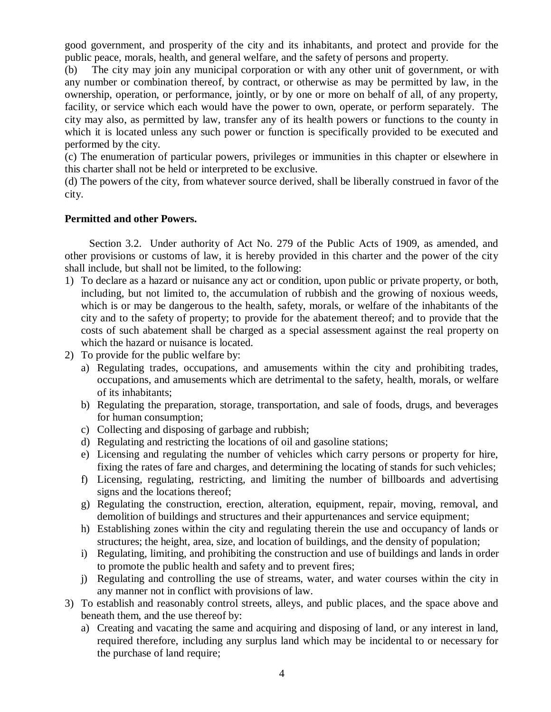good government, and prosperity of the city and its inhabitants, and protect and provide for the public peace, morals, health, and general welfare, and the safety of persons and property.

(b) The city may join any municipal corporation or with any other unit of government, or with any number or combination thereof, by contract, or otherwise as may be permitted by law, in the ownership, operation, or performance, jointly, or by one or more on behalf of all, of any property, facility, or service which each would have the power to own, operate, or perform separately. The city may also, as permitted by law, transfer any of its health powers or functions to the county in which it is located unless any such power or function is specifically provided to be executed and performed by the city.

(c) The enumeration of particular powers, privileges or immunities in this chapter or elsewhere in this charter shall not be held or interpreted to be exclusive.

(d) The powers of the city, from whatever source derived, shall be liberally construed in favor of the city.

# **Permitted and other Powers.**

Section 3.2. Under authority of Act No. 279 of the Public Acts of 1909, as amended, and other provisions or customs of law, it is hereby provided in this charter and the power of the city shall include, but shall not be limited, to the following:

- 1) To declare as a hazard or nuisance any act or condition, upon public or private property, or both, including, but not limited to, the accumulation of rubbish and the growing of noxious weeds, which is or may be dangerous to the health, safety, morals, or welfare of the inhabitants of the city and to the safety of property; to provide for the abatement thereof; and to provide that the costs of such abatement shall be charged as a special assessment against the real property on which the hazard or nuisance is located.
- 2) To provide for the public welfare by:
	- a) Regulating trades, occupations, and amusements within the city and prohibiting trades, occupations, and amusements which are detrimental to the safety, health, morals, or welfare of its inhabitants;
	- b) Regulating the preparation, storage, transportation, and sale of foods, drugs, and beverages for human consumption;
	- c) Collecting and disposing of garbage and rubbish;
	- d) Regulating and restricting the locations of oil and gasoline stations;
	- e) Licensing and regulating the number of vehicles which carry persons or property for hire, fixing the rates of fare and charges, and determining the locating of stands for such vehicles;
	- f) Licensing, regulating, restricting, and limiting the number of billboards and advertising signs and the locations thereof;
	- g) Regulating the construction, erection, alteration, equipment, repair, moving, removal, and demolition of buildings and structures and their appurtenances and service equipment;
	- h) Establishing zones within the city and regulating therein the use and occupancy of lands or structures; the height, area, size, and location of buildings, and the density of population;
	- i) Regulating, limiting, and prohibiting the construction and use of buildings and lands in order to promote the public health and safety and to prevent fires;
	- j) Regulating and controlling the use of streams, water, and water courses within the city in any manner not in conflict with provisions of law.
- 3) To establish and reasonably control streets, alleys, and public places, and the space above and beneath them, and the use thereof by:
	- a) Creating and vacating the same and acquiring and disposing of land, or any interest in land, required therefore, including any surplus land which may be incidental to or necessary for the purchase of land require;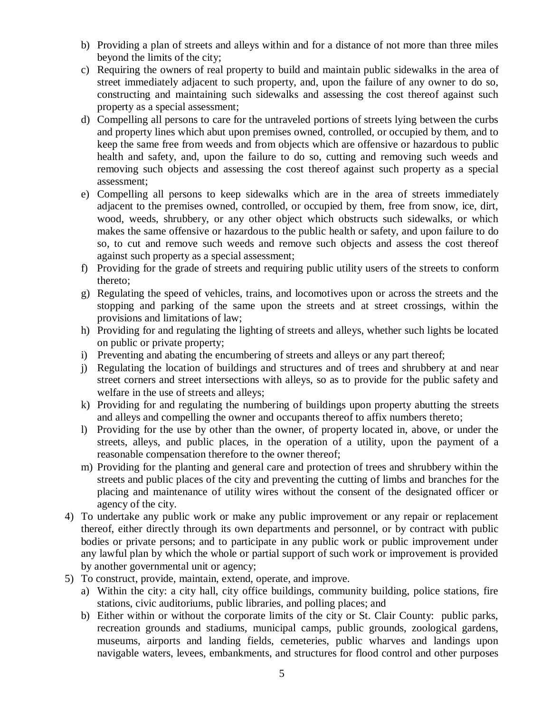- b) Providing a plan of streets and alleys within and for a distance of not more than three miles beyond the limits of the city;
- c) Requiring the owners of real property to build and maintain public sidewalks in the area of street immediately adjacent to such property, and, upon the failure of any owner to do so, constructing and maintaining such sidewalks and assessing the cost thereof against such property as a special assessment;
- d) Compelling all persons to care for the untraveled portions of streets lying between the curbs and property lines which abut upon premises owned, controlled, or occupied by them, and to keep the same free from weeds and from objects which are offensive or hazardous to public health and safety, and, upon the failure to do so, cutting and removing such weeds and removing such objects and assessing the cost thereof against such property as a special assessment;
- e) Compelling all persons to keep sidewalks which are in the area of streets immediately adjacent to the premises owned, controlled, or occupied by them, free from snow, ice, dirt, wood, weeds, shrubbery, or any other object which obstructs such sidewalks, or which makes the same offensive or hazardous to the public health or safety, and upon failure to do so, to cut and remove such weeds and remove such objects and assess the cost thereof against such property as a special assessment;
- f) Providing for the grade of streets and requiring public utility users of the streets to conform thereto;
- g) Regulating the speed of vehicles, trains, and locomotives upon or across the streets and the stopping and parking of the same upon the streets and at street crossings, within the provisions and limitations of law;
- h) Providing for and regulating the lighting of streets and alleys, whether such lights be located on public or private property;
- i) Preventing and abating the encumbering of streets and alleys or any part thereof;
- j) Regulating the location of buildings and structures and of trees and shrubbery at and near street corners and street intersections with alleys, so as to provide for the public safety and welfare in the use of streets and alleys;
- k) Providing for and regulating the numbering of buildings upon property abutting the streets and alleys and compelling the owner and occupants thereof to affix numbers thereto;
- l) Providing for the use by other than the owner, of property located in, above, or under the streets, alleys, and public places, in the operation of a utility, upon the payment of a reasonable compensation therefore to the owner thereof;
- m) Providing for the planting and general care and protection of trees and shrubbery within the streets and public places of the city and preventing the cutting of limbs and branches for the placing and maintenance of utility wires without the consent of the designated officer or agency of the city.
- 4) To undertake any public work or make any public improvement or any repair or replacement thereof, either directly through its own departments and personnel, or by contract with public bodies or private persons; and to participate in any public work or public improvement under any lawful plan by which the whole or partial support of such work or improvement is provided by another governmental unit or agency;
- 5) To construct, provide, maintain, extend, operate, and improve.
	- a) Within the city: a city hall, city office buildings, community building, police stations, fire stations, civic auditoriums, public libraries, and polling places; and
	- b) Either within or without the corporate limits of the city or St. Clair County: public parks, recreation grounds and stadiums, municipal camps, public grounds, zoological gardens, museums, airports and landing fields, cemeteries, public wharves and landings upon navigable waters, levees, embankments, and structures for flood control and other purposes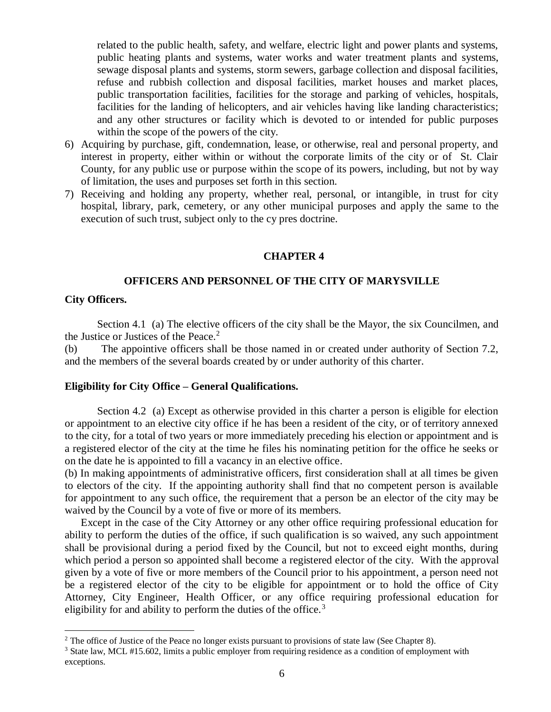related to the public health, safety, and welfare, electric light and power plants and systems, public heating plants and systems, water works and water treatment plants and systems, sewage disposal plants and systems, storm sewers, garbage collection and disposal facilities, refuse and rubbish collection and disposal facilities, market houses and market places, public transportation facilities, facilities for the storage and parking of vehicles, hospitals, facilities for the landing of helicopters, and air vehicles having like landing characteristics; and any other structures or facility which is devoted to or intended for public purposes within the scope of the powers of the city.

- 6) Acquiring by purchase, gift, condemnation, lease, or otherwise, real and personal property, and interest in property, either within or without the corporate limits of the city or of St. Clair County, for any public use or purpose within the scope of its powers, including, but not by way of limitation, the uses and purposes set forth in this section.
- 7) Receiving and holding any property, whether real, personal, or intangible, in trust for city hospital, library, park, cemetery, or any other municipal purposes and apply the same to the execution of such trust, subject only to the cy pres doctrine.

### **CHAPTER 4**

#### **OFFICERS AND PERSONNEL OF THE CITY OF MARYSVILLE**

### **City Officers.**

 $\overline{a}$ 

Section 4.1 (a) The elective officers of the city shall be the Mayor, the six Councilmen, and the Justice or Justices of the Peace.<sup>2</sup>

(b) The appointive officers shall be those named in or created under authority of Section 7.2, and the members of the several boards created by or under authority of this charter.

# **Eligibility for City Office – General Qualifications.**

Section 4.2 (a) Except as otherwise provided in this charter a person is eligible for election or appointment to an elective city office if he has been a resident of the city, or of territory annexed to the city, for a total of two years or more immediately preceding his election or appointment and is a registered elector of the city at the time he files his nominating petition for the office he seeks or on the date he is appointed to fill a vacancy in an elective office.

(b) In making appointments of administrative officers, first consideration shall at all times be given to electors of the city. If the appointing authority shall find that no competent person is available for appointment to any such office, the requirement that a person be an elector of the city may be waived by the Council by a vote of five or more of its members.

 Except in the case of the City Attorney or any other office requiring professional education for ability to perform the duties of the office, if such qualification is so waived, any such appointment shall be provisional during a period fixed by the Council, but not to exceed eight months, during which period a person so appointed shall become a registered elector of the city. With the approval given by a vote of five or more members of the Council prior to his appointment, a person need not be a registered elector of the city to be eligible for appointment or to hold the office of City Attorney, City Engineer, Health Officer, or any office requiring professional education for eligibility for and ability to perform the duties of the office.<sup>3</sup>

 $2$  The office of Justice of the Peace no longer exists pursuant to provisions of state law (See Chapter 8).

<sup>3</sup> State law, MCL #15.602, limits a public employer from requiring residence as a condition of employment with exceptions.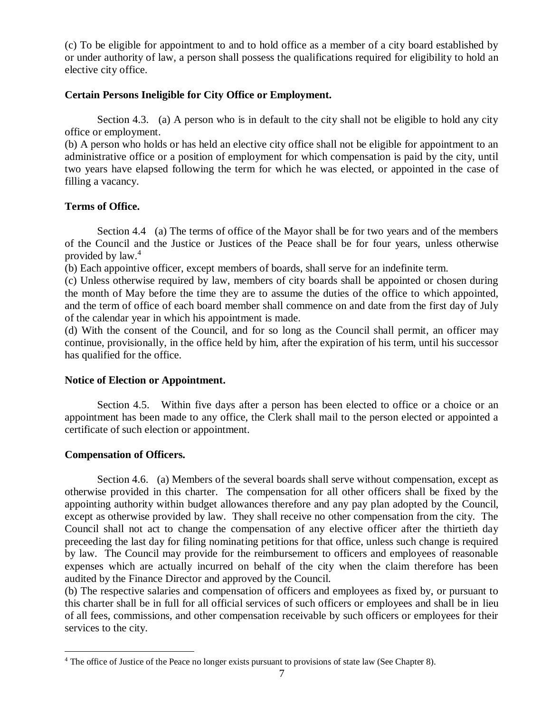(c) To be eligible for appointment to and to hold office as a member of a city board established by or under authority of law, a person shall possess the qualifications required for eligibility to hold an elective city office.

# **Certain Persons Ineligible for City Office or Employment.**

Section 4.3. (a) A person who is in default to the city shall not be eligible to hold any city office or employment.

(b) A person who holds or has held an elective city office shall not be eligible for appointment to an administrative office or a position of employment for which compensation is paid by the city, until two years have elapsed following the term for which he was elected, or appointed in the case of filling a vacancy.

# **Terms of Office.**

Section 4.4 (a) The terms of office of the Mayor shall be for two years and of the members of the Council and the Justice or Justices of the Peace shall be for four years, unless otherwise provided by law.<sup>4</sup>

(b) Each appointive officer, except members of boards, shall serve for an indefinite term.

(c) Unless otherwise required by law, members of city boards shall be appointed or chosen during the month of May before the time they are to assume the duties of the office to which appointed, and the term of office of each board member shall commence on and date from the first day of July of the calendar year in which his appointment is made.

(d) With the consent of the Council, and for so long as the Council shall permit, an officer may continue, provisionally, in the office held by him, after the expiration of his term, until his successor has qualified for the office.

# **Notice of Election or Appointment.**

Section 4.5. Within five days after a person has been elected to office or a choice or an appointment has been made to any office, the Clerk shall mail to the person elected or appointed a certificate of such election or appointment.

# **Compensation of Officers.**

 $\overline{a}$ 

Section 4.6. (a) Members of the several boards shall serve without compensation, except as otherwise provided in this charter. The compensation for all other officers shall be fixed by the appointing authority within budget allowances therefore and any pay plan adopted by the Council, except as otherwise provided by law. They shall receive no other compensation from the city. The Council shall not act to change the compensation of any elective officer after the thirtieth day preceeding the last day for filing nominating petitions for that office, unless such change is required by law. The Council may provide for the reimbursement to officers and employees of reasonable expenses which are actually incurred on behalf of the city when the claim therefore has been audited by the Finance Director and approved by the Council.

(b) The respective salaries and compensation of officers and employees as fixed by, or pursuant to this charter shall be in full for all official services of such officers or employees and shall be in lieu of all fees, commissions, and other compensation receivable by such officers or employees for their services to the city.

<sup>&</sup>lt;sup>4</sup> The office of Justice of the Peace no longer exists pursuant to provisions of state law (See Chapter 8).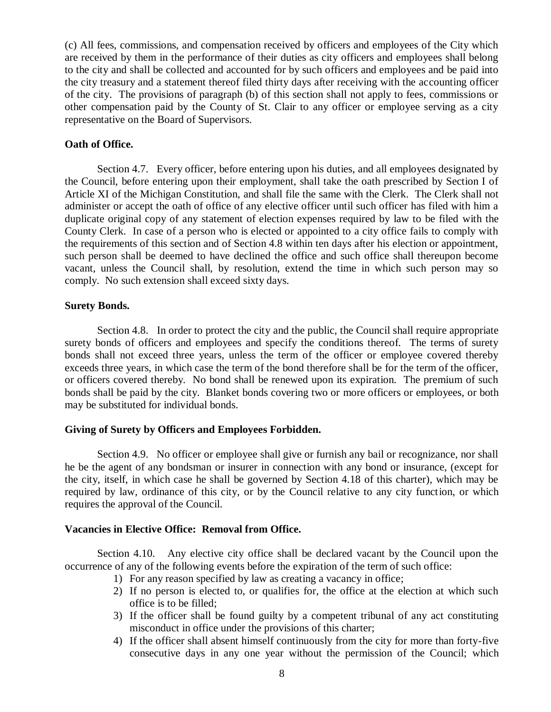(c) All fees, commissions, and compensation received by officers and employees of the City which are received by them in the performance of their duties as city officers and employees shall belong to the city and shall be collected and accounted for by such officers and employees and be paid into the city treasury and a statement thereof filed thirty days after receiving with the accounting officer of the city. The provisions of paragraph (b) of this section shall not apply to fees, commissions or other compensation paid by the County of St. Clair to any officer or employee serving as a city representative on the Board of Supervisors.

# **Oath of Office.**

Section 4.7. Every officer, before entering upon his duties, and all employees designated by the Council, before entering upon their employment, shall take the oath prescribed by Section I of Article XI of the Michigan Constitution, and shall file the same with the Clerk. The Clerk shall not administer or accept the oath of office of any elective officer until such officer has filed with him a duplicate original copy of any statement of election expenses required by law to be filed with the County Clerk. In case of a person who is elected or appointed to a city office fails to comply with the requirements of this section and of Section 4.8 within ten days after his election or appointment, such person shall be deemed to have declined the office and such office shall thereupon become vacant, unless the Council shall, by resolution, extend the time in which such person may so comply. No such extension shall exceed sixty days.

## **Surety Bonds.**

Section 4.8. In order to protect the city and the public, the Council shall require appropriate surety bonds of officers and employees and specify the conditions thereof. The terms of surety bonds shall not exceed three years, unless the term of the officer or employee covered thereby exceeds three years, in which case the term of the bond therefore shall be for the term of the officer, or officers covered thereby. No bond shall be renewed upon its expiration. The premium of such bonds shall be paid by the city. Blanket bonds covering two or more officers or employees, or both may be substituted for individual bonds.

# **Giving of Surety by Officers and Employees Forbidden.**

Section 4.9. No officer or employee shall give or furnish any bail or recognizance, nor shall he be the agent of any bondsman or insurer in connection with any bond or insurance, (except for the city, itself, in which case he shall be governed by Section 4.18 of this charter), which may be required by law, ordinance of this city, or by the Council relative to any city function, or which requires the approval of the Council.

# **Vacancies in Elective Office: Removal from Office.**

Section 4.10. Any elective city office shall be declared vacant by the Council upon the occurrence of any of the following events before the expiration of the term of such office:

- 1) For any reason specified by law as creating a vacancy in office;
- 2) If no person is elected to, or qualifies for, the office at the election at which such office is to be filled;
- 3) If the officer shall be found guilty by a competent tribunal of any act constituting misconduct in office under the provisions of this charter;
- 4) If the officer shall absent himself continuously from the city for more than forty-five consecutive days in any one year without the permission of the Council; which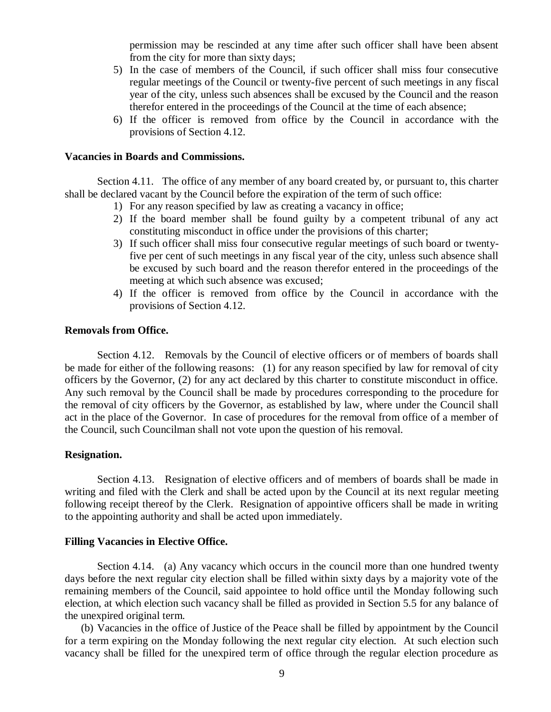permission may be rescinded at any time after such officer shall have been absent from the city for more than sixty days;

- 5) In the case of members of the Council, if such officer shall miss four consecutive regular meetings of the Council or twenty-five percent of such meetings in any fiscal year of the city, unless such absences shall be excused by the Council and the reason therefor entered in the proceedings of the Council at the time of each absence;
- 6) If the officer is removed from office by the Council in accordance with the provisions of Section 4.12.

#### **Vacancies in Boards and Commissions.**

Section 4.11. The office of any member of any board created by, or pursuant to, this charter shall be declared vacant by the Council before the expiration of the term of such office:

- 1) For any reason specified by law as creating a vacancy in office;
- 2) If the board member shall be found guilty by a competent tribunal of any act constituting misconduct in office under the provisions of this charter;
- 3) If such officer shall miss four consecutive regular meetings of such board or twentyfive per cent of such meetings in any fiscal year of the city, unless such absence shall be excused by such board and the reason therefor entered in the proceedings of the meeting at which such absence was excused;
- 4) If the officer is removed from office by the Council in accordance with the provisions of Section 4.12.

### **Removals from Office.**

Section 4.12. Removals by the Council of elective officers or of members of boards shall be made for either of the following reasons: (1) for any reason specified by law for removal of city officers by the Governor, (2) for any act declared by this charter to constitute misconduct in office. Any such removal by the Council shall be made by procedures corresponding to the procedure for the removal of city officers by the Governor, as established by law, where under the Council shall act in the place of the Governor. In case of procedures for the removal from office of a member of the Council, such Councilman shall not vote upon the question of his removal.

## **Resignation.**

Section 4.13. Resignation of elective officers and of members of boards shall be made in writing and filed with the Clerk and shall be acted upon by the Council at its next regular meeting following receipt thereof by the Clerk. Resignation of appointive officers shall be made in writing to the appointing authority and shall be acted upon immediately.

#### **Filling Vacancies in Elective Office.**

Section 4.14. (a) Any vacancy which occurs in the council more than one hundred twenty days before the next regular city election shall be filled within sixty days by a majority vote of the remaining members of the Council, said appointee to hold office until the Monday following such election, at which election such vacancy shall be filled as provided in Section 5.5 for any balance of the unexpired original term.

(b) Vacancies in the office of Justice of the Peace shall be filled by appointment by the Council for a term expiring on the Monday following the next regular city election. At such election such vacancy shall be filled for the unexpired term of office through the regular election procedure as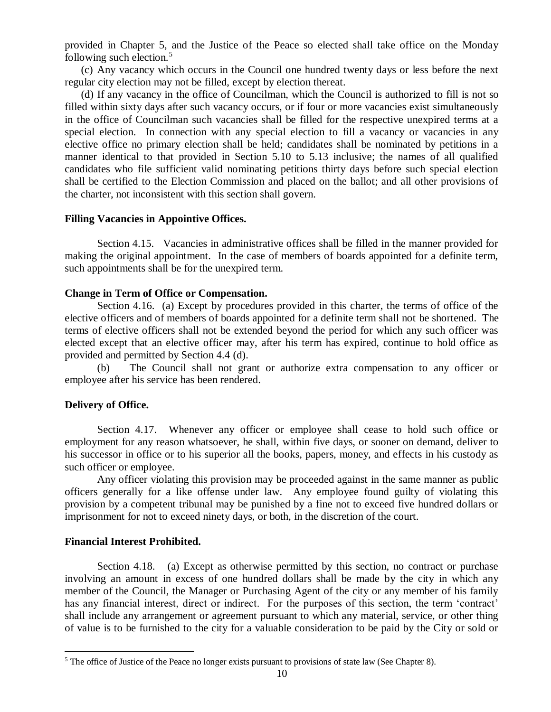provided in Chapter 5, and the Justice of the Peace so elected shall take office on the Monday following such election. $5$ 

(c) Any vacancy which occurs in the Council one hundred twenty days or less before the next regular city election may not be filled, except by election thereat.

(d) If any vacancy in the office of Councilman, which the Council is authorized to fill is not so filled within sixty days after such vacancy occurs, or if four or more vacancies exist simultaneously in the office of Councilman such vacancies shall be filled for the respective unexpired terms at a special election. In connection with any special election to fill a vacancy or vacancies in any elective office no primary election shall be held; candidates shall be nominated by petitions in a manner identical to that provided in Section 5.10 to 5.13 inclusive; the names of all qualified candidates who file sufficient valid nominating petitions thirty days before such special election shall be certified to the Election Commission and placed on the ballot; and all other provisions of the charter, not inconsistent with this section shall govern.

## **Filling Vacancies in Appointive Offices.**

Section 4.15. Vacancies in administrative offices shall be filled in the manner provided for making the original appointment. In the case of members of boards appointed for a definite term, such appointments shall be for the unexpired term.

## **Change in Term of Office or Compensation.**

Section 4.16. (a) Except by procedures provided in this charter, the terms of office of the elective officers and of members of boards appointed for a definite term shall not be shortened. The terms of elective officers shall not be extended beyond the period for which any such officer was elected except that an elective officer may, after his term has expired, continue to hold office as provided and permitted by Section 4.4 (d).

(b) The Council shall not grant or authorize extra compensation to any officer or employee after his service has been rendered.

# **Delivery of Office.**

Section 4.17. Whenever any officer or employee shall cease to hold such office or employment for any reason whatsoever, he shall, within five days, or sooner on demand, deliver to his successor in office or to his superior all the books, papers, money, and effects in his custody as such officer or employee.

Any officer violating this provision may be proceeded against in the same manner as public officers generally for a like offense under law. Any employee found guilty of violating this provision by a competent tribunal may be punished by a fine not to exceed five hundred dollars or imprisonment for not to exceed ninety days, or both, in the discretion of the court.

# **Financial Interest Prohibited.**

 $\overline{a}$ 

Section 4.18. (a) Except as otherwise permitted by this section, no contract or purchase involving an amount in excess of one hundred dollars shall be made by the city in which any member of the Council, the Manager or Purchasing Agent of the city or any member of his family has any financial interest, direct or indirect. For the purposes of this section, the term 'contract' shall include any arrangement or agreement pursuant to which any material, service, or other thing of value is to be furnished to the city for a valuable consideration to be paid by the City or sold or

<sup>&</sup>lt;sup>5</sup> The office of Justice of the Peace no longer exists pursuant to provisions of state law (See Chapter 8).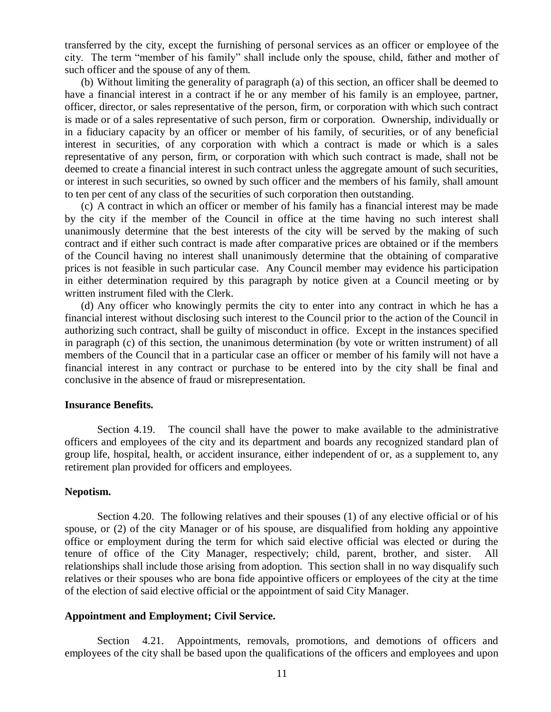transferred by the city, except the furnishing of personal services as an officer or employee of the city. The term "member of his family" shall include only the spouse, child, father and mother of such officer and the spouse of any of them.

(b) Without limiting the generality of paragraph (a) of this section, an officer shall be deemed to have a financial interest in a contract if he or any member of his family is an employee, partner, officer, director, or sales representative of the person, firm, or corporation with which such contract is made or of a sales representative of such person, firm or corporation. Ownership, individually or in a fiduciary capacity by an officer or member of his family, of securities, or of any beneficial interest in securities, of any corporation with which a contract is made or which is a sales representative of any person, firm, or corporation with which such contract is made, shall not be deemed to create a financial interest in such contract unless the aggregate amount of such securities, or interest in such securities, so owned by such officer and the members of his family, shall amount to ten per cent of any class of the securities of such corporation then outstanding.

(c) A contract in which an officer or member of his family has a financial interest may be made by the city if the member of the Council in office at the time having no such interest shall unanimously determine that the best interests of the city will be served by the making of such contract and if either such contract is made after comparative prices are obtained or if the members of the Council having no interest shall unanimously determine that the obtaining of comparative prices is not feasible in such particular case. Any Council member may evidence his participation in either determination required by this paragraph by notice given at a Council meeting or by written instrument filed with the Clerk.

(d) Any officer who knowingly permits the city to enter into any contract in which he has a financial interest without disclosing such interest to the Council prior to the action of the Council in authorizing such contract, shall be guilty of misconduct in office. Except in the instances specified in paragraph (c) of this section, the unanimous determination (by vote or written instrument) of all members of the Council that in a particular case an officer or member of his family will not have a financial interest in any contract or purchase to be entered into by the city shall be final and conclusive in the absence of fraud or misrepresentation.

## **Insurance Benefits.**

Section 4.19. The council shall have the power to make available to the administrative officers and employees of the city and its department and boards any recognized standard plan of group life, hospital, health, or accident insurance, either independent of or, as a supplement to, any retirement plan provided for officers and employees.

## **Nepotism.**

Section 4.20. The following relatives and their spouses (1) of any elective official or of his spouse, or (2) of the city Manager or of his spouse, are disqualified from holding any appointive office or employment during the term for which said elective official was elected or during the tenure of office of the City Manager, respectively; child, parent, brother, and sister. All relationships shall include those arising from adoption. This section shall in no way disqualify such relatives or their spouses who are bona fide appointive officers or employees of the city at the time of the election of said elective official or the appointment of said City Manager.

#### **Appointment and Employment; Civil Service.**

Section 4.21. Appointments, removals, promotions, and demotions of officers and employees of the city shall be based upon the qualifications of the officers and employees and upon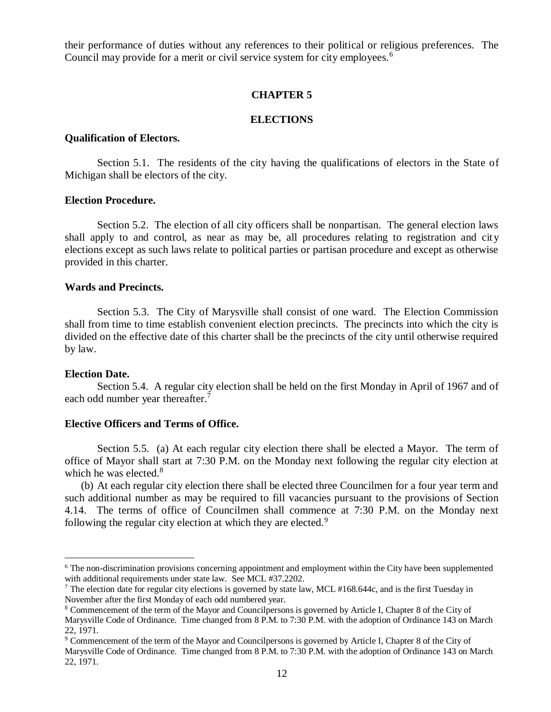their performance of duties without any references to their political or religious preferences. The Council may provide for a merit or civil service system for city employees.<sup>6</sup>

## **CHAPTER 5**

# **ELECTIONS**

## **Qualification of Electors.**

Section 5.1. The residents of the city having the qualifications of electors in the State of Michigan shall be electors of the city.

### **Election Procedure.**

Section 5.2. The election of all city officers shall be nonpartisan. The general election laws shall apply to and control, as near as may be, all procedures relating to registration and city elections except as such laws relate to political parties or partisan procedure and except as otherwise provided in this charter.

### **Wards and Precincts.**

Section 5.3. The City of Marysville shall consist of one ward. The Election Commission shall from time to time establish convenient election precincts. The precincts into which the city is divided on the effective date of this charter shall be the precincts of the city until otherwise required by law.

#### **Election Date.**

 $\overline{a}$ 

Section 5.4. A regular city election shall be held on the first Monday in April of 1967 and of each odd number year thereafter.<sup>7</sup>

#### **Elective Officers and Terms of Office.**

Section 5.5. (a) At each regular city election there shall be elected a Mayor. The term of office of Mayor shall start at 7:30 P.M. on the Monday next following the regular city election at which he was elected.<sup>8</sup>

(b) At each regular city election there shall be elected three Councilmen for a four year term and such additional number as may be required to fill vacancies pursuant to the provisions of Section 4.14. The terms of office of Councilmen shall commence at 7:30 P.M. on the Monday next following the regular city election at which they are elected.<sup>9</sup>

<sup>&</sup>lt;sup>6</sup> The non-discrimination provisions concerning appointment and employment within the City have been supplemented with additional requirements under state law. See MCL #37.2202.

<sup>&</sup>lt;sup>7</sup> The election date for regular city elections is governed by state law, MCL #168.644c, and is the first Tuesday in November after the first Monday of each odd numbered year.

<sup>8</sup> Commencement of the term of the Mayor and Councilpersons is governed by Article I, Chapter 8 of the City of Marysville Code of Ordinance. Time changed from 8 P.M. to 7:30 P.M. with the adoption of Ordinance 143 on March 22, 1971.

<sup>&</sup>lt;sup>9</sup> Commencement of the term of the Mayor and Councilpersons is governed by Article I, Chapter 8 of the City of Marysville Code of Ordinance. Time changed from 8 P.M. to 7:30 P.M. with the adoption of Ordinance 143 on March 22, 1971.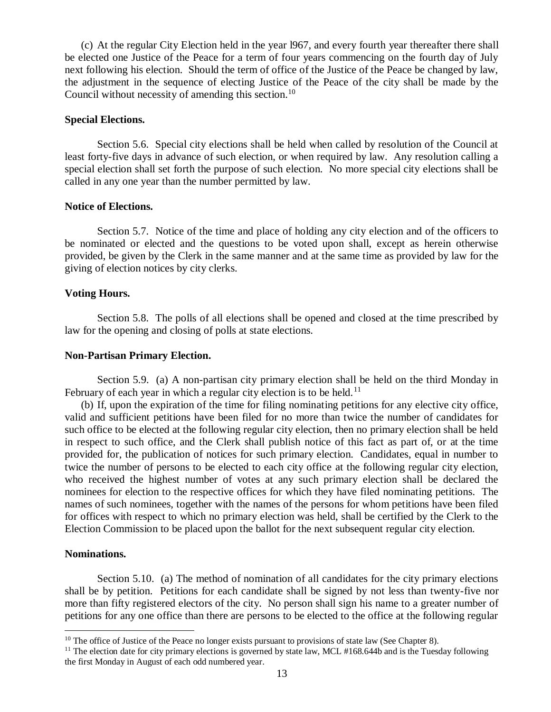(c) At the regular City Election held in the year l967, and every fourth year thereafter there shall be elected one Justice of the Peace for a term of four years commencing on the fourth day of July next following his election. Should the term of office of the Justice of the Peace be changed by law, the adjustment in the sequence of electing Justice of the Peace of the city shall be made by the Council without necessity of amending this section.<sup>10</sup>

### **Special Elections.**

Section 5.6. Special city elections shall be held when called by resolution of the Council at least forty-five days in advance of such election, or when required by law. Any resolution calling a special election shall set forth the purpose of such election. No more special city elections shall be called in any one year than the number permitted by law.

### **Notice of Elections.**

Section 5.7. Notice of the time and place of holding any city election and of the officers to be nominated or elected and the questions to be voted upon shall, except as herein otherwise provided, be given by the Clerk in the same manner and at the same time as provided by law for the giving of election notices by city clerks.

## **Voting Hours.**

Section 5.8. The polls of all elections shall be opened and closed at the time prescribed by law for the opening and closing of polls at state elections.

### **Non-Partisan Primary Election.**

Section 5.9. (a) A non-partisan city primary election shall be held on the third Monday in February of each year in which a regular city election is to be held.<sup>11</sup>

(b) If, upon the expiration of the time for filing nominating petitions for any elective city office, valid and sufficient petitions have been filed for no more than twice the number of candidates for such office to be elected at the following regular city election, then no primary election shall be held in respect to such office, and the Clerk shall publish notice of this fact as part of, or at the time provided for, the publication of notices for such primary election. Candidates, equal in number to twice the number of persons to be elected to each city office at the following regular city election, who received the highest number of votes at any such primary election shall be declared the nominees for election to the respective offices for which they have filed nominating petitions. The names of such nominees, together with the names of the persons for whom petitions have been filed for offices with respect to which no primary election was held, shall be certified by the Clerk to the Election Commission to be placed upon the ballot for the next subsequent regular city election.

## **Nominations.**

 $\overline{a}$ 

Section 5.10. (a) The method of nomination of all candidates for the city primary elections shall be by petition. Petitions for each candidate shall be signed by not less than twenty-five nor more than fifty registered electors of the city. No person shall sign his name to a greater number of petitions for any one office than there are persons to be elected to the office at the following regular

 $10$  The office of Justice of the Peace no longer exists pursuant to provisions of state law (See Chapter 8).

 $11$  The election date for city primary elections is governed by state law, MCL #168.644b and is the Tuesday following the first Monday in August of each odd numbered year.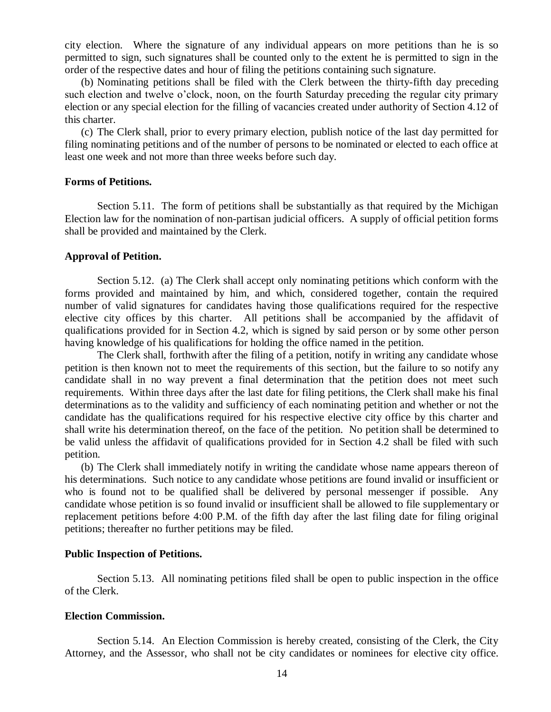city election. Where the signature of any individual appears on more petitions than he is so permitted to sign, such signatures shall be counted only to the extent he is permitted to sign in the order of the respective dates and hour of filing the petitions containing such signature.

(b) Nominating petitions shall be filed with the Clerk between the thirty-fifth day preceding such election and twelve o'clock, noon, on the fourth Saturday preceding the regular city primary election or any special election for the filling of vacancies created under authority of Section 4.12 of this charter.

(c) The Clerk shall, prior to every primary election, publish notice of the last day permitted for filing nominating petitions and of the number of persons to be nominated or elected to each office at least one week and not more than three weeks before such day.

### **Forms of Petitions.**

Section 5.11. The form of petitions shall be substantially as that required by the Michigan Election law for the nomination of non-partisan judicial officers. A supply of official petition forms shall be provided and maintained by the Clerk.

#### **Approval of Petition.**

Section 5.12. (a) The Clerk shall accept only nominating petitions which conform with the forms provided and maintained by him, and which, considered together, contain the required number of valid signatures for candidates having those qualifications required for the respective elective city offices by this charter. All petitions shall be accompanied by the affidavit of qualifications provided for in Section 4.2, which is signed by said person or by some other person having knowledge of his qualifications for holding the office named in the petition.

The Clerk shall, forthwith after the filing of a petition, notify in writing any candidate whose petition is then known not to meet the requirements of this section, but the failure to so notify any candidate shall in no way prevent a final determination that the petition does not meet such requirements. Within three days after the last date for filing petitions, the Clerk shall make his final determinations as to the validity and sufficiency of each nominating petition and whether or not the candidate has the qualifications required for his respective elective city office by this charter and shall write his determination thereof, on the face of the petition. No petition shall be determined to be valid unless the affidavit of qualifications provided for in Section 4.2 shall be filed with such petition.

(b) The Clerk shall immediately notify in writing the candidate whose name appears thereon of his determinations. Such notice to any candidate whose petitions are found invalid or insufficient or who is found not to be qualified shall be delivered by personal messenger if possible. Any candidate whose petition is so found invalid or insufficient shall be allowed to file supplementary or replacement petitions before 4:00 P.M. of the fifth day after the last filing date for filing original petitions; thereafter no further petitions may be filed.

#### **Public Inspection of Petitions.**

Section 5.13. All nominating petitions filed shall be open to public inspection in the office of the Clerk.

#### **Election Commission.**

Section 5.14. An Election Commission is hereby created, consisting of the Clerk, the City Attorney, and the Assessor, who shall not be city candidates or nominees for elective city office.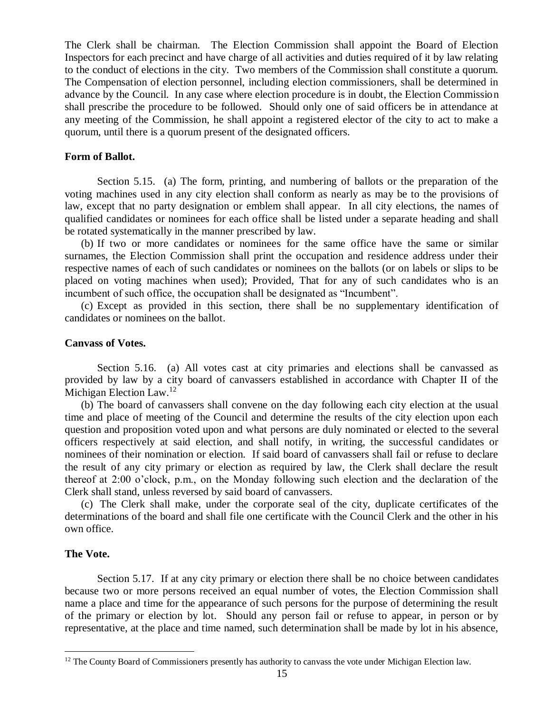The Clerk shall be chairman. The Election Commission shall appoint the Board of Election Inspectors for each precinct and have charge of all activities and duties required of it by law relating to the conduct of elections in the city. Two members of the Commission shall constitute a quorum. The Compensation of election personnel, including election commissioners, shall be determined in advance by the Council. In any case where election procedure is in doubt, the Election Commission shall prescribe the procedure to be followed. Should only one of said officers be in attendance at any meeting of the Commission, he shall appoint a registered elector of the city to act to make a quorum, until there is a quorum present of the designated officers.

#### **Form of Ballot.**

Section 5.15. (a) The form, printing, and numbering of ballots or the preparation of the voting machines used in any city election shall conform as nearly as may be to the provisions of law, except that no party designation or emblem shall appear. In all city elections, the names of qualified candidates or nominees for each office shall be listed under a separate heading and shall be rotated systematically in the manner prescribed by law.

(b) If two or more candidates or nominees for the same office have the same or similar surnames, the Election Commission shall print the occupation and residence address under their respective names of each of such candidates or nominees on the ballots (or on labels or slips to be placed on voting machines when used); Provided, That for any of such candidates who is an incumbent of such office, the occupation shall be designated as "Incumbent".

(c) Except as provided in this section, there shall be no supplementary identification of candidates or nominees on the ballot.

### **Canvass of Votes.**

Section 5.16. (a) All votes cast at city primaries and elections shall be canvassed as provided by law by a city board of canvassers established in accordance with Chapter II of the Michigan Election Law.<sup>12</sup>

(b) The board of canvassers shall convene on the day following each city election at the usual time and place of meeting of the Council and determine the results of the city election upon each question and proposition voted upon and what persons are duly nominated or elected to the several officers respectively at said election, and shall notify, in writing, the successful candidates or nominees of their nomination or election. If said board of canvassers shall fail or refuse to declare the result of any city primary or election as required by law, the Clerk shall declare the result thereof at 2:00 o'clock, p.m., on the Monday following such election and the declaration of the Clerk shall stand, unless reversed by said board of canvassers.

(c) The Clerk shall make, under the corporate seal of the city, duplicate certificates of the determinations of the board and shall file one certificate with the Council Clerk and the other in his own office.

## **The Vote.**

 $\overline{a}$ 

Section 5.17. If at any city primary or election there shall be no choice between candidates because two or more persons received an equal number of votes, the Election Commission shall name a place and time for the appearance of such persons for the purpose of determining the result of the primary or election by lot. Should any person fail or refuse to appear, in person or by representative, at the place and time named, such determination shall be made by lot in his absence,

<sup>&</sup>lt;sup>12</sup> The County Board of Commissioners presently has authority to canvass the vote under Michigan Election law.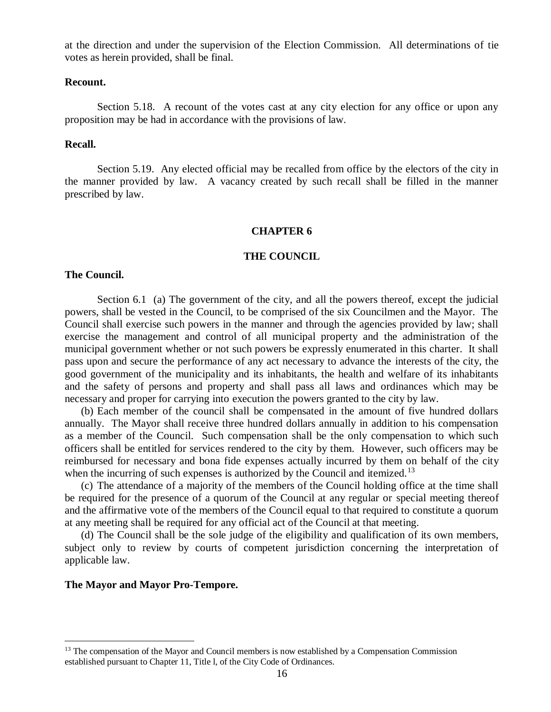at the direction and under the supervision of the Election Commission. All determinations of tie votes as herein provided, shall be final.

### **Recount.**

Section 5.18. A recount of the votes cast at any city election for any office or upon any proposition may be had in accordance with the provisions of law.

## **Recall.**

Section 5.19. Any elected official may be recalled from office by the electors of the city in the manner provided by law. A vacancy created by such recall shall be filled in the manner prescribed by law.

#### **CHAPTER 6**

#### **THE COUNCIL**

#### **The Council.**

Section 6.1 (a) The government of the city, and all the powers thereof, except the judicial powers, shall be vested in the Council, to be comprised of the six Councilmen and the Mayor. The Council shall exercise such powers in the manner and through the agencies provided by law; shall exercise the management and control of all municipal property and the administration of the municipal government whether or not such powers be expressly enumerated in this charter. It shall pass upon and secure the performance of any act necessary to advance the interests of the city, the good government of the municipality and its inhabitants, the health and welfare of its inhabitants and the safety of persons and property and shall pass all laws and ordinances which may be necessary and proper for carrying into execution the powers granted to the city by law.

(b) Each member of the council shall be compensated in the amount of five hundred dollars annually. The Mayor shall receive three hundred dollars annually in addition to his compensation as a member of the Council. Such compensation shall be the only compensation to which such officers shall be entitled for services rendered to the city by them. However, such officers may be reimbursed for necessary and bona fide expenses actually incurred by them on behalf of the city when the incurring of such expenses is authorized by the Council and itemized.<sup>13</sup>

(c) The attendance of a majority of the members of the Council holding office at the time shall be required for the presence of a quorum of the Council at any regular or special meeting thereof and the affirmative vote of the members of the Council equal to that required to constitute a quorum at any meeting shall be required for any official act of the Council at that meeting.

(d) The Council shall be the sole judge of the eligibility and qualification of its own members, subject only to review by courts of competent jurisdiction concerning the interpretation of applicable law.

### **The Mayor and Mayor Pro-Tempore.**

 $\overline{a}$ 

<sup>&</sup>lt;sup>13</sup> The compensation of the Mayor and Council members is now established by a Compensation Commission established pursuant to Chapter 11, Title l, of the City Code of Ordinances.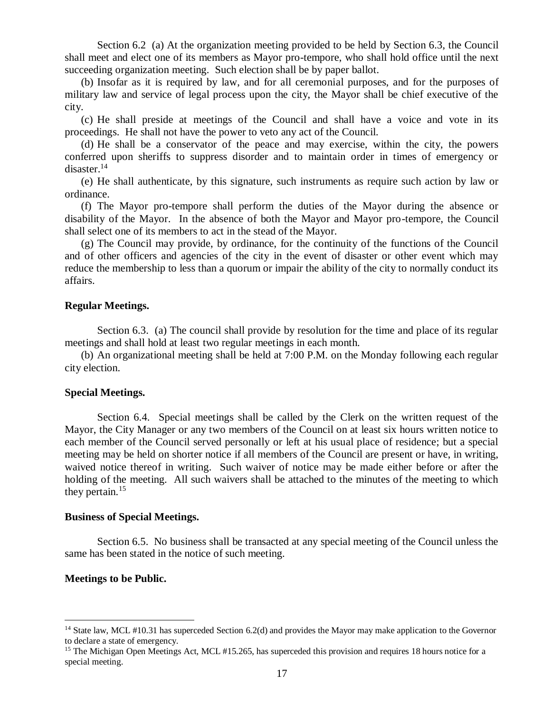Section 6.2 (a) At the organization meeting provided to be held by Section 6.3, the Council shall meet and elect one of its members as Mayor pro-tempore, who shall hold office until the next succeeding organization meeting. Such election shall be by paper ballot.

(b) Insofar as it is required by law, and for all ceremonial purposes, and for the purposes of military law and service of legal process upon the city, the Mayor shall be chief executive of the city.

(c) He shall preside at meetings of the Council and shall have a voice and vote in its proceedings. He shall not have the power to veto any act of the Council.

(d) He shall be a conservator of the peace and may exercise, within the city, the powers conferred upon sheriffs to suppress disorder and to maintain order in times of emergency or disaster.<sup>14</sup>

(e) He shall authenticate, by this signature, such instruments as require such action by law or ordinance.

(f) The Mayor pro-tempore shall perform the duties of the Mayor during the absence or disability of the Mayor. In the absence of both the Mayor and Mayor pro-tempore, the Council shall select one of its members to act in the stead of the Mayor.

(g) The Council may provide, by ordinance, for the continuity of the functions of the Council and of other officers and agencies of the city in the event of disaster or other event which may reduce the membership to less than a quorum or impair the ability of the city to normally conduct its affairs.

## **Regular Meetings.**

Section 6.3. (a) The council shall provide by resolution for the time and place of its regular meetings and shall hold at least two regular meetings in each month.

(b) An organizational meeting shall be held at 7:00 P.M. on the Monday following each regular city election.

## **Special Meetings.**

Section 6.4. Special meetings shall be called by the Clerk on the written request of the Mayor, the City Manager or any two members of the Council on at least six hours written notice to each member of the Council served personally or left at his usual place of residence; but a special meeting may be held on shorter notice if all members of the Council are present or have, in writing, waived notice thereof in writing. Such waiver of notice may be made either before or after the holding of the meeting. All such waivers shall be attached to the minutes of the meeting to which they pertain.<sup>15</sup>

## **Business of Special Meetings.**

Section 6.5. No business shall be transacted at any special meeting of the Council unless the same has been stated in the notice of such meeting.

## **Meetings to be Public.**

 $\overline{a}$ 

<sup>&</sup>lt;sup>14</sup> State law, MCL #10.31 has superceded Section 6.2(d) and provides the Mayor may make application to the Governor to declare a state of emergency.

<sup>&</sup>lt;sup>15</sup> The Michigan Open Meetings Act, MCL #15.265, has superceded this provision and requires 18 hours notice for a special meeting.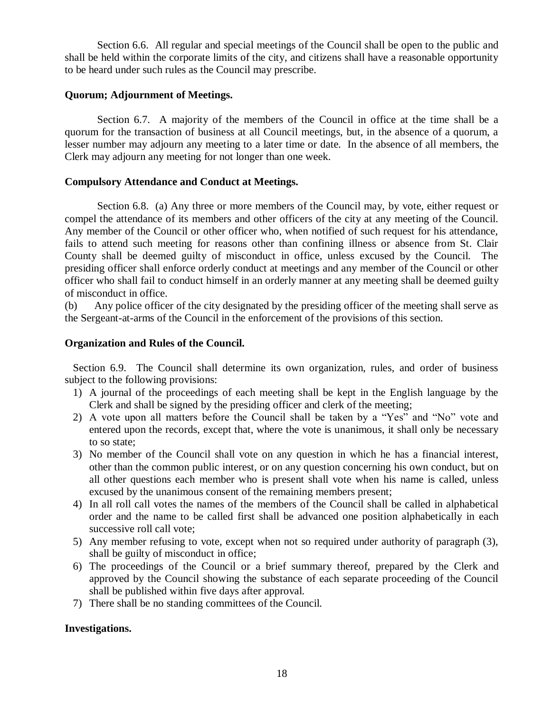Section 6.6. All regular and special meetings of the Council shall be open to the public and shall be held within the corporate limits of the city, and citizens shall have a reasonable opportunity to be heard under such rules as the Council may prescribe.

# **Quorum; Adjournment of Meetings.**

Section 6.7. A majority of the members of the Council in office at the time shall be a quorum for the transaction of business at all Council meetings, but, in the absence of a quorum, a lesser number may adjourn any meeting to a later time or date. In the absence of all members, the Clerk may adjourn any meeting for not longer than one week.

## **Compulsory Attendance and Conduct at Meetings.**

Section 6.8. (a) Any three or more members of the Council may, by vote, either request or compel the attendance of its members and other officers of the city at any meeting of the Council. Any member of the Council or other officer who, when notified of such request for his attendance, fails to attend such meeting for reasons other than confining illness or absence from St. Clair County shall be deemed guilty of misconduct in office, unless excused by the Council. The presiding officer shall enforce orderly conduct at meetings and any member of the Council or other officer who shall fail to conduct himself in an orderly manner at any meeting shall be deemed guilty of misconduct in office.

(b) Any police officer of the city designated by the presiding officer of the meeting shall serve as the Sergeant-at-arms of the Council in the enforcement of the provisions of this section.

## **Organization and Rules of the Council.**

Section 6.9. The Council shall determine its own organization, rules, and order of business subject to the following provisions:

- 1) A journal of the proceedings of each meeting shall be kept in the English language by the Clerk and shall be signed by the presiding officer and clerk of the meeting;
- 2) A vote upon all matters before the Council shall be taken by a "Yes" and "No" vote and entered upon the records, except that, where the vote is unanimous, it shall only be necessary to so state;
- 3) No member of the Council shall vote on any question in which he has a financial interest, other than the common public interest, or on any question concerning his own conduct, but on all other questions each member who is present shall vote when his name is called, unless excused by the unanimous consent of the remaining members present;
- 4) In all roll call votes the names of the members of the Council shall be called in alphabetical order and the name to be called first shall be advanced one position alphabetically in each successive roll call vote;
- 5) Any member refusing to vote, except when not so required under authority of paragraph (3), shall be guilty of misconduct in office;
- 6) The proceedings of the Council or a brief summary thereof, prepared by the Clerk and approved by the Council showing the substance of each separate proceeding of the Council shall be published within five days after approval.
- 7) There shall be no standing committees of the Council.

# **Investigations.**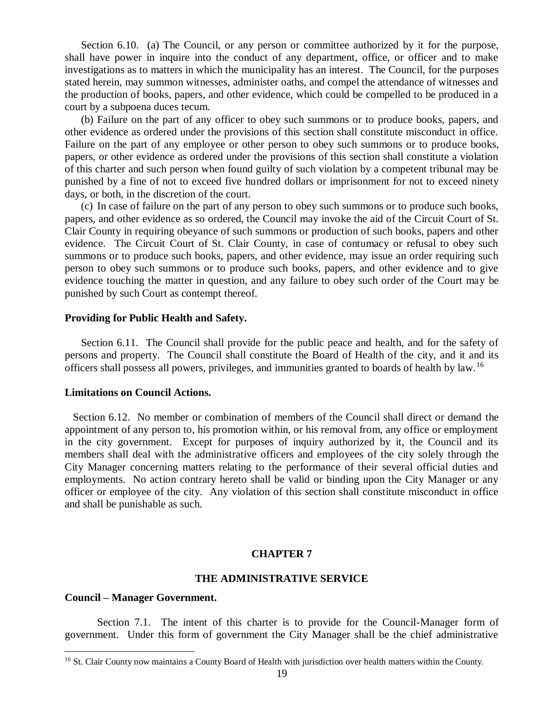Section 6.10. (a) The Council, or any person or committee authorized by it for the purpose, shall have power in inquire into the conduct of any department, office, or officer and to make investigations as to matters in which the municipality has an interest. The Council, for the purposes stated herein, may summon witnesses, administer oaths, and compel the attendance of witnesses and the production of books, papers, and other evidence, which could be compelled to be produced in a court by a subpoena duces tecum.

(b) Failure on the part of any officer to obey such summons or to produce books, papers, and other evidence as ordered under the provisions of this section shall constitute misconduct in office. Failure on the part of any employee or other person to obey such summons or to produce books, papers, or other evidence as ordered under the provisions of this section shall constitute a violation of this charter and such person when found guilty of such violation by a competent tribunal may be punished by a fine of not to exceed five hundred dollars or imprisonment for not to exceed ninety days, or both, in the discretion of the court.

(c) In case of failure on the part of any person to obey such summons or to produce such books, papers, and other evidence as so ordered, the Council may invoke the aid of the Circuit Court of St. Clair County in requiring obeyance of such summons or production of such books, papers and other evidence. The Circuit Court of St. Clair County, in case of contumacy or refusal to obey such summons or to produce such books, papers, and other evidence, may issue an order requiring such person to obey such summons or to produce such books, papers, and other evidence and to give evidence touching the matter in question, and any failure to obey such order of the Court may be punished by such Court as contempt thereof.

### **Providing for Public Health and Safety.**

Section 6.11. The Council shall provide for the public peace and health, and for the safety of persons and property. The Council shall constitute the Board of Health of the city, and it and its officers shall possess all powers, privileges, and immunities granted to boards of health by law.<sup>16</sup>

#### **Limitations on Council Actions.**

Section 6.12. No member or combination of members of the Council shall direct or demand the appointment of any person to, his promotion within, or his removal from, any office or employment in the city government. Except for purposes of inquiry authorized by it, the Council and its members shall deal with the administrative officers and employees of the city solely through the City Manager concerning matters relating to the performance of their several official duties and employments. No action contrary hereto shall be valid or binding upon the City Manager or any officer or employee of the city. Any violation of this section shall constitute misconduct in office and shall be punishable as such.

### **CHAPTER 7**

## **THE ADMINISTRATIVE SERVICE**

#### **Council – Manager Government.**

 $\overline{a}$ 

Section 7.1. The intent of this charter is to provide for the Council-Manager form of government. Under this form of government the City Manager shall be the chief administrative

<sup>&</sup>lt;sup>16</sup> St. Clair County now maintains a County Board of Health with jurisdiction over health matters within the County.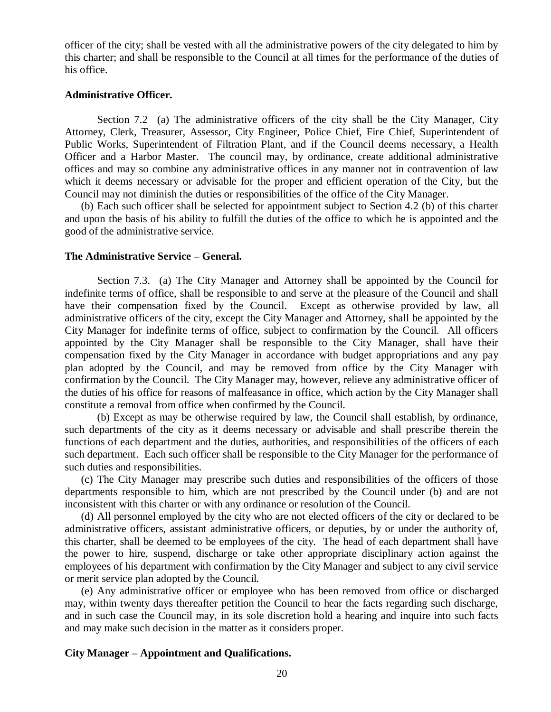officer of the city; shall be vested with all the administrative powers of the city delegated to him by this charter; and shall be responsible to the Council at all times for the performance of the duties of his office.

#### **Administrative Officer.**

Section 7.2 (a) The administrative officers of the city shall be the City Manager, City Attorney, Clerk, Treasurer, Assessor, City Engineer, Police Chief, Fire Chief, Superintendent of Public Works, Superintendent of Filtration Plant, and if the Council deems necessary, a Health Officer and a Harbor Master. The council may, by ordinance, create additional administrative offices and may so combine any administrative offices in any manner not in contravention of law which it deems necessary or advisable for the proper and efficient operation of the City, but the Council may not diminish the duties or responsibilities of the office of the City Manager.

(b) Each such officer shall be selected for appointment subject to Section 4.2 (b) of this charter and upon the basis of his ability to fulfill the duties of the office to which he is appointed and the good of the administrative service.

#### **The Administrative Service – General.**

Section 7.3. (a) The City Manager and Attorney shall be appointed by the Council for indefinite terms of office, shall be responsible to and serve at the pleasure of the Council and shall have their compensation fixed by the Council. Except as otherwise provided by law, all administrative officers of the city, except the City Manager and Attorney, shall be appointed by the City Manager for indefinite terms of office, subject to confirmation by the Council. All officers appointed by the City Manager shall be responsible to the City Manager, shall have their compensation fixed by the City Manager in accordance with budget appropriations and any pay plan adopted by the Council, and may be removed from office by the City Manager with confirmation by the Council. The City Manager may, however, relieve any administrative officer of the duties of his office for reasons of malfeasance in office, which action by the City Manager shall constitute a removal from office when confirmed by the Council.

(b) Except as may be otherwise required by law, the Council shall establish, by ordinance, such departments of the city as it deems necessary or advisable and shall prescribe therein the functions of each department and the duties, authorities, and responsibilities of the officers of each such department. Each such officer shall be responsible to the City Manager for the performance of such duties and responsibilities.

(c) The City Manager may prescribe such duties and responsibilities of the officers of those departments responsible to him, which are not prescribed by the Council under (b) and are not inconsistent with this charter or with any ordinance or resolution of the Council.

(d) All personnel employed by the city who are not elected officers of the city or declared to be administrative officers, assistant administrative officers, or deputies, by or under the authority of, this charter, shall be deemed to be employees of the city. The head of each department shall have the power to hire, suspend, discharge or take other appropriate disciplinary action against the employees of his department with confirmation by the City Manager and subject to any civil service or merit service plan adopted by the Council.

(e) Any administrative officer or employee who has been removed from office or discharged may, within twenty days thereafter petition the Council to hear the facts regarding such discharge, and in such case the Council may, in its sole discretion hold a hearing and inquire into such facts and may make such decision in the matter as it considers proper.

### **City Manager – Appointment and Qualifications.**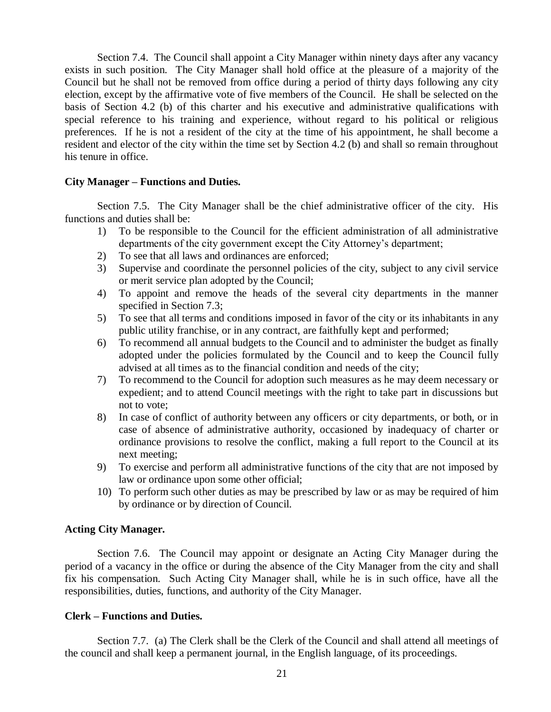Section 7.4. The Council shall appoint a City Manager within ninety days after any vacancy exists in such position. The City Manager shall hold office at the pleasure of a majority of the Council but he shall not be removed from office during a period of thirty days following any city election, except by the affirmative vote of five members of the Council. He shall be selected on the basis of Section 4.2 (b) of this charter and his executive and administrative qualifications with special reference to his training and experience, without regard to his political or religious preferences. If he is not a resident of the city at the time of his appointment, he shall become a resident and elector of the city within the time set by Section 4.2 (b) and shall so remain throughout his tenure in office.

## **City Manager – Functions and Duties.**

Section 7.5. The City Manager shall be the chief administrative officer of the city. His functions and duties shall be:

- 1) To be responsible to the Council for the efficient administration of all administrative departments of the city government except the City Attorney's department;
- 2) To see that all laws and ordinances are enforced;
- 3) Supervise and coordinate the personnel policies of the city, subject to any civil service or merit service plan adopted by the Council;
- 4) To appoint and remove the heads of the several city departments in the manner specified in Section 7.3;
- 5) To see that all terms and conditions imposed in favor of the city or its inhabitants in any public utility franchise, or in any contract, are faithfully kept and performed;
- 6) To recommend all annual budgets to the Council and to administer the budget as finally adopted under the policies formulated by the Council and to keep the Council fully advised at all times as to the financial condition and needs of the city;
- 7) To recommend to the Council for adoption such measures as he may deem necessary or expedient; and to attend Council meetings with the right to take part in discussions but not to vote;
- 8) In case of conflict of authority between any officers or city departments, or both, or in case of absence of administrative authority, occasioned by inadequacy of charter or ordinance provisions to resolve the conflict, making a full report to the Council at its next meeting;
- 9) To exercise and perform all administrative functions of the city that are not imposed by law or ordinance upon some other official;
- 10) To perform such other duties as may be prescribed by law or as may be required of him by ordinance or by direction of Council.

## **Acting City Manager.**

Section 7.6. The Council may appoint or designate an Acting City Manager during the period of a vacancy in the office or during the absence of the City Manager from the city and shall fix his compensation. Such Acting City Manager shall, while he is in such office, have all the responsibilities, duties, functions, and authority of the City Manager.

#### **Clerk – Functions and Duties.**

Section 7.7. (a) The Clerk shall be the Clerk of the Council and shall attend all meetings of the council and shall keep a permanent journal, in the English language, of its proceedings.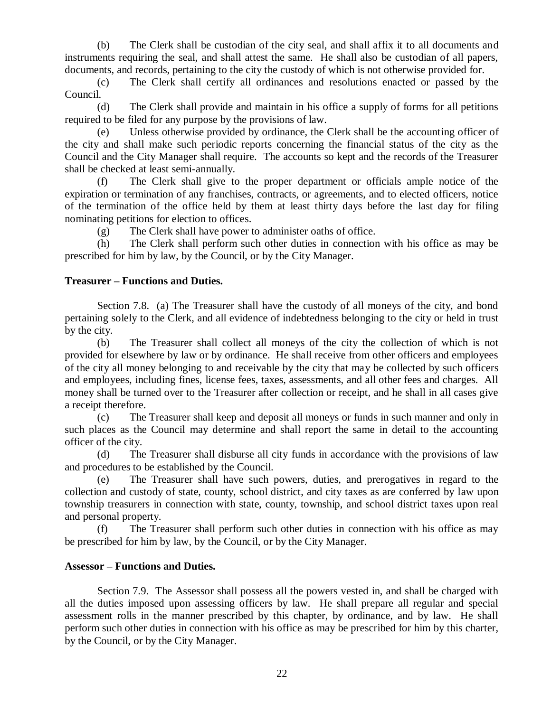(b) The Clerk shall be custodian of the city seal, and shall affix it to all documents and instruments requiring the seal, and shall attest the same. He shall also be custodian of all papers, documents, and records, pertaining to the city the custody of which is not otherwise provided for.

(c) The Clerk shall certify all ordinances and resolutions enacted or passed by the Council.

(d) The Clerk shall provide and maintain in his office a supply of forms for all petitions required to be filed for any purpose by the provisions of law.

(e) Unless otherwise provided by ordinance, the Clerk shall be the accounting officer of the city and shall make such periodic reports concerning the financial status of the city as the Council and the City Manager shall require. The accounts so kept and the records of the Treasurer shall be checked at least semi-annually.

(f) The Clerk shall give to the proper department or officials ample notice of the expiration or termination of any franchises, contracts, or agreements, and to elected officers, notice of the termination of the office held by them at least thirty days before the last day for filing nominating petitions for election to offices.

(g) The Clerk shall have power to administer oaths of office.

(h) The Clerk shall perform such other duties in connection with his office as may be prescribed for him by law, by the Council, or by the City Manager.

# **Treasurer – Functions and Duties.**

Section 7.8. (a) The Treasurer shall have the custody of all moneys of the city, and bond pertaining solely to the Clerk, and all evidence of indebtedness belonging to the city or held in trust by the city.

(b) The Treasurer shall collect all moneys of the city the collection of which is not provided for elsewhere by law or by ordinance. He shall receive from other officers and employees of the city all money belonging to and receivable by the city that may be collected by such officers and employees, including fines, license fees, taxes, assessments, and all other fees and charges. All money shall be turned over to the Treasurer after collection or receipt, and he shall in all cases give a receipt therefore.

(c) The Treasurer shall keep and deposit all moneys or funds in such manner and only in such places as the Council may determine and shall report the same in detail to the accounting officer of the city.

(d) The Treasurer shall disburse all city funds in accordance with the provisions of law and procedures to be established by the Council.

(e) The Treasurer shall have such powers, duties, and prerogatives in regard to the collection and custody of state, county, school district, and city taxes as are conferred by law upon township treasurers in connection with state, county, township, and school district taxes upon real and personal property.

(f) The Treasurer shall perform such other duties in connection with his office as may be prescribed for him by law, by the Council, or by the City Manager.

# **Assessor – Functions and Duties.**

Section 7.9. The Assessor shall possess all the powers vested in, and shall be charged with all the duties imposed upon assessing officers by law. He shall prepare all regular and special assessment rolls in the manner prescribed by this chapter, by ordinance, and by law. He shall perform such other duties in connection with his office as may be prescribed for him by this charter, by the Council, or by the City Manager.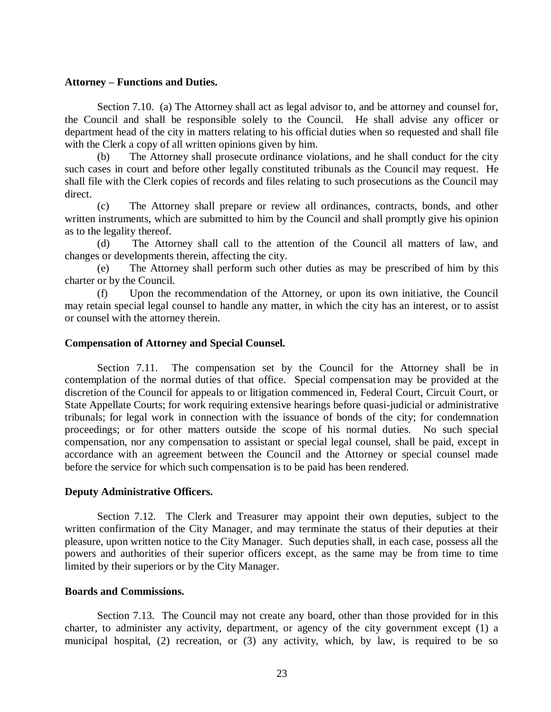### **Attorney – Functions and Duties.**

Section 7.10. (a) The Attorney shall act as legal advisor to, and be attorney and counsel for, the Council and shall be responsible solely to the Council. He shall advise any officer or department head of the city in matters relating to his official duties when so requested and shall file with the Clerk a copy of all written opinions given by him.

(b) The Attorney shall prosecute ordinance violations, and he shall conduct for the city such cases in court and before other legally constituted tribunals as the Council may request. He shall file with the Clerk copies of records and files relating to such prosecutions as the Council may direct.

(c) The Attorney shall prepare or review all ordinances, contracts, bonds, and other written instruments, which are submitted to him by the Council and shall promptly give his opinion as to the legality thereof.

(d) The Attorney shall call to the attention of the Council all matters of law, and changes or developments therein, affecting the city.

(e) The Attorney shall perform such other duties as may be prescribed of him by this charter or by the Council.

(f) Upon the recommendation of the Attorney, or upon its own initiative, the Council may retain special legal counsel to handle any matter, in which the city has an interest, or to assist or counsel with the attorney therein.

## **Compensation of Attorney and Special Counsel.**

Section 7.11. The compensation set by the Council for the Attorney shall be in contemplation of the normal duties of that office. Special compensation may be provided at the discretion of the Council for appeals to or litigation commenced in, Federal Court, Circuit Court, or State Appellate Courts; for work requiring extensive hearings before quasi-judicial or administrative tribunals; for legal work in connection with the issuance of bonds of the city; for condemnation proceedings; or for other matters outside the scope of his normal duties. No such special compensation, nor any compensation to assistant or special legal counsel, shall be paid, except in accordance with an agreement between the Council and the Attorney or special counsel made before the service for which such compensation is to be paid has been rendered.

## **Deputy Administrative Officers.**

Section 7.12. The Clerk and Treasurer may appoint their own deputies, subject to the written confirmation of the City Manager, and may terminate the status of their deputies at their pleasure, upon written notice to the City Manager. Such deputies shall, in each case, possess all the powers and authorities of their superior officers except, as the same may be from time to time limited by their superiors or by the City Manager.

## **Boards and Commissions.**

Section 7.13. The Council may not create any board, other than those provided for in this charter, to administer any activity, department, or agency of the city government except (1) a municipal hospital, (2) recreation, or (3) any activity, which, by law, is required to be so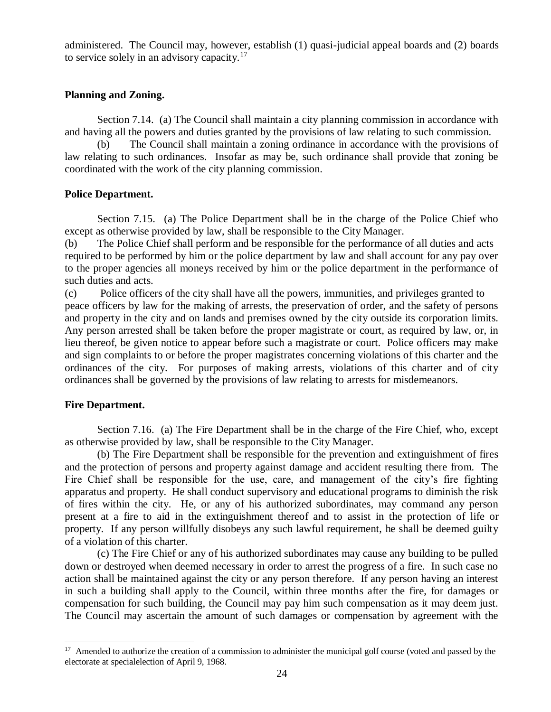administered. The Council may, however, establish (1) quasi-judicial appeal boards and (2) boards to service solely in an advisory capacity.<sup>17</sup>

# **Planning and Zoning.**

Section 7.14. (a) The Council shall maintain a city planning commission in accordance with and having all the powers and duties granted by the provisions of law relating to such commission.

(b) The Council shall maintain a zoning ordinance in accordance with the provisions of law relating to such ordinances. Insofar as may be, such ordinance shall provide that zoning be coordinated with the work of the city planning commission.

## **Police Department.**

Section 7.15. (a) The Police Department shall be in the charge of the Police Chief who except as otherwise provided by law, shall be responsible to the City Manager.

(b) The Police Chief shall perform and be responsible for the performance of all duties and acts required to be performed by him or the police department by law and shall account for any pay over to the proper agencies all moneys received by him or the police department in the performance of such duties and acts.

(c) Police officers of the city shall have all the powers, immunities, and privileges granted to peace officers by law for the making of arrests, the preservation of order, and the safety of persons and property in the city and on lands and premises owned by the city outside its corporation limits. Any person arrested shall be taken before the proper magistrate or court, as required by law, or, in lieu thereof, be given notice to appear before such a magistrate or court. Police officers may make and sign complaints to or before the proper magistrates concerning violations of this charter and the ordinances of the city. For purposes of making arrests, violations of this charter and of city ordinances shall be governed by the provisions of law relating to arrests for misdemeanors.

# **Fire Department.**

Section 7.16. (a) The Fire Department shall be in the charge of the Fire Chief, who, except as otherwise provided by law, shall be responsible to the City Manager.

(b) The Fire Department shall be responsible for the prevention and extinguishment of fires and the protection of persons and property against damage and accident resulting there from. The Fire Chief shall be responsible for the use, care, and management of the city's fire fighting apparatus and property. He shall conduct supervisory and educational programs to diminish the risk of fires within the city. He, or any of his authorized subordinates, may command any person present at a fire to aid in the extinguishment thereof and to assist in the protection of life or property. If any person willfully disobeys any such lawful requirement, he shall be deemed guilty of a violation of this charter.

(c) The Fire Chief or any of his authorized subordinates may cause any building to be pulled down or destroyed when deemed necessary in order to arrest the progress of a fire. In such case no action shall be maintained against the city or any person therefore. If any person having an interest in such a building shall apply to the Council, within three months after the fire, for damages or compensation for such building, the Council may pay him such compensation as it may deem just. The Council may ascertain the amount of such damages or compensation by agreement with the

<sup>&</sup>lt;sup>17</sup> Amended to authorize the creation of a commission to administer the municipal golf course (voted and passed by the electorate at specialelection of April 9, 1968.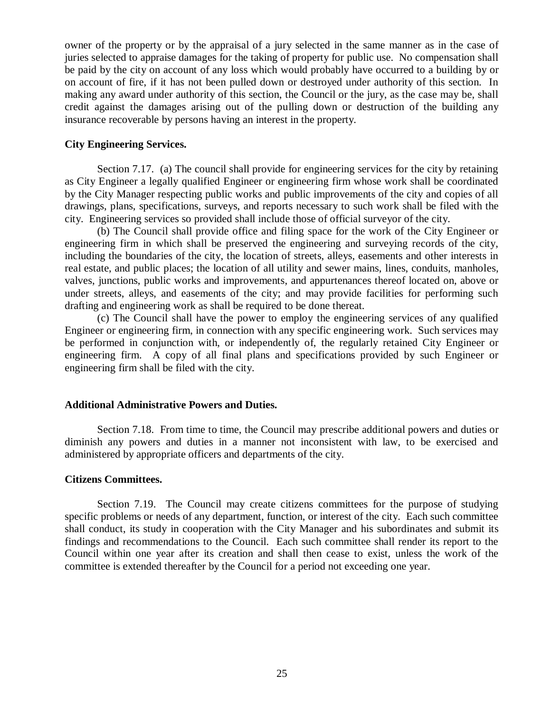owner of the property or by the appraisal of a jury selected in the same manner as in the case of juries selected to appraise damages for the taking of property for public use. No compensation shall be paid by the city on account of any loss which would probably have occurred to a building by or on account of fire, if it has not been pulled down or destroyed under authority of this section. In making any award under authority of this section, the Council or the jury, as the case may be, shall credit against the damages arising out of the pulling down or destruction of the building any insurance recoverable by persons having an interest in the property.

### **City Engineering Services.**

Section 7.17. (a) The council shall provide for engineering services for the city by retaining as City Engineer a legally qualified Engineer or engineering firm whose work shall be coordinated by the City Manager respecting public works and public improvements of the city and copies of all drawings, plans, specifications, surveys, and reports necessary to such work shall be filed with the city. Engineering services so provided shall include those of official surveyor of the city.

(b) The Council shall provide office and filing space for the work of the City Engineer or engineering firm in which shall be preserved the engineering and surveying records of the city, including the boundaries of the city, the location of streets, alleys, easements and other interests in real estate, and public places; the location of all utility and sewer mains, lines, conduits, manholes, valves, junctions, public works and improvements, and appurtenances thereof located on, above or under streets, alleys, and easements of the city; and may provide facilities for performing such drafting and engineering work as shall be required to be done thereat.

(c) The Council shall have the power to employ the engineering services of any qualified Engineer or engineering firm, in connection with any specific engineering work. Such services may be performed in conjunction with, or independently of, the regularly retained City Engineer or engineering firm. A copy of all final plans and specifications provided by such Engineer or engineering firm shall be filed with the city.

## **Additional Administrative Powers and Duties.**

Section 7.18. From time to time, the Council may prescribe additional powers and duties or diminish any powers and duties in a manner not inconsistent with law, to be exercised and administered by appropriate officers and departments of the city.

### **Citizens Committees.**

Section 7.19. The Council may create citizens committees for the purpose of studying specific problems or needs of any department, function, or interest of the city. Each such committee shall conduct, its study in cooperation with the City Manager and his subordinates and submit its findings and recommendations to the Council. Each such committee shall render its report to the Council within one year after its creation and shall then cease to exist, unless the work of the committee is extended thereafter by the Council for a period not exceeding one year.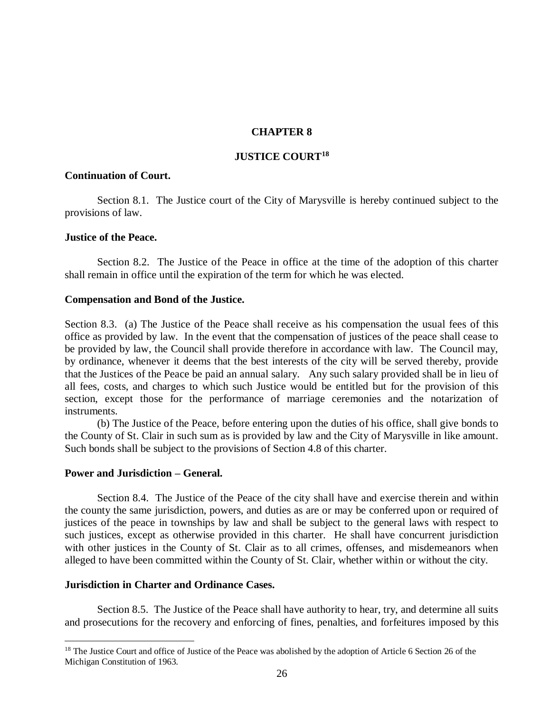## **CHAPTER 8**

## **JUSTICE COURT<sup>18</sup>**

## **Continuation of Court.**

Section 8.1. The Justice court of the City of Marysville is hereby continued subject to the provisions of law.

## **Justice of the Peace.**

Section 8.2. The Justice of the Peace in office at the time of the adoption of this charter shall remain in office until the expiration of the term for which he was elected.

## **Compensation and Bond of the Justice.**

Section 8.3. (a) The Justice of the Peace shall receive as his compensation the usual fees of this office as provided by law. In the event that the compensation of justices of the peace shall cease to be provided by law, the Council shall provide therefore in accordance with law. The Council may, by ordinance, whenever it deems that the best interests of the city will be served thereby, provide that the Justices of the Peace be paid an annual salary. Any such salary provided shall be in lieu of all fees, costs, and charges to which such Justice would be entitled but for the provision of this section, except those for the performance of marriage ceremonies and the notarization of instruments.

(b) The Justice of the Peace, before entering upon the duties of his office, shall give bonds to the County of St. Clair in such sum as is provided by law and the City of Marysville in like amount. Such bonds shall be subject to the provisions of Section 4.8 of this charter.

## **Power and Jurisdiction – General.**

 $\overline{a}$ 

Section 8.4. The Justice of the Peace of the city shall have and exercise therein and within the county the same jurisdiction, powers, and duties as are or may be conferred upon or required of justices of the peace in townships by law and shall be subject to the general laws with respect to such justices, except as otherwise provided in this charter. He shall have concurrent jurisdiction with other justices in the County of St. Clair as to all crimes, offenses, and misdemeanors when alleged to have been committed within the County of St. Clair, whether within or without the city.

## **Jurisdiction in Charter and Ordinance Cases.**

Section 8.5. The Justice of the Peace shall have authority to hear, try, and determine all suits and prosecutions for the recovery and enforcing of fines, penalties, and forfeitures imposed by this

<sup>&</sup>lt;sup>18</sup> The Justice Court and office of Justice of the Peace was abolished by the adoption of Article 6 Section 26 of the Michigan Constitution of 1963.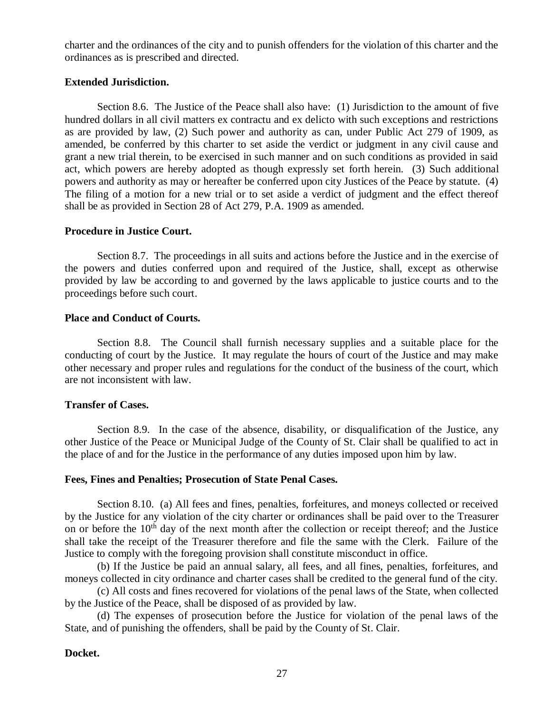charter and the ordinances of the city and to punish offenders for the violation of this charter and the ordinances as is prescribed and directed.

## **Extended Jurisdiction.**

Section 8.6. The Justice of the Peace shall also have: (1) Jurisdiction to the amount of five hundred dollars in all civil matters ex contractu and ex delicto with such exceptions and restrictions as are provided by law, (2) Such power and authority as can, under Public Act 279 of 1909, as amended, be conferred by this charter to set aside the verdict or judgment in any civil cause and grant a new trial therein, to be exercised in such manner and on such conditions as provided in said act, which powers are hereby adopted as though expressly set forth herein. (3) Such additional powers and authority as may or hereafter be conferred upon city Justices of the Peace by statute. (4) The filing of a motion for a new trial or to set aside a verdict of judgment and the effect thereof shall be as provided in Section 28 of Act 279, P.A. 1909 as amended.

## **Procedure in Justice Court.**

Section 8.7. The proceedings in all suits and actions before the Justice and in the exercise of the powers and duties conferred upon and required of the Justice, shall, except as otherwise provided by law be according to and governed by the laws applicable to justice courts and to the proceedings before such court.

## **Place and Conduct of Courts.**

Section 8.8. The Council shall furnish necessary supplies and a suitable place for the conducting of court by the Justice. It may regulate the hours of court of the Justice and may make other necessary and proper rules and regulations for the conduct of the business of the court, which are not inconsistent with law.

# **Transfer of Cases.**

Section 8.9. In the case of the absence, disability, or disqualification of the Justice, any other Justice of the Peace or Municipal Judge of the County of St. Clair shall be qualified to act in the place of and for the Justice in the performance of any duties imposed upon him by law.

## **Fees, Fines and Penalties; Prosecution of State Penal Cases.**

Section 8.10. (a) All fees and fines, penalties, forfeitures, and moneys collected or received by the Justice for any violation of the city charter or ordinances shall be paid over to the Treasurer on or before the  $10<sup>th</sup>$  day of the next month after the collection or receipt thereof; and the Justice shall take the receipt of the Treasurer therefore and file the same with the Clerk. Failure of the Justice to comply with the foregoing provision shall constitute misconduct in office.

(b) If the Justice be paid an annual salary, all fees, and all fines, penalties, forfeitures, and moneys collected in city ordinance and charter cases shall be credited to the general fund of the city.

(c) All costs and fines recovered for violations of the penal laws of the State, when collected by the Justice of the Peace, shall be disposed of as provided by law.

(d) The expenses of prosecution before the Justice for violation of the penal laws of the State, and of punishing the offenders, shall be paid by the County of St. Clair.

## **Docket.**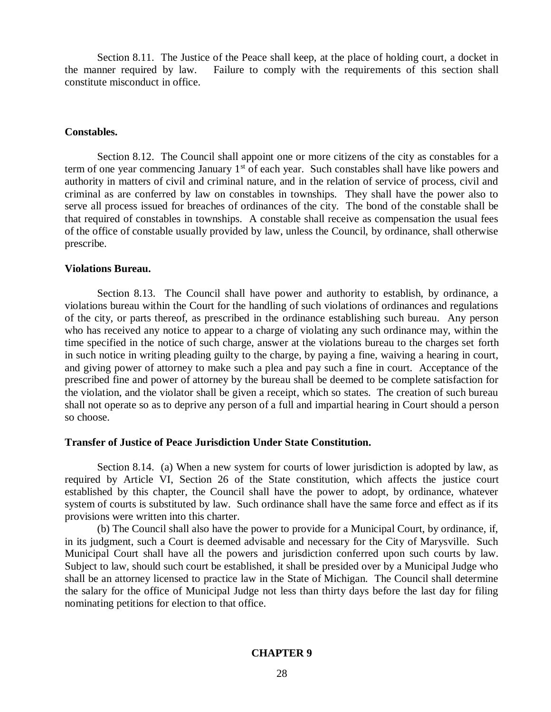Section 8.11. The Justice of the Peace shall keep, at the place of holding court, a docket in the manner required by law. Failure to comply with the requirements of this section shall constitute misconduct in office.

### **Constables.**

Section 8.12. The Council shall appoint one or more citizens of the city as constables for a term of one year commencing January  $1<sup>st</sup>$  of each year. Such constables shall have like powers and authority in matters of civil and criminal nature, and in the relation of service of process, civil and criminal as are conferred by law on constables in townships. They shall have the power also to serve all process issued for breaches of ordinances of the city. The bond of the constable shall be that required of constables in townships. A constable shall receive as compensation the usual fees of the office of constable usually provided by law, unless the Council, by ordinance, shall otherwise prescribe.

### **Violations Bureau.**

Section 8.13. The Council shall have power and authority to establish, by ordinance, a violations bureau within the Court for the handling of such violations of ordinances and regulations of the city, or parts thereof, as prescribed in the ordinance establishing such bureau. Any person who has received any notice to appear to a charge of violating any such ordinance may, within the time specified in the notice of such charge, answer at the violations bureau to the charges set forth in such notice in writing pleading guilty to the charge, by paying a fine, waiving a hearing in court, and giving power of attorney to make such a plea and pay such a fine in court. Acceptance of the prescribed fine and power of attorney by the bureau shall be deemed to be complete satisfaction for the violation, and the violator shall be given a receipt, which so states. The creation of such bureau shall not operate so as to deprive any person of a full and impartial hearing in Court should a person so choose.

#### **Transfer of Justice of Peace Jurisdiction Under State Constitution.**

Section 8.14. (a) When a new system for courts of lower jurisdiction is adopted by law, as required by Article VI, Section 26 of the State constitution, which affects the justice court established by this chapter, the Council shall have the power to adopt, by ordinance, whatever system of courts is substituted by law. Such ordinance shall have the same force and effect as if its provisions were written into this charter.

(b) The Council shall also have the power to provide for a Municipal Court, by ordinance, if, in its judgment, such a Court is deemed advisable and necessary for the City of Marysville. Such Municipal Court shall have all the powers and jurisdiction conferred upon such courts by law. Subject to law, should such court be established, it shall be presided over by a Municipal Judge who shall be an attorney licensed to practice law in the State of Michigan. The Council shall determine the salary for the office of Municipal Judge not less than thirty days before the last day for filing nominating petitions for election to that office.

## **CHAPTER 9**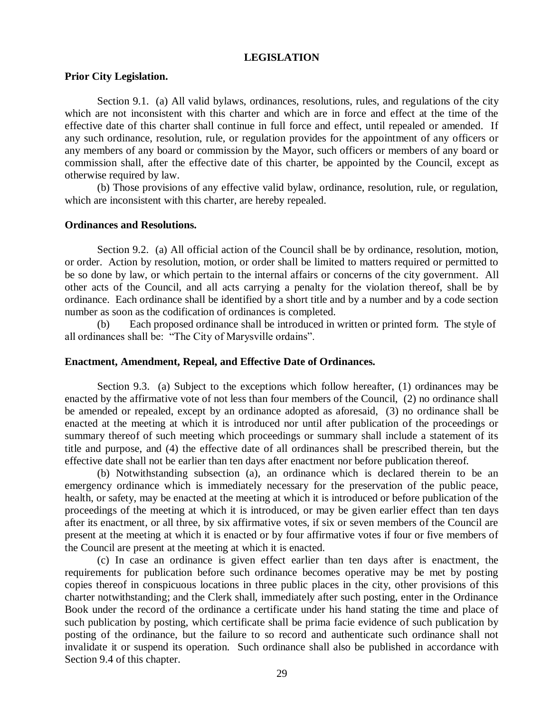#### **LEGISLATION**

## **Prior City Legislation.**

Section 9.1. (a) All valid bylaws, ordinances, resolutions, rules, and regulations of the city which are not inconsistent with this charter and which are in force and effect at the time of the effective date of this charter shall continue in full force and effect, until repealed or amended. If any such ordinance, resolution, rule, or regulation provides for the appointment of any officers or any members of any board or commission by the Mayor, such officers or members of any board or commission shall, after the effective date of this charter, be appointed by the Council, except as otherwise required by law.

(b) Those provisions of any effective valid bylaw, ordinance, resolution, rule, or regulation, which are inconsistent with this charter, are hereby repealed.

#### **Ordinances and Resolutions.**

Section 9.2. (a) All official action of the Council shall be by ordinance, resolution, motion, or order. Action by resolution, motion, or order shall be limited to matters required or permitted to be so done by law, or which pertain to the internal affairs or concerns of the city government. All other acts of the Council, and all acts carrying a penalty for the violation thereof, shall be by ordinance. Each ordinance shall be identified by a short title and by a number and by a code section number as soon as the codification of ordinances is completed.

(b) Each proposed ordinance shall be introduced in written or printed form. The style of all ordinances shall be: "The City of Marysville ordains".

### **Enactment, Amendment, Repeal, and Effective Date of Ordinances.**

Section 9.3. (a) Subject to the exceptions which follow hereafter, (1) ordinances may be enacted by the affirmative vote of not less than four members of the Council, (2) no ordinance shall be amended or repealed, except by an ordinance adopted as aforesaid, (3) no ordinance shall be enacted at the meeting at which it is introduced nor until after publication of the proceedings or summary thereof of such meeting which proceedings or summary shall include a statement of its title and purpose, and (4) the effective date of all ordinances shall be prescribed therein, but the effective date shall not be earlier than ten days after enactment nor before publication thereof.

(b) Notwithstanding subsection (a), an ordinance which is declared therein to be an emergency ordinance which is immediately necessary for the preservation of the public peace, health, or safety, may be enacted at the meeting at which it is introduced or before publication of the proceedings of the meeting at which it is introduced, or may be given earlier effect than ten days after its enactment, or all three, by six affirmative votes, if six or seven members of the Council are present at the meeting at which it is enacted or by four affirmative votes if four or five members of the Council are present at the meeting at which it is enacted.

(c) In case an ordinance is given effect earlier than ten days after is enactment, the requirements for publication before such ordinance becomes operative may be met by posting copies thereof in conspicuous locations in three public places in the city, other provisions of this charter notwithstanding; and the Clerk shall, immediately after such posting, enter in the Ordinance Book under the record of the ordinance a certificate under his hand stating the time and place of such publication by posting, which certificate shall be prima facie evidence of such publication by posting of the ordinance, but the failure to so record and authenticate such ordinance shall not invalidate it or suspend its operation. Such ordinance shall also be published in accordance with Section 9.4 of this chapter.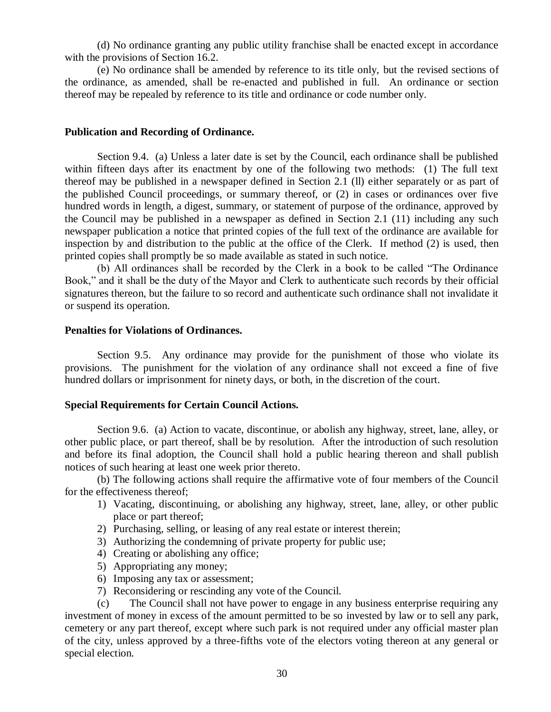(d) No ordinance granting any public utility franchise shall be enacted except in accordance with the provisions of Section 16.2.

(e) No ordinance shall be amended by reference to its title only, but the revised sections of the ordinance, as amended, shall be re-enacted and published in full. An ordinance or section thereof may be repealed by reference to its title and ordinance or code number only.

## **Publication and Recording of Ordinance.**

Section 9.4. (a) Unless a later date is set by the Council, each ordinance shall be published within fifteen days after its enactment by one of the following two methods: (1) The full text thereof may be published in a newspaper defined in Section 2.1 (ll) either separately or as part of the published Council proceedings, or summary thereof, or (2) in cases or ordinances over five hundred words in length, a digest, summary, or statement of purpose of the ordinance, approved by the Council may be published in a newspaper as defined in Section 2.1 (11) including any such newspaper publication a notice that printed copies of the full text of the ordinance are available for inspection by and distribution to the public at the office of the Clerk. If method (2) is used, then printed copies shall promptly be so made available as stated in such notice.

(b) All ordinances shall be recorded by the Clerk in a book to be called "The Ordinance Book," and it shall be the duty of the Mayor and Clerk to authenticate such records by their official signatures thereon, but the failure to so record and authenticate such ordinance shall not invalidate it or suspend its operation.

### **Penalties for Violations of Ordinances.**

Section 9.5. Any ordinance may provide for the punishment of those who violate its provisions. The punishment for the violation of any ordinance shall not exceed a fine of five hundred dollars or imprisonment for ninety days, or both, in the discretion of the court.

## **Special Requirements for Certain Council Actions.**

Section 9.6. (a) Action to vacate, discontinue, or abolish any highway, street, lane, alley, or other public place, or part thereof, shall be by resolution. After the introduction of such resolution and before its final adoption, the Council shall hold a public hearing thereon and shall publish notices of such hearing at least one week prior thereto.

(b) The following actions shall require the affirmative vote of four members of the Council for the effectiveness thereof;

- 1) Vacating, discontinuing, or abolishing any highway, street, lane, alley, or other public place or part thereof;
- 2) Purchasing, selling, or leasing of any real estate or interest therein;
- 3) Authorizing the condemning of private property for public use;
- 4) Creating or abolishing any office;
- 5) Appropriating any money;
- 6) Imposing any tax or assessment;
- 7) Reconsidering or rescinding any vote of the Council.

(c) The Council shall not have power to engage in any business enterprise requiring any investment of money in excess of the amount permitted to be so invested by law or to sell any park, cemetery or any part thereof, except where such park is not required under any official master plan of the city, unless approved by a three-fifths vote of the electors voting thereon at any general or special election.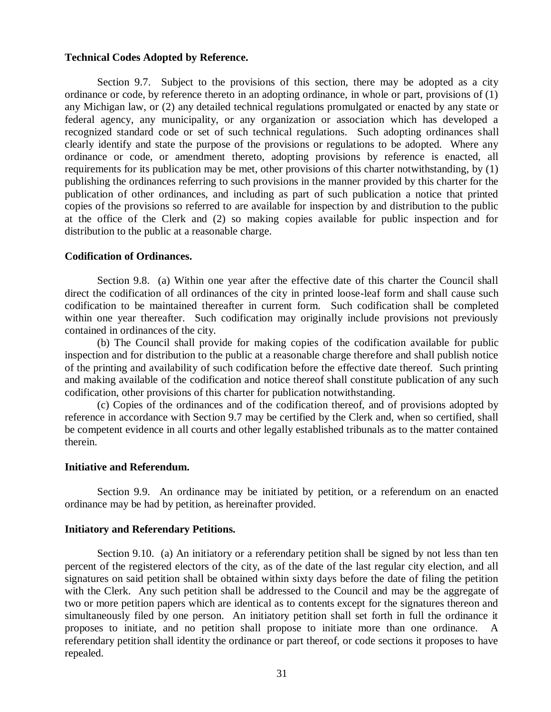#### **Technical Codes Adopted by Reference.**

Section 9.7. Subject to the provisions of this section, there may be adopted as a city ordinance or code, by reference thereto in an adopting ordinance, in whole or part, provisions of (1) any Michigan law, or (2) any detailed technical regulations promulgated or enacted by any state or federal agency, any municipality, or any organization or association which has developed a recognized standard code or set of such technical regulations. Such adopting ordinances shall clearly identify and state the purpose of the provisions or regulations to be adopted. Where any ordinance or code, or amendment thereto, adopting provisions by reference is enacted, all requirements for its publication may be met, other provisions of this charter notwithstanding, by (1) publishing the ordinances referring to such provisions in the manner provided by this charter for the publication of other ordinances, and including as part of such publication a notice that printed copies of the provisions so referred to are available for inspection by and distribution to the public at the office of the Clerk and (2) so making copies available for public inspection and for distribution to the public at a reasonable charge.

### **Codification of Ordinances.**

Section 9.8. (a) Within one year after the effective date of this charter the Council shall direct the codification of all ordinances of the city in printed loose-leaf form and shall cause such codification to be maintained thereafter in current form. Such codification shall be completed within one year thereafter. Such codification may originally include provisions not previously contained in ordinances of the city.

(b) The Council shall provide for making copies of the codification available for public inspection and for distribution to the public at a reasonable charge therefore and shall publish notice of the printing and availability of such codification before the effective date thereof. Such printing and making available of the codification and notice thereof shall constitute publication of any such codification, other provisions of this charter for publication notwithstanding.

(c) Copies of the ordinances and of the codification thereof, and of provisions adopted by reference in accordance with Section 9.7 may be certified by the Clerk and, when so certified, shall be competent evidence in all courts and other legally established tribunals as to the matter contained therein.

### **Initiative and Referendum.**

Section 9.9. An ordinance may be initiated by petition, or a referendum on an enacted ordinance may be had by petition, as hereinafter provided.

## **Initiatory and Referendary Petitions.**

Section 9.10. (a) An initiatory or a referendary petition shall be signed by not less than ten percent of the registered electors of the city, as of the date of the last regular city election, and all signatures on said petition shall be obtained within sixty days before the date of filing the petition with the Clerk. Any such petition shall be addressed to the Council and may be the aggregate of two or more petition papers which are identical as to contents except for the signatures thereon and simultaneously filed by one person. An initiatory petition shall set forth in full the ordinance it proposes to initiate, and no petition shall propose to initiate more than one ordinance. A referendary petition shall identity the ordinance or part thereof, or code sections it proposes to have repealed.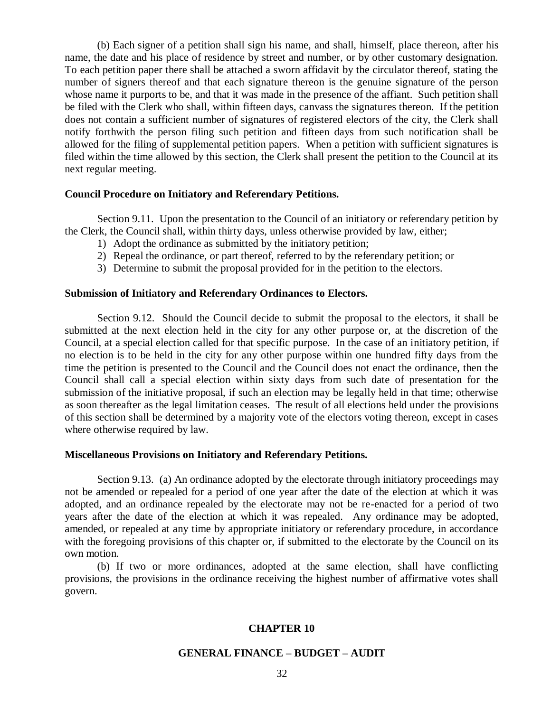(b) Each signer of a petition shall sign his name, and shall, himself, place thereon, after his name, the date and his place of residence by street and number, or by other customary designation. To each petition paper there shall be attached a sworn affidavit by the circulator thereof, stating the number of signers thereof and that each signature thereon is the genuine signature of the person whose name it purports to be, and that it was made in the presence of the affiant. Such petition shall be filed with the Clerk who shall, within fifteen days, canvass the signatures thereon. If the petition does not contain a sufficient number of signatures of registered electors of the city, the Clerk shall notify forthwith the person filing such petition and fifteen days from such notification shall be allowed for the filing of supplemental petition papers. When a petition with sufficient signatures is filed within the time allowed by this section, the Clerk shall present the petition to the Council at its next regular meeting.

### **Council Procedure on Initiatory and Referendary Petitions.**

Section 9.11. Upon the presentation to the Council of an initiatory or referendary petition by the Clerk, the Council shall, within thirty days, unless otherwise provided by law, either;

- 1) Adopt the ordinance as submitted by the initiatory petition;
- 2) Repeal the ordinance, or part thereof, referred to by the referendary petition; or
- 3) Determine to submit the proposal provided for in the petition to the electors.

#### **Submission of Initiatory and Referendary Ordinances to Electors.**

Section 9.12. Should the Council decide to submit the proposal to the electors, it shall be submitted at the next election held in the city for any other purpose or, at the discretion of the Council, at a special election called for that specific purpose. In the case of an initiatory petition, if no election is to be held in the city for any other purpose within one hundred fifty days from the time the petition is presented to the Council and the Council does not enact the ordinance, then the Council shall call a special election within sixty days from such date of presentation for the submission of the initiative proposal, if such an election may be legally held in that time; otherwise as soon thereafter as the legal limitation ceases. The result of all elections held under the provisions of this section shall be determined by a majority vote of the electors voting thereon, except in cases where otherwise required by law.

#### **Miscellaneous Provisions on Initiatory and Referendary Petitions.**

Section 9.13. (a) An ordinance adopted by the electorate through initiatory proceedings may not be amended or repealed for a period of one year after the date of the election at which it was adopted, and an ordinance repealed by the electorate may not be re-enacted for a period of two years after the date of the election at which it was repealed. Any ordinance may be adopted, amended, or repealed at any time by appropriate initiatory or referendary procedure, in accordance with the foregoing provisions of this chapter or, if submitted to the electorate by the Council on its own motion.

(b) If two or more ordinances, adopted at the same election, shall have conflicting provisions, the provisions in the ordinance receiving the highest number of affirmative votes shall govern.

### **CHAPTER 10**

### **GENERAL FINANCE – BUDGET – AUDIT**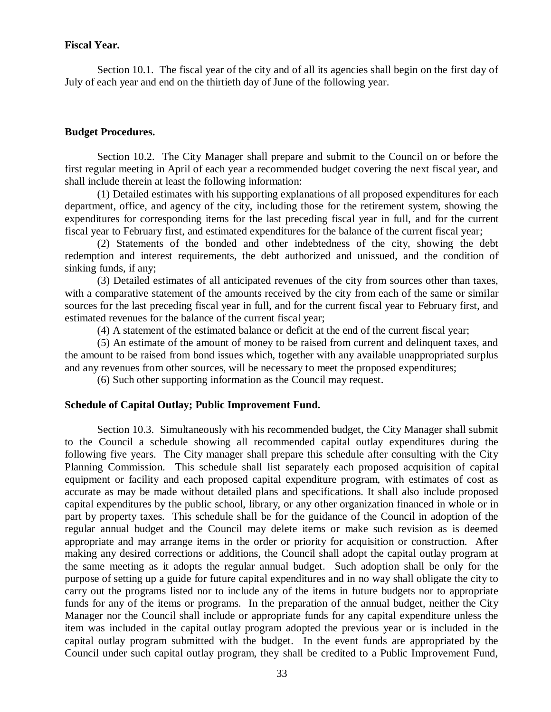## **Fiscal Year.**

Section 10.1. The fiscal year of the city and of all its agencies shall begin on the first day of July of each year and end on the thirtieth day of June of the following year.

## **Budget Procedures.**

Section 10.2. The City Manager shall prepare and submit to the Council on or before the first regular meeting in April of each year a recommended budget covering the next fiscal year, and shall include therein at least the following information:

(1) Detailed estimates with his supporting explanations of all proposed expenditures for each department, office, and agency of the city, including those for the retirement system, showing the expenditures for corresponding items for the last preceding fiscal year in full, and for the current fiscal year to February first, and estimated expenditures for the balance of the current fiscal year;

(2) Statements of the bonded and other indebtedness of the city, showing the debt redemption and interest requirements, the debt authorized and unissued, and the condition of sinking funds, if any;

(3) Detailed estimates of all anticipated revenues of the city from sources other than taxes, with a comparative statement of the amounts received by the city from each of the same or similar sources for the last preceding fiscal year in full, and for the current fiscal year to February first, and estimated revenues for the balance of the current fiscal year;

(4) A statement of the estimated balance or deficit at the end of the current fiscal year;

(5) An estimate of the amount of money to be raised from current and delinquent taxes, and the amount to be raised from bond issues which, together with any available unappropriated surplus and any revenues from other sources, will be necessary to meet the proposed expenditures;

(6) Such other supporting information as the Council may request.

## **Schedule of Capital Outlay; Public Improvement Fund.**

Section 10.3. Simultaneously with his recommended budget, the City Manager shall submit to the Council a schedule showing all recommended capital outlay expenditures during the following five years. The City manager shall prepare this schedule after consulting with the City Planning Commission. This schedule shall list separately each proposed acquisition of capital equipment or facility and each proposed capital expenditure program, with estimates of cost as accurate as may be made without detailed plans and specifications. It shall also include proposed capital expenditures by the public school, library, or any other organization financed in whole or in part by property taxes. This schedule shall be for the guidance of the Council in adoption of the regular annual budget and the Council may delete items or make such revision as is deemed appropriate and may arrange items in the order or priority for acquisition or construction. After making any desired corrections or additions, the Council shall adopt the capital outlay program at the same meeting as it adopts the regular annual budget. Such adoption shall be only for the purpose of setting up a guide for future capital expenditures and in no way shall obligate the city to carry out the programs listed nor to include any of the items in future budgets nor to appropriate funds for any of the items or programs. In the preparation of the annual budget, neither the City Manager nor the Council shall include or appropriate funds for any capital expenditure unless the item was included in the capital outlay program adopted the previous year or is included in the capital outlay program submitted with the budget. In the event funds are appropriated by the Council under such capital outlay program, they shall be credited to a Public Improvement Fund,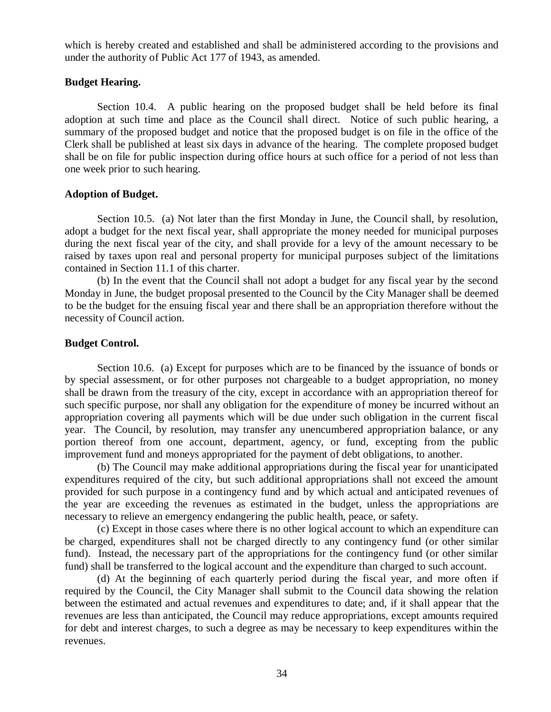which is hereby created and established and shall be administered according to the provisions and under the authority of Public Act 177 of 1943, as amended.

# **Budget Hearing.**

Section 10.4. A public hearing on the proposed budget shall be held before its final adoption at such time and place as the Council shall direct. Notice of such public hearing, a summary of the proposed budget and notice that the proposed budget is on file in the office of the Clerk shall be published at least six days in advance of the hearing. The complete proposed budget shall be on file for public inspection during office hours at such office for a period of not less than one week prior to such hearing.

## **Adoption of Budget.**

Section 10.5. (a) Not later than the first Monday in June, the Council shall, by resolution, adopt a budget for the next fiscal year, shall appropriate the money needed for municipal purposes during the next fiscal year of the city, and shall provide for a levy of the amount necessary to be raised by taxes upon real and personal property for municipal purposes subject of the limitations contained in Section 11.1 of this charter.

(b) In the event that the Council shall not adopt a budget for any fiscal year by the second Monday in June, the budget proposal presented to the Council by the City Manager shall be deemed to be the budget for the ensuing fiscal year and there shall be an appropriation therefore without the necessity of Council action.

## **Budget Control.**

Section 10.6. (a) Except for purposes which are to be financed by the issuance of bonds or by special assessment, or for other purposes not chargeable to a budget appropriation, no money shall be drawn from the treasury of the city, except in accordance with an appropriation thereof for such specific purpose, nor shall any obligation for the expenditure of money be incurred without an appropriation covering all payments which will be due under such obligation in the current fiscal year. The Council, by resolution, may transfer any unencumbered appropriation balance, or any portion thereof from one account, department, agency, or fund, excepting from the public improvement fund and moneys appropriated for the payment of debt obligations, to another.

(b) The Council may make additional appropriations during the fiscal year for unanticipated expenditures required of the city, but such additional appropriations shall not exceed the amount provided for such purpose in a contingency fund and by which actual and anticipated revenues of the year are exceeding the revenues as estimated in the budget, unless the appropriations are necessary to relieve an emergency endangering the public health, peace, or safety.

(c) Except in those cases where there is no other logical account to which an expenditure can be charged, expenditures shall not be charged directly to any contingency fund (or other similar fund). Instead, the necessary part of the appropriations for the contingency fund (or other similar fund) shall be transferred to the logical account and the expenditure than charged to such account.

(d) At the beginning of each quarterly period during the fiscal year, and more often if required by the Council, the City Manager shall submit to the Council data showing the relation between the estimated and actual revenues and expenditures to date; and, if it shall appear that the revenues are less than anticipated, the Council may reduce appropriations, except amounts required for debt and interest charges, to such a degree as may be necessary to keep expenditures within the revenues.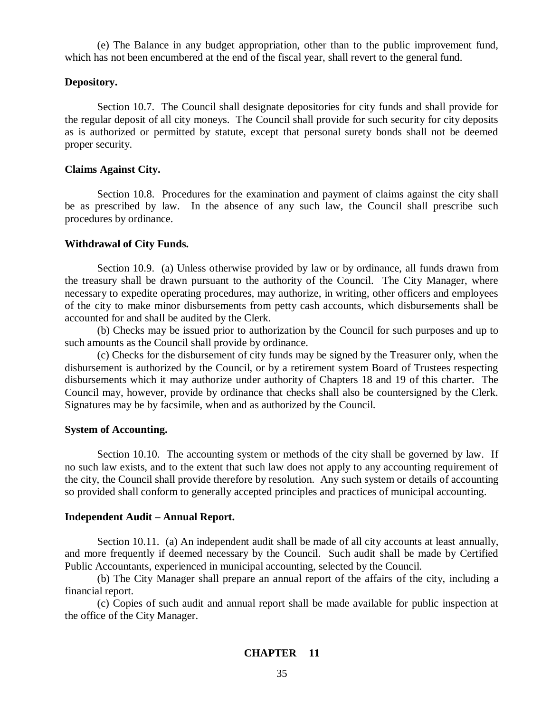(e) The Balance in any budget appropriation, other than to the public improvement fund, which has not been encumbered at the end of the fiscal year, shall revert to the general fund.

### **Depository.**

Section 10.7. The Council shall designate depositories for city funds and shall provide for the regular deposit of all city moneys. The Council shall provide for such security for city deposits as is authorized or permitted by statute, except that personal surety bonds shall not be deemed proper security.

### **Claims Against City.**

Section 10.8. Procedures for the examination and payment of claims against the city shall be as prescribed by law. In the absence of any such law, the Council shall prescribe such procedures by ordinance.

### **Withdrawal of City Funds.**

Section 10.9. (a) Unless otherwise provided by law or by ordinance, all funds drawn from the treasury shall be drawn pursuant to the authority of the Council. The City Manager, where necessary to expedite operating procedures, may authorize, in writing, other officers and employees of the city to make minor disbursements from petty cash accounts, which disbursements shall be accounted for and shall be audited by the Clerk.

(b) Checks may be issued prior to authorization by the Council for such purposes and up to such amounts as the Council shall provide by ordinance.

(c) Checks for the disbursement of city funds may be signed by the Treasurer only, when the disbursement is authorized by the Council, or by a retirement system Board of Trustees respecting disbursements which it may authorize under authority of Chapters 18 and 19 of this charter. The Council may, however, provide by ordinance that checks shall also be countersigned by the Clerk. Signatures may be by facsimile, when and as authorized by the Council.

### **System of Accounting.**

Section 10.10. The accounting system or methods of the city shall be governed by law. If no such law exists, and to the extent that such law does not apply to any accounting requirement of the city, the Council shall provide therefore by resolution. Any such system or details of accounting so provided shall conform to generally accepted principles and practices of municipal accounting.

## **Independent Audit – Annual Report.**

Section 10.11. (a) An independent audit shall be made of all city accounts at least annually, and more frequently if deemed necessary by the Council. Such audit shall be made by Certified Public Accountants, experienced in municipal accounting, selected by the Council.

(b) The City Manager shall prepare an annual report of the affairs of the city, including a financial report.

(c) Copies of such audit and annual report shall be made available for public inspection at the office of the City Manager.

## **CHAPTER 11**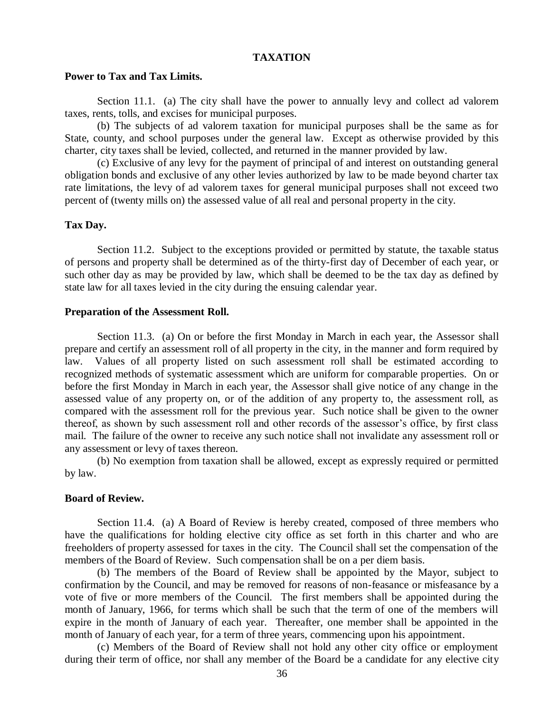#### **TAXATION**

#### **Power to Tax and Tax Limits.**

Section 11.1. (a) The city shall have the power to annually levy and collect ad valorem taxes, rents, tolls, and excises for municipal purposes.

(b) The subjects of ad valorem taxation for municipal purposes shall be the same as for State, county, and school purposes under the general law. Except as otherwise provided by this charter, city taxes shall be levied, collected, and returned in the manner provided by law.

(c) Exclusive of any levy for the payment of principal of and interest on outstanding general obligation bonds and exclusive of any other levies authorized by law to be made beyond charter tax rate limitations, the levy of ad valorem taxes for general municipal purposes shall not exceed two percent of (twenty mills on) the assessed value of all real and personal property in the city.

## **Tax Day.**

Section 11.2. Subject to the exceptions provided or permitted by statute, the taxable status of persons and property shall be determined as of the thirty-first day of December of each year, or such other day as may be provided by law, which shall be deemed to be the tax day as defined by state law for all taxes levied in the city during the ensuing calendar year.

#### **Preparation of the Assessment Roll.**

Section 11.3. (a) On or before the first Monday in March in each year, the Assessor shall prepare and certify an assessment roll of all property in the city, in the manner and form required by law. Values of all property listed on such assessment roll shall be estimated according to recognized methods of systematic assessment which are uniform for comparable properties. On or before the first Monday in March in each year, the Assessor shall give notice of any change in the assessed value of any property on, or of the addition of any property to, the assessment roll, as compared with the assessment roll for the previous year. Such notice shall be given to the owner thereof, as shown by such assessment roll and other records of the assessor's office, by first class mail. The failure of the owner to receive any such notice shall not invalidate any assessment roll or any assessment or levy of taxes thereon.

(b) No exemption from taxation shall be allowed, except as expressly required or permitted by law.

#### **Board of Review.**

Section 11.4. (a) A Board of Review is hereby created, composed of three members who have the qualifications for holding elective city office as set forth in this charter and who are freeholders of property assessed for taxes in the city. The Council shall set the compensation of the members of the Board of Review. Such compensation shall be on a per diem basis.

(b) The members of the Board of Review shall be appointed by the Mayor, subject to confirmation by the Council, and may be removed for reasons of non-feasance or misfeasance by a vote of five or more members of the Council. The first members shall be appointed during the month of January, 1966, for terms which shall be such that the term of one of the members will expire in the month of January of each year. Thereafter, one member shall be appointed in the month of January of each year, for a term of three years, commencing upon his appointment.

(c) Members of the Board of Review shall not hold any other city office or employment during their term of office, nor shall any member of the Board be a candidate for any elective city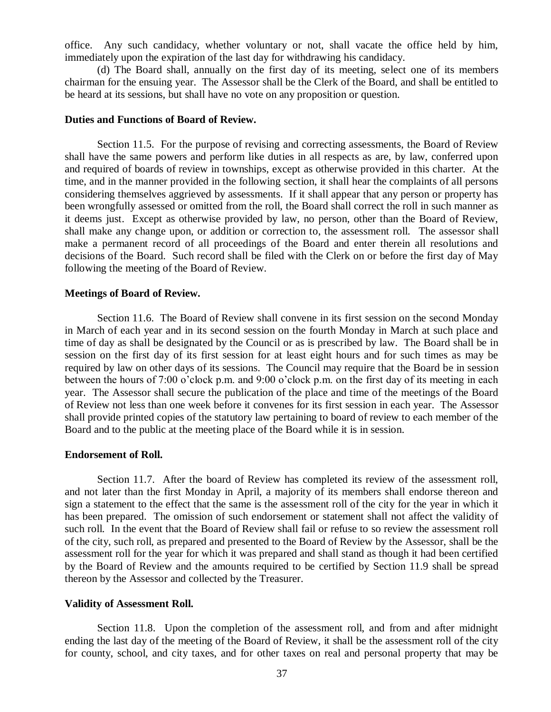office. Any such candidacy, whether voluntary or not, shall vacate the office held by him, immediately upon the expiration of the last day for withdrawing his candidacy.

(d) The Board shall, annually on the first day of its meeting, select one of its members chairman for the ensuing year. The Assessor shall be the Clerk of the Board, and shall be entitled to be heard at its sessions, but shall have no vote on any proposition or question.

## **Duties and Functions of Board of Review.**

Section 11.5. For the purpose of revising and correcting assessments, the Board of Review shall have the same powers and perform like duties in all respects as are, by law, conferred upon and required of boards of review in townships, except as otherwise provided in this charter. At the time, and in the manner provided in the following section, it shall hear the complaints of all persons considering themselves aggrieved by assessments. If it shall appear that any person or property has been wrongfully assessed or omitted from the roll, the Board shall correct the roll in such manner as it deems just. Except as otherwise provided by law, no person, other than the Board of Review, shall make any change upon, or addition or correction to, the assessment roll. The assessor shall make a permanent record of all proceedings of the Board and enter therein all resolutions and decisions of the Board. Such record shall be filed with the Clerk on or before the first day of May following the meeting of the Board of Review.

#### **Meetings of Board of Review.**

Section 11.6. The Board of Review shall convene in its first session on the second Monday in March of each year and in its second session on the fourth Monday in March at such place and time of day as shall be designated by the Council or as is prescribed by law. The Board shall be in session on the first day of its first session for at least eight hours and for such times as may be required by law on other days of its sessions. The Council may require that the Board be in session between the hours of 7:00 o'clock p.m. and 9:00 o'clock p.m. on the first day of its meeting in each year. The Assessor shall secure the publication of the place and time of the meetings of the Board of Review not less than one week before it convenes for its first session in each year. The Assessor shall provide printed copies of the statutory law pertaining to board of review to each member of the Board and to the public at the meeting place of the Board while it is in session.

#### **Endorsement of Roll.**

Section 11.7. After the board of Review has completed its review of the assessment roll, and not later than the first Monday in April, a majority of its members shall endorse thereon and sign a statement to the effect that the same is the assessment roll of the city for the year in which it has been prepared. The omission of such endorsement or statement shall not affect the validity of such roll. In the event that the Board of Review shall fail or refuse to so review the assessment roll of the city, such roll, as prepared and presented to the Board of Review by the Assessor, shall be the assessment roll for the year for which it was prepared and shall stand as though it had been certified by the Board of Review and the amounts required to be certified by Section 11.9 shall be spread thereon by the Assessor and collected by the Treasurer.

### **Validity of Assessment Roll.**

Section 11.8. Upon the completion of the assessment roll, and from and after midnight ending the last day of the meeting of the Board of Review, it shall be the assessment roll of the city for county, school, and city taxes, and for other taxes on real and personal property that may be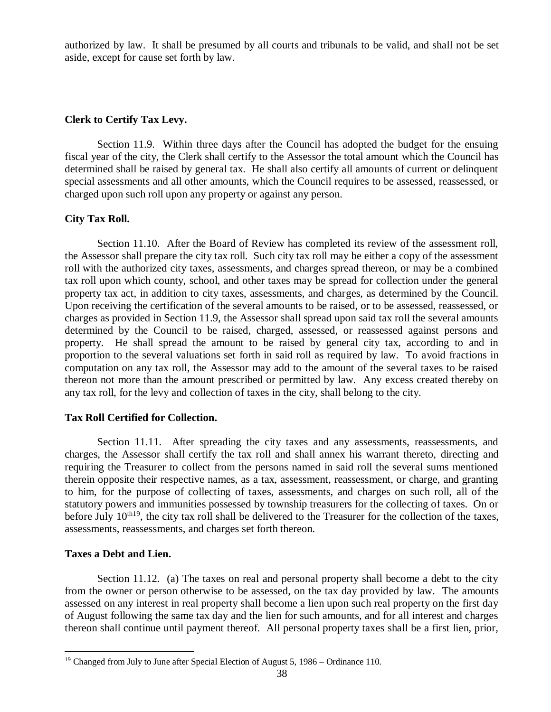authorized by law. It shall be presumed by all courts and tribunals to be valid, and shall not be set aside, except for cause set forth by law.

## **Clerk to Certify Tax Levy.**

Section 11.9. Within three days after the Council has adopted the budget for the ensuing fiscal year of the city, the Clerk shall certify to the Assessor the total amount which the Council has determined shall be raised by general tax. He shall also certify all amounts of current or delinquent special assessments and all other amounts, which the Council requires to be assessed, reassessed, or charged upon such roll upon any property or against any person.

## **City Tax Roll.**

Section 11.10. After the Board of Review has completed its review of the assessment roll, the Assessor shall prepare the city tax roll. Such city tax roll may be either a copy of the assessment roll with the authorized city taxes, assessments, and charges spread thereon, or may be a combined tax roll upon which county, school, and other taxes may be spread for collection under the general property tax act, in addition to city taxes, assessments, and charges, as determined by the Council. Upon receiving the certification of the several amounts to be raised, or to be assessed, reassessed, or charges as provided in Section 11.9, the Assessor shall spread upon said tax roll the several amounts determined by the Council to be raised, charged, assessed, or reassessed against persons and property. He shall spread the amount to be raised by general city tax, according to and in proportion to the several valuations set forth in said roll as required by law. To avoid fractions in computation on any tax roll, the Assessor may add to the amount of the several taxes to be raised thereon not more than the amount prescribed or permitted by law. Any excess created thereby on any tax roll, for the levy and collection of taxes in the city, shall belong to the city.

## **Tax Roll Certified for Collection.**

Section 11.11. After spreading the city taxes and any assessments, reassessments, and charges, the Assessor shall certify the tax roll and shall annex his warrant thereto, directing and requiring the Treasurer to collect from the persons named in said roll the several sums mentioned therein opposite their respective names, as a tax, assessment, reassessment, or charge, and granting to him, for the purpose of collecting of taxes, assessments, and charges on such roll, all of the statutory powers and immunities possessed by township treasurers for the collecting of taxes. On or before July  $10^{th19}$ , the city tax roll shall be delivered to the Treasurer for the collection of the taxes, assessments, reassessments, and charges set forth thereon.

## **Taxes a Debt and Lien.**

 $\overline{a}$ 

Section 11.12. (a) The taxes on real and personal property shall become a debt to the city from the owner or person otherwise to be assessed, on the tax day provided by law. The amounts assessed on any interest in real property shall become a lien upon such real property on the first day of August following the same tax day and the lien for such amounts, and for all interest and charges thereon shall continue until payment thereof. All personal property taxes shall be a first lien, prior,

<sup>&</sup>lt;sup>19</sup> Changed from July to June after Special Election of August 5, 1986 – Ordinance 110.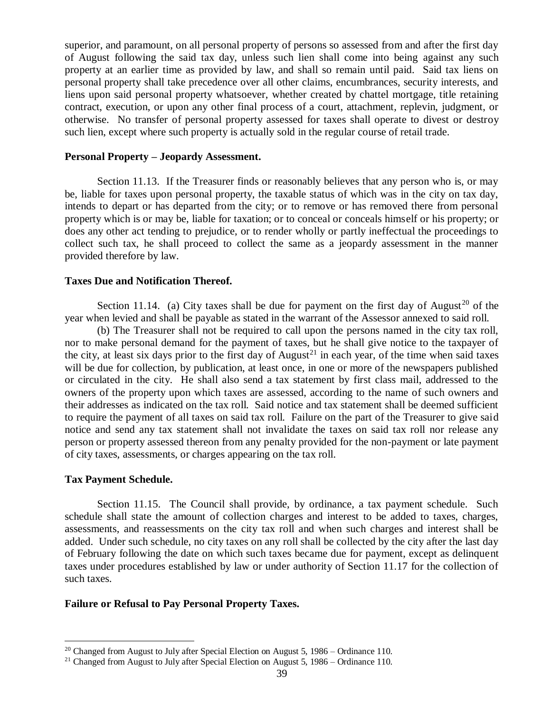superior, and paramount, on all personal property of persons so assessed from and after the first day of August following the said tax day, unless such lien shall come into being against any such property at an earlier time as provided by law, and shall so remain until paid. Said tax liens on personal property shall take precedence over all other claims, encumbrances, security interests, and liens upon said personal property whatsoever, whether created by chattel mortgage, title retaining contract, execution, or upon any other final process of a court, attachment, replevin, judgment, or otherwise. No transfer of personal property assessed for taxes shall operate to divest or destroy such lien, except where such property is actually sold in the regular course of retail trade.

#### **Personal Property – Jeopardy Assessment.**

Section 11.13. If the Treasurer finds or reasonably believes that any person who is, or may be, liable for taxes upon personal property, the taxable status of which was in the city on tax day, intends to depart or has departed from the city; or to remove or has removed there from personal property which is or may be, liable for taxation; or to conceal or conceals himself or his property; or does any other act tending to prejudice, or to render wholly or partly ineffectual the proceedings to collect such tax, he shall proceed to collect the same as a jeopardy assessment in the manner provided therefore by law.

## **Taxes Due and Notification Thereof.**

Section 11.14. (a) City taxes shall be due for payment on the first day of August<sup>20</sup> of the year when levied and shall be payable as stated in the warrant of the Assessor annexed to said roll.

(b) The Treasurer shall not be required to call upon the persons named in the city tax roll, nor to make personal demand for the payment of taxes, but he shall give notice to the taxpayer of the city, at least six days prior to the first day of August<sup>21</sup> in each year, of the time when said taxes will be due for collection, by publication, at least once, in one or more of the newspapers published or circulated in the city. He shall also send a tax statement by first class mail, addressed to the owners of the property upon which taxes are assessed, according to the name of such owners and their addresses as indicated on the tax roll. Said notice and tax statement shall be deemed sufficient to require the payment of all taxes on said tax roll. Failure on the part of the Treasurer to give said notice and send any tax statement shall not invalidate the taxes on said tax roll nor release any person or property assessed thereon from any penalty provided for the non-payment or late payment of city taxes, assessments, or charges appearing on the tax roll.

#### **Tax Payment Schedule.**

 $\overline{a}$ 

Section 11.15. The Council shall provide, by ordinance, a tax payment schedule. Such schedule shall state the amount of collection charges and interest to be added to taxes, charges, assessments, and reassessments on the city tax roll and when such charges and interest shall be added. Under such schedule, no city taxes on any roll shall be collected by the city after the last day of February following the date on which such taxes became due for payment, except as delinquent taxes under procedures established by law or under authority of Section 11.17 for the collection of such taxes.

## **Failure or Refusal to Pay Personal Property Taxes.**

<sup>&</sup>lt;sup>20</sup> Changed from August to July after Special Election on August 5, 1986 – Ordinance 110.

<sup>&</sup>lt;sup>21</sup> Changed from August to July after Special Election on August 5, 1986 – Ordinance 110.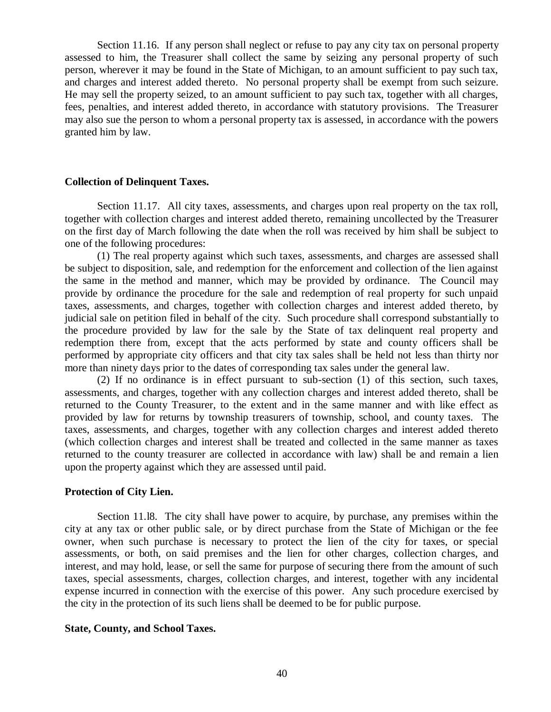Section 11.16. If any person shall neglect or refuse to pay any city tax on personal property assessed to him, the Treasurer shall collect the same by seizing any personal property of such person, wherever it may be found in the State of Michigan, to an amount sufficient to pay such tax, and charges and interest added thereto. No personal property shall be exempt from such seizure. He may sell the property seized, to an amount sufficient to pay such tax, together with all charges, fees, penalties, and interest added thereto, in accordance with statutory provisions. The Treasurer may also sue the person to whom a personal property tax is assessed, in accordance with the powers granted him by law.

#### **Collection of Delinquent Taxes.**

Section 11.17. All city taxes, assessments, and charges upon real property on the tax roll, together with collection charges and interest added thereto, remaining uncollected by the Treasurer on the first day of March following the date when the roll was received by him shall be subject to one of the following procedures:

(1) The real property against which such taxes, assessments, and charges are assessed shall be subject to disposition, sale, and redemption for the enforcement and collection of the lien against the same in the method and manner, which may be provided by ordinance. The Council may provide by ordinance the procedure for the sale and redemption of real property for such unpaid taxes, assessments, and charges, together with collection charges and interest added thereto, by judicial sale on petition filed in behalf of the city. Such procedure shall correspond substantially to the procedure provided by law for the sale by the State of tax delinquent real property and redemption there from, except that the acts performed by state and county officers shall be performed by appropriate city officers and that city tax sales shall be held not less than thirty nor more than ninety days prior to the dates of corresponding tax sales under the general law.

(2) If no ordinance is in effect pursuant to sub-section (1) of this section, such taxes, assessments, and charges, together with any collection charges and interest added thereto, shall be returned to the County Treasurer, to the extent and in the same manner and with like effect as provided by law for returns by township treasurers of township, school, and county taxes. The taxes, assessments, and charges, together with any collection charges and interest added thereto (which collection charges and interest shall be treated and collected in the same manner as taxes returned to the county treasurer are collected in accordance with law) shall be and remain a lien upon the property against which they are assessed until paid.

### **Protection of City Lien.**

Section 11.l8. The city shall have power to acquire, by purchase, any premises within the city at any tax or other public sale, or by direct purchase from the State of Michigan or the fee owner, when such purchase is necessary to protect the lien of the city for taxes, or special assessments, or both, on said premises and the lien for other charges, collection charges, and interest, and may hold, lease, or sell the same for purpose of securing there from the amount of such taxes, special assessments, charges, collection charges, and interest, together with any incidental expense incurred in connection with the exercise of this power. Any such procedure exercised by the city in the protection of its such liens shall be deemed to be for public purpose.

#### **State, County, and School Taxes.**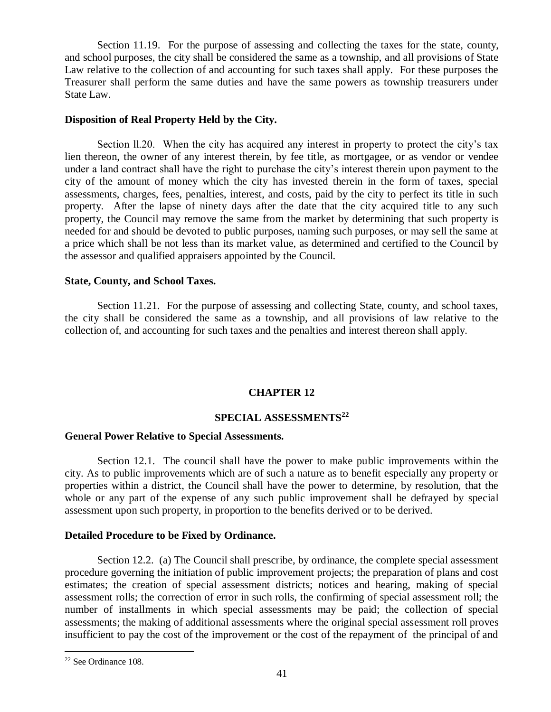Section 11.19. For the purpose of assessing and collecting the taxes for the state, county, and school purposes, the city shall be considered the same as a township, and all provisions of State Law relative to the collection of and accounting for such taxes shall apply. For these purposes the Treasurer shall perform the same duties and have the same powers as township treasurers under State Law.

## **Disposition of Real Property Held by the City.**

Section ll.20. When the city has acquired any interest in property to protect the city's tax lien thereon, the owner of any interest therein, by fee title, as mortgagee, or as vendor or vendee under a land contract shall have the right to purchase the city's interest therein upon payment to the city of the amount of money which the city has invested therein in the form of taxes, special assessments, charges, fees, penalties, interest, and costs, paid by the city to perfect its title in such property. After the lapse of ninety days after the date that the city acquired title to any such property, the Council may remove the same from the market by determining that such property is needed for and should be devoted to public purposes, naming such purposes, or may sell the same at a price which shall be not less than its market value, as determined and certified to the Council by the assessor and qualified appraisers appointed by the Council.

## **State, County, and School Taxes.**

Section 11.21. For the purpose of assessing and collecting State, county, and school taxes, the city shall be considered the same as a township, and all provisions of law relative to the collection of, and accounting for such taxes and the penalties and interest thereon shall apply.

## **CHAPTER 12**

# **SPECIAL ASSESSMENTS<sup>22</sup>**

### **General Power Relative to Special Assessments.**

Section 12.1. The council shall have the power to make public improvements within the city. As to public improvements which are of such a nature as to benefit especially any property or properties within a district, the Council shall have the power to determine, by resolution, that the whole or any part of the expense of any such public improvement shall be defrayed by special assessment upon such property, in proportion to the benefits derived or to be derived.

#### **Detailed Procedure to be Fixed by Ordinance.**

Section 12.2. (a) The Council shall prescribe, by ordinance, the complete special assessment procedure governing the initiation of public improvement projects; the preparation of plans and cost estimates; the creation of special assessment districts; notices and hearing, making of special assessment rolls; the correction of error in such rolls, the confirming of special assessment roll; the number of installments in which special assessments may be paid; the collection of special assessments; the making of additional assessments where the original special assessment roll proves insufficient to pay the cost of the improvement or the cost of the repayment of the principal of and

 $\overline{a}$ 

<sup>22</sup> See Ordinance 108.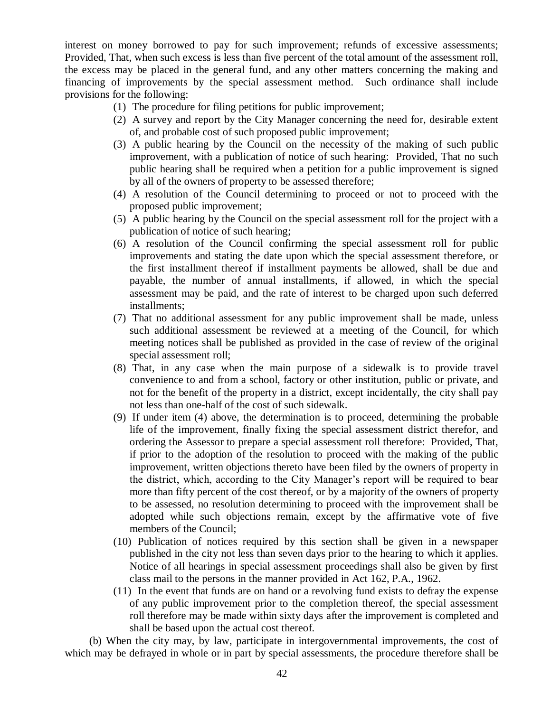interest on money borrowed to pay for such improvement; refunds of excessive assessments; Provided, That, when such excess is less than five percent of the total amount of the assessment roll, the excess may be placed in the general fund, and any other matters concerning the making and financing of improvements by the special assessment method. Such ordinance shall include provisions for the following:

- (1) The procedure for filing petitions for public improvement;
- (2) A survey and report by the City Manager concerning the need for, desirable extent of, and probable cost of such proposed public improvement;
- (3) A public hearing by the Council on the necessity of the making of such public improvement, with a publication of notice of such hearing: Provided, That no such public hearing shall be required when a petition for a public improvement is signed by all of the owners of property to be assessed therefore;
- (4) A resolution of the Council determining to proceed or not to proceed with the proposed public improvement;
- (5) A public hearing by the Council on the special assessment roll for the project with a publication of notice of such hearing;
- (6) A resolution of the Council confirming the special assessment roll for public improvements and stating the date upon which the special assessment therefore, or the first installment thereof if installment payments be allowed, shall be due and payable, the number of annual installments, if allowed, in which the special assessment may be paid, and the rate of interest to be charged upon such deferred installments;
- (7) That no additional assessment for any public improvement shall be made, unless such additional assessment be reviewed at a meeting of the Council, for which meeting notices shall be published as provided in the case of review of the original special assessment roll;
- (8) That, in any case when the main purpose of a sidewalk is to provide travel convenience to and from a school, factory or other institution, public or private, and not for the benefit of the property in a district, except incidentally, the city shall pay not less than one-half of the cost of such sidewalk.
- (9) If under item (4) above, the determination is to proceed, determining the probable life of the improvement, finally fixing the special assessment district therefor, and ordering the Assessor to prepare a special assessment roll therefore: Provided, That, if prior to the adoption of the resolution to proceed with the making of the public improvement, written objections thereto have been filed by the owners of property in the district, which, according to the City Manager's report will be required to bear more than fifty percent of the cost thereof, or by a majority of the owners of property to be assessed, no resolution determining to proceed with the improvement shall be adopted while such objections remain, except by the affirmative vote of five members of the Council;
- (10) Publication of notices required by this section shall be given in a newspaper published in the city not less than seven days prior to the hearing to which it applies. Notice of all hearings in special assessment proceedings shall also be given by first class mail to the persons in the manner provided in Act 162, P.A., 1962.
- (11) In the event that funds are on hand or a revolving fund exists to defray the expense of any public improvement prior to the completion thereof, the special assessment roll therefore may be made within sixty days after the improvement is completed and shall be based upon the actual cost thereof.

(b) When the city may, by law, participate in intergovernmental improvements, the cost of which may be defrayed in whole or in part by special assessments, the procedure therefore shall be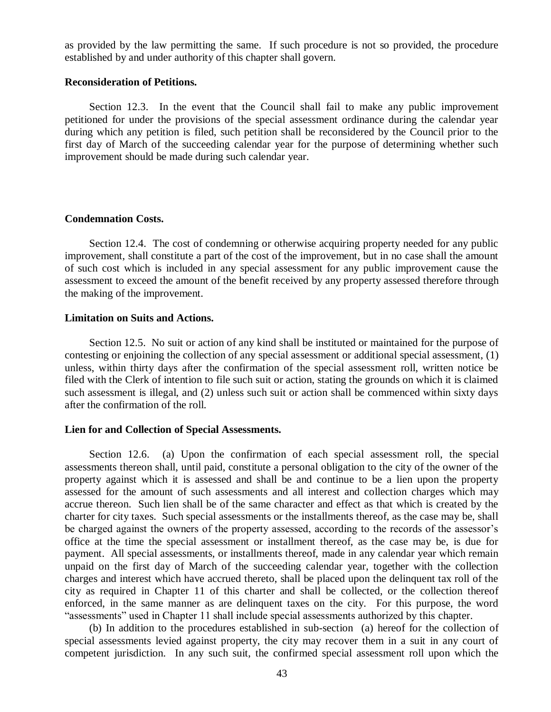as provided by the law permitting the same. If such procedure is not so provided, the procedure established by and under authority of this chapter shall govern.

#### **Reconsideration of Petitions.**

Section 12.3. In the event that the Council shall fail to make any public improvement petitioned for under the provisions of the special assessment ordinance during the calendar year during which any petition is filed, such petition shall be reconsidered by the Council prior to the first day of March of the succeeding calendar year for the purpose of determining whether such improvement should be made during such calendar year.

### **Condemnation Costs.**

Section 12.4. The cost of condemning or otherwise acquiring property needed for any public improvement, shall constitute a part of the cost of the improvement, but in no case shall the amount of such cost which is included in any special assessment for any public improvement cause the assessment to exceed the amount of the benefit received by any property assessed therefore through the making of the improvement.

### **Limitation on Suits and Actions.**

Section 12.5. No suit or action of any kind shall be instituted or maintained for the purpose of contesting or enjoining the collection of any special assessment or additional special assessment, (1) unless, within thirty days after the confirmation of the special assessment roll, written notice be filed with the Clerk of intention to file such suit or action, stating the grounds on which it is claimed such assessment is illegal, and (2) unless such suit or action shall be commenced within sixty days after the confirmation of the roll.

### **Lien for and Collection of Special Assessments.**

Section 12.6. (a) Upon the confirmation of each special assessment roll, the special assessments thereon shall, until paid, constitute a personal obligation to the city of the owner of the property against which it is assessed and shall be and continue to be a lien upon the property assessed for the amount of such assessments and all interest and collection charges which may accrue thereon. Such lien shall be of the same character and effect as that which is created by the charter for city taxes. Such special assessments or the installments thereof, as the case may be, shall be charged against the owners of the property assessed, according to the records of the assessor's office at the time the special assessment or installment thereof, as the case may be, is due for payment. All special assessments, or installments thereof, made in any calendar year which remain unpaid on the first day of March of the succeeding calendar year, together with the collection charges and interest which have accrued thereto, shall be placed upon the delinquent tax roll of the city as required in Chapter 11 of this charter and shall be collected, or the collection thereof enforced, in the same manner as are delinquent taxes on the city. For this purpose, the word "assessments" used in Chapter 11 shall include special assessments authorized by this chapter.

(b) In addition to the procedures established in sub-section (a) hereof for the collection of special assessments levied against property, the city may recover them in a suit in any court of competent jurisdiction. In any such suit, the confirmed special assessment roll upon which the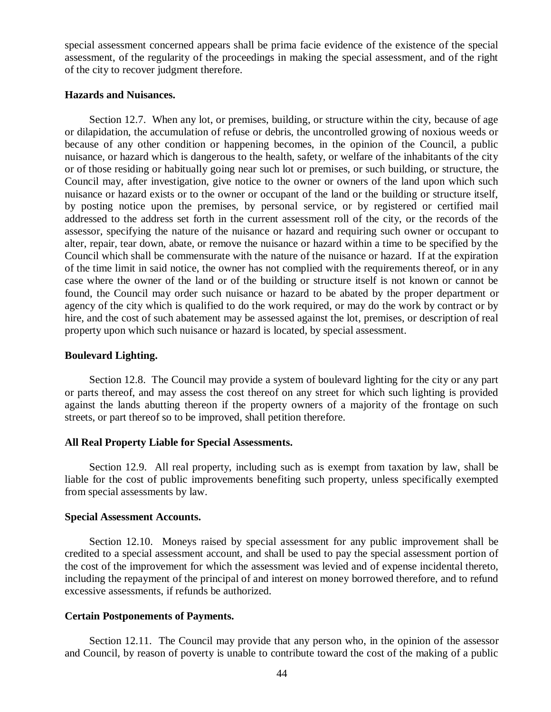special assessment concerned appears shall be prima facie evidence of the existence of the special assessment, of the regularity of the proceedings in making the special assessment, and of the right of the city to recover judgment therefore.

## **Hazards and Nuisances.**

Section 12.7. When any lot, or premises, building, or structure within the city, because of age or dilapidation, the accumulation of refuse or debris, the uncontrolled growing of noxious weeds or because of any other condition or happening becomes, in the opinion of the Council, a public nuisance, or hazard which is dangerous to the health, safety, or welfare of the inhabitants of the city or of those residing or habitually going near such lot or premises, or such building, or structure, the Council may, after investigation, give notice to the owner or owners of the land upon which such nuisance or hazard exists or to the owner or occupant of the land or the building or structure itself, by posting notice upon the premises, by personal service, or by registered or certified mail addressed to the address set forth in the current assessment roll of the city, or the records of the assessor, specifying the nature of the nuisance or hazard and requiring such owner or occupant to alter, repair, tear down, abate, or remove the nuisance or hazard within a time to be specified by the Council which shall be commensurate with the nature of the nuisance or hazard. If at the expiration of the time limit in said notice, the owner has not complied with the requirements thereof, or in any case where the owner of the land or of the building or structure itself is not known or cannot be found, the Council may order such nuisance or hazard to be abated by the proper department or agency of the city which is qualified to do the work required, or may do the work by contract or by hire, and the cost of such abatement may be assessed against the lot, premises, or description of real property upon which such nuisance or hazard is located, by special assessment.

## **Boulevard Lighting.**

Section 12.8. The Council may provide a system of boulevard lighting for the city or any part or parts thereof, and may assess the cost thereof on any street for which such lighting is provided against the lands abutting thereon if the property owners of a majority of the frontage on such streets, or part thereof so to be improved, shall petition therefore.

### **All Real Property Liable for Special Assessments.**

Section 12.9. All real property, including such as is exempt from taxation by law, shall be liable for the cost of public improvements benefiting such property, unless specifically exempted from special assessments by law.

#### **Special Assessment Accounts.**

Section 12.10. Moneys raised by special assessment for any public improvement shall be credited to a special assessment account, and shall be used to pay the special assessment portion of the cost of the improvement for which the assessment was levied and of expense incidental thereto, including the repayment of the principal of and interest on money borrowed therefore, and to refund excessive assessments, if refunds be authorized.

#### **Certain Postponements of Payments.**

Section 12.11. The Council may provide that any person who, in the opinion of the assessor and Council, by reason of poverty is unable to contribute toward the cost of the making of a public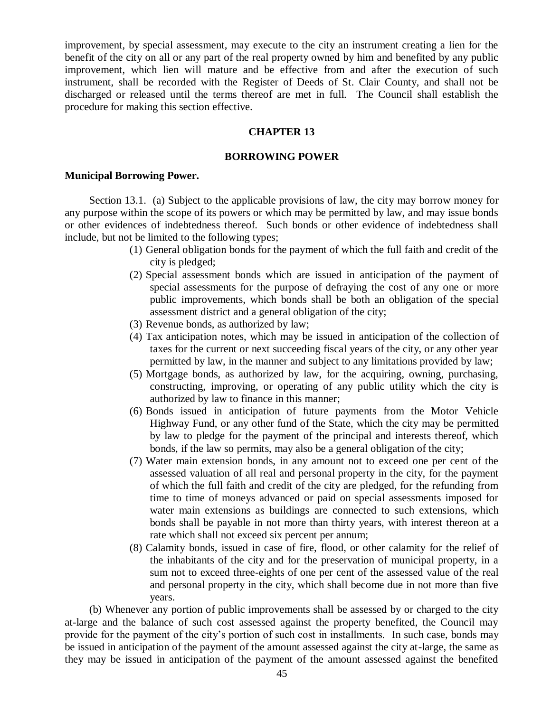improvement, by special assessment, may execute to the city an instrument creating a lien for the benefit of the city on all or any part of the real property owned by him and benefited by any public improvement, which lien will mature and be effective from and after the execution of such instrument, shall be recorded with the Register of Deeds of St. Clair County, and shall not be discharged or released until the terms thereof are met in full. The Council shall establish the procedure for making this section effective.

## **CHAPTER 13**

### **BORROWING POWER**

### **Municipal Borrowing Power.**

Section 13.1. (a) Subject to the applicable provisions of law, the city may borrow money for any purpose within the scope of its powers or which may be permitted by law, and may issue bonds or other evidences of indebtedness thereof. Such bonds or other evidence of indebtedness shall include, but not be limited to the following types;

- (1) General obligation bonds for the payment of which the full faith and credit of the city is pledged;
- (2) Special assessment bonds which are issued in anticipation of the payment of special assessments for the purpose of defraying the cost of any one or more public improvements, which bonds shall be both an obligation of the special assessment district and a general obligation of the city;
- (3) Revenue bonds, as authorized by law;
- (4) Tax anticipation notes, which may be issued in anticipation of the collection of taxes for the current or next succeeding fiscal years of the city, or any other year permitted by law, in the manner and subject to any limitations provided by law;
- (5) Mortgage bonds, as authorized by law, for the acquiring, owning, purchasing, constructing, improving, or operating of any public utility which the city is authorized by law to finance in this manner;
- (6) Bonds issued in anticipation of future payments from the Motor Vehicle Highway Fund, or any other fund of the State, which the city may be permitted by law to pledge for the payment of the principal and interests thereof, which bonds, if the law so permits, may also be a general obligation of the city;
- (7) Water main extension bonds, in any amount not to exceed one per cent of the assessed valuation of all real and personal property in the city, for the payment of which the full faith and credit of the city are pledged, for the refunding from time to time of moneys advanced or paid on special assessments imposed for water main extensions as buildings are connected to such extensions, which bonds shall be payable in not more than thirty years, with interest thereon at a rate which shall not exceed six percent per annum;
- (8) Calamity bonds, issued in case of fire, flood, or other calamity for the relief of the inhabitants of the city and for the preservation of municipal property, in a sum not to exceed three-eights of one per cent of the assessed value of the real and personal property in the city, which shall become due in not more than five years.

(b) Whenever any portion of public improvements shall be assessed by or charged to the city at-large and the balance of such cost assessed against the property benefited, the Council may provide for the payment of the city's portion of such cost in installments. In such case, bonds may be issued in anticipation of the payment of the amount assessed against the city at-large, the same as they may be issued in anticipation of the payment of the amount assessed against the benefited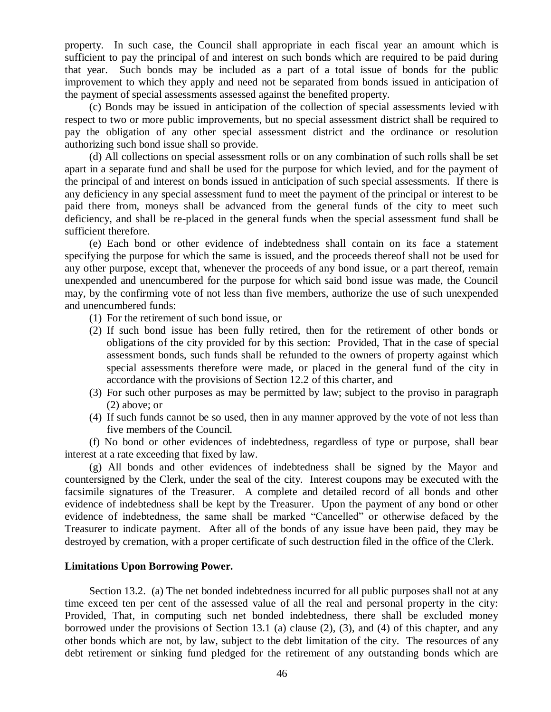property. In such case, the Council shall appropriate in each fiscal year an amount which is sufficient to pay the principal of and interest on such bonds which are required to be paid during that year. Such bonds may be included as a part of a total issue of bonds for the public improvement to which they apply and need not be separated from bonds issued in anticipation of the payment of special assessments assessed against the benefited property.

(c) Bonds may be issued in anticipation of the collection of special assessments levied with respect to two or more public improvements, but no special assessment district shall be required to pay the obligation of any other special assessment district and the ordinance or resolution authorizing such bond issue shall so provide.

(d) All collections on special assessment rolls or on any combination of such rolls shall be set apart in a separate fund and shall be used for the purpose for which levied, and for the payment of the principal of and interest on bonds issued in anticipation of such special assessments. If there is any deficiency in any special assessment fund to meet the payment of the principal or interest to be paid there from, moneys shall be advanced from the general funds of the city to meet such deficiency, and shall be re-placed in the general funds when the special assessment fund shall be sufficient therefore.

(e) Each bond or other evidence of indebtedness shall contain on its face a statement specifying the purpose for which the same is issued, and the proceeds thereof shall not be used for any other purpose, except that, whenever the proceeds of any bond issue, or a part thereof, remain unexpended and unencumbered for the purpose for which said bond issue was made, the Council may, by the confirming vote of not less than five members, authorize the use of such unexpended and unencumbered funds:

- (1) For the retirement of such bond issue, or
- (2) If such bond issue has been fully retired, then for the retirement of other bonds or obligations of the city provided for by this section: Provided, That in the case of special assessment bonds, such funds shall be refunded to the owners of property against which special assessments therefore were made, or placed in the general fund of the city in accordance with the provisions of Section 12.2 of this charter, and
- (3) For such other purposes as may be permitted by law; subject to the proviso in paragraph (2) above; or
- (4) If such funds cannot be so used, then in any manner approved by the vote of not less than five members of the Council.

(f) No bond or other evidences of indebtedness, regardless of type or purpose, shall bear interest at a rate exceeding that fixed by law.

(g) All bonds and other evidences of indebtedness shall be signed by the Mayor and countersigned by the Clerk, under the seal of the city. Interest coupons may be executed with the facsimile signatures of the Treasurer. A complete and detailed record of all bonds and other evidence of indebtedness shall be kept by the Treasurer. Upon the payment of any bond or other evidence of indebtedness, the same shall be marked "Cancelled" or otherwise defaced by the Treasurer to indicate payment. After all of the bonds of any issue have been paid, they may be destroyed by cremation, with a proper certificate of such destruction filed in the office of the Clerk.

### **Limitations Upon Borrowing Power.**

Section 13.2. (a) The net bonded indebtedness incurred for all public purposes shall not at any time exceed ten per cent of the assessed value of all the real and personal property in the city: Provided, That, in computing such net bonded indebtedness, there shall be excluded money borrowed under the provisions of Section 13.1 (a) clause (2), (3), and (4) of this chapter, and any other bonds which are not, by law, subject to the debt limitation of the city. The resources of any debt retirement or sinking fund pledged for the retirement of any outstanding bonds which are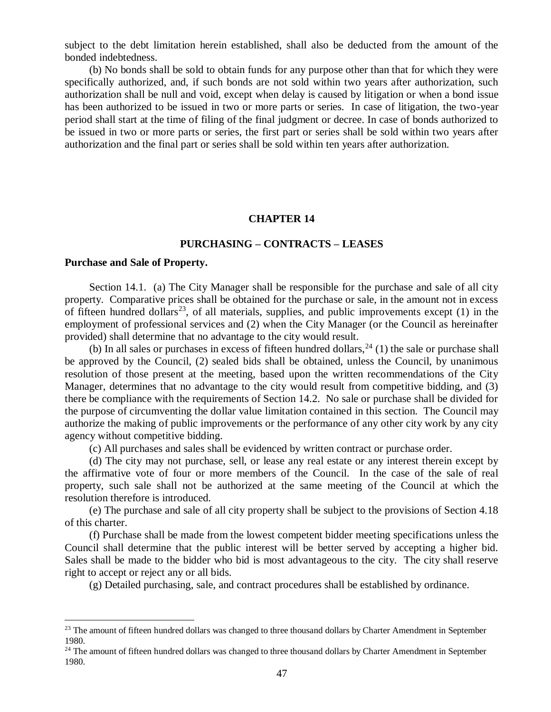subject to the debt limitation herein established, shall also be deducted from the amount of the bonded indebtedness.

(b) No bonds shall be sold to obtain funds for any purpose other than that for which they were specifically authorized, and, if such bonds are not sold within two years after authorization, such authorization shall be null and void, except when delay is caused by litigation or when a bond issue has been authorized to be issued in two or more parts or series. In case of litigation, the two-year period shall start at the time of filing of the final judgment or decree. In case of bonds authorized to be issued in two or more parts or series, the first part or series shall be sold within two years after authorization and the final part or series shall be sold within ten years after authorization.

## **CHAPTER 14**

## **PURCHASING – CONTRACTS – LEASES**

## **Purchase and Sale of Property.**

 $\overline{a}$ 

Section 14.1. (a) The City Manager shall be responsible for the purchase and sale of all city property. Comparative prices shall be obtained for the purchase or sale, in the amount not in excess of fifteen hundred dollars<sup>23</sup>, of all materials, supplies, and public improvements except  $(1)$  in the employment of professional services and (2) when the City Manager (or the Council as hereinafter provided) shall determine that no advantage to the city would result.

(b) In all sales or purchases in excess of fifteen hundred dollars,  $^{24}$  (1) the sale or purchase shall be approved by the Council, (2) sealed bids shall be obtained, unless the Council, by unanimous resolution of those present at the meeting, based upon the written recommendations of the City Manager, determines that no advantage to the city would result from competitive bidding, and (3) there be compliance with the requirements of Section 14.2. No sale or purchase shall be divided for the purpose of circumventing the dollar value limitation contained in this section. The Council may authorize the making of public improvements or the performance of any other city work by any city agency without competitive bidding.

(c) All purchases and sales shall be evidenced by written contract or purchase order.

(d) The city may not purchase, sell, or lease any real estate or any interest therein except by the affirmative vote of four or more members of the Council. In the case of the sale of real property, such sale shall not be authorized at the same meeting of the Council at which the resolution therefore is introduced.

(e) The purchase and sale of all city property shall be subject to the provisions of Section 4.18 of this charter.

(f) Purchase shall be made from the lowest competent bidder meeting specifications unless the Council shall determine that the public interest will be better served by accepting a higher bid. Sales shall be made to the bidder who bid is most advantageous to the city. The city shall reserve right to accept or reject any or all bids.

(g) Detailed purchasing, sale, and contract procedures shall be established by ordinance.

<sup>&</sup>lt;sup>23</sup> The amount of fifteen hundred dollars was changed to three thousand dollars by Charter Amendment in September 1980.

<sup>&</sup>lt;sup>24</sup> The amount of fifteen hundred dollars was changed to three thousand dollars by Charter Amendment in September 1980.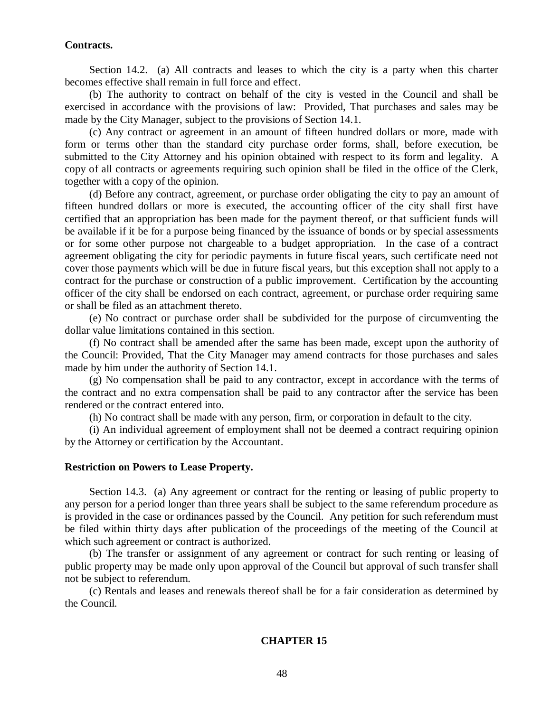### **Contracts.**

Section 14.2. (a) All contracts and leases to which the city is a party when this charter becomes effective shall remain in full force and effect.

(b) The authority to contract on behalf of the city is vested in the Council and shall be exercised in accordance with the provisions of law: Provided, That purchases and sales may be made by the City Manager, subject to the provisions of Section 14.1.

(c) Any contract or agreement in an amount of fifteen hundred dollars or more, made with form or terms other than the standard city purchase order forms, shall, before execution, be submitted to the City Attorney and his opinion obtained with respect to its form and legality. A copy of all contracts or agreements requiring such opinion shall be filed in the office of the Clerk, together with a copy of the opinion.

(d) Before any contract, agreement, or purchase order obligating the city to pay an amount of fifteen hundred dollars or more is executed, the accounting officer of the city shall first have certified that an appropriation has been made for the payment thereof, or that sufficient funds will be available if it be for a purpose being financed by the issuance of bonds or by special assessments or for some other purpose not chargeable to a budget appropriation. In the case of a contract agreement obligating the city for periodic payments in future fiscal years, such certificate need not cover those payments which will be due in future fiscal years, but this exception shall not apply to a contract for the purchase or construction of a public improvement. Certification by the accounting officer of the city shall be endorsed on each contract, agreement, or purchase order requiring same or shall be filed as an attachment thereto.

(e) No contract or purchase order shall be subdivided for the purpose of circumventing the dollar value limitations contained in this section.

(f) No contract shall be amended after the same has been made, except upon the authority of the Council: Provided, That the City Manager may amend contracts for those purchases and sales made by him under the authority of Section 14.1.

(g) No compensation shall be paid to any contractor, except in accordance with the terms of the contract and no extra compensation shall be paid to any contractor after the service has been rendered or the contract entered into.

(h) No contract shall be made with any person, firm, or corporation in default to the city.

(i) An individual agreement of employment shall not be deemed a contract requiring opinion by the Attorney or certification by the Accountant.

## **Restriction on Powers to Lease Property.**

Section 14.3. (a) Any agreement or contract for the renting or leasing of public property to any person for a period longer than three years shall be subject to the same referendum procedure as is provided in the case or ordinances passed by the Council. Any petition for such referendum must be filed within thirty days after publication of the proceedings of the meeting of the Council at which such agreement or contract is authorized.

(b) The transfer or assignment of any agreement or contract for such renting or leasing of public property may be made only upon approval of the Council but approval of such transfer shall not be subject to referendum.

(c) Rentals and leases and renewals thereof shall be for a fair consideration as determined by the Council.

## **CHAPTER 15**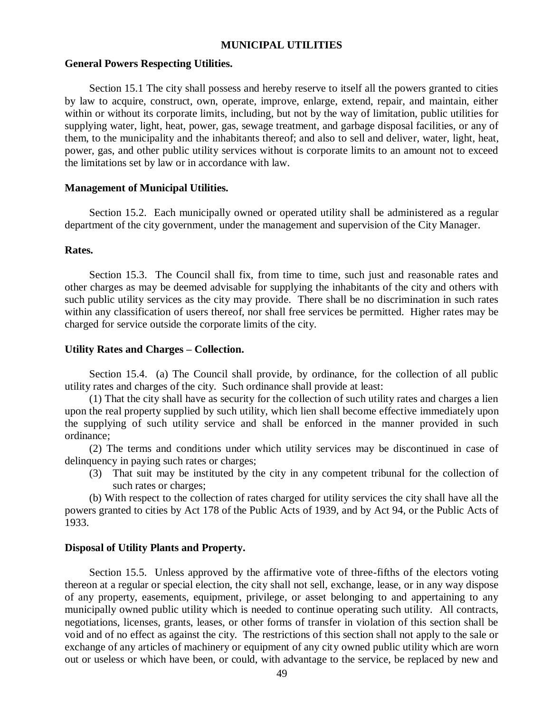## **MUNICIPAL UTILITIES**

### **General Powers Respecting Utilities.**

Section 15.1 The city shall possess and hereby reserve to itself all the powers granted to cities by law to acquire, construct, own, operate, improve, enlarge, extend, repair, and maintain, either within or without its corporate limits, including, but not by the way of limitation, public utilities for supplying water, light, heat, power, gas, sewage treatment, and garbage disposal facilities, or any of them, to the municipality and the inhabitants thereof; and also to sell and deliver, water, light, heat, power, gas, and other public utility services without is corporate limits to an amount not to exceed the limitations set by law or in accordance with law.

## **Management of Municipal Utilities.**

Section 15.2. Each municipally owned or operated utility shall be administered as a regular department of the city government, under the management and supervision of the City Manager.

## **Rates.**

Section 15.3. The Council shall fix, from time to time, such just and reasonable rates and other charges as may be deemed advisable for supplying the inhabitants of the city and others with such public utility services as the city may provide. There shall be no discrimination in such rates within any classification of users thereof, nor shall free services be permitted. Higher rates may be charged for service outside the corporate limits of the city.

### **Utility Rates and Charges – Collection.**

Section 15.4. (a) The Council shall provide, by ordinance, for the collection of all public utility rates and charges of the city. Such ordinance shall provide at least:

(1) That the city shall have as security for the collection of such utility rates and charges a lien upon the real property supplied by such utility, which lien shall become effective immediately upon the supplying of such utility service and shall be enforced in the manner provided in such ordinance;

(2) The terms and conditions under which utility services may be discontinued in case of delinquency in paying such rates or charges;

(3) That suit may be instituted by the city in any competent tribunal for the collection of such rates or charges;

(b) With respect to the collection of rates charged for utility services the city shall have all the powers granted to cities by Act 178 of the Public Acts of 1939, and by Act 94, or the Public Acts of 1933.

## **Disposal of Utility Plants and Property.**

Section 15.5. Unless approved by the affirmative vote of three-fifths of the electors voting thereon at a regular or special election, the city shall not sell, exchange, lease, or in any way dispose of any property, easements, equipment, privilege, or asset belonging to and appertaining to any municipally owned public utility which is needed to continue operating such utility. All contracts, negotiations, licenses, grants, leases, or other forms of transfer in violation of this section shall be void and of no effect as against the city. The restrictions of this section shall not apply to the sale or exchange of any articles of machinery or equipment of any city owned public utility which are worn out or useless or which have been, or could, with advantage to the service, be replaced by new and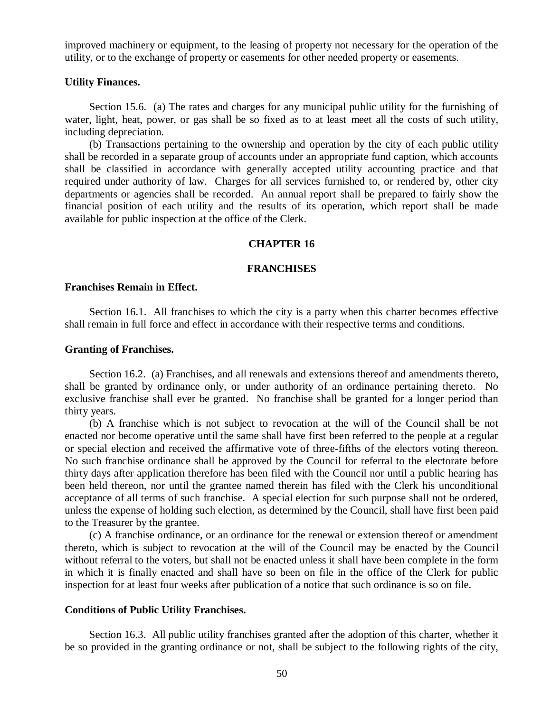improved machinery or equipment, to the leasing of property not necessary for the operation of the utility, or to the exchange of property or easements for other needed property or easements.

### **Utility Finances.**

Section 15.6. (a) The rates and charges for any municipal public utility for the furnishing of water, light, heat, power, or gas shall be so fixed as to at least meet all the costs of such utility, including depreciation.

(b) Transactions pertaining to the ownership and operation by the city of each public utility shall be recorded in a separate group of accounts under an appropriate fund caption, which accounts shall be classified in accordance with generally accepted utility accounting practice and that required under authority of law. Charges for all services furnished to, or rendered by, other city departments or agencies shall be recorded. An annual report shall be prepared to fairly show the financial position of each utility and the results of its operation, which report shall be made available for public inspection at the office of the Clerk.

### **CHAPTER 16**

#### **FRANCHISES**

## **Franchises Remain in Effect.**

Section 16.1. All franchises to which the city is a party when this charter becomes effective shall remain in full force and effect in accordance with their respective terms and conditions.

#### **Granting of Franchises.**

Section 16.2. (a) Franchises, and all renewals and extensions thereof and amendments thereto, shall be granted by ordinance only, or under authority of an ordinance pertaining thereto. No exclusive franchise shall ever be granted. No franchise shall be granted for a longer period than thirty years.

(b) A franchise which is not subject to revocation at the will of the Council shall be not enacted nor become operative until the same shall have first been referred to the people at a regular or special election and received the affirmative vote of three-fifths of the electors voting thereon. No such franchise ordinance shall be approved by the Council for referral to the electorate before thirty days after application therefore has been filed with the Council nor until a public hearing has been held thereon, nor until the grantee named therein has filed with the Clerk his unconditional acceptance of all terms of such franchise. A special election for such purpose shall not be ordered, unless the expense of holding such election, as determined by the Council, shall have first been paid to the Treasurer by the grantee.

(c) A franchise ordinance, or an ordinance for the renewal or extension thereof or amendment thereto, which is subject to revocation at the will of the Council may be enacted by the Council without referral to the voters, but shall not be enacted unless it shall have been complete in the form in which it is finally enacted and shall have so been on file in the office of the Clerk for public inspection for at least four weeks after publication of a notice that such ordinance is so on file.

### **Conditions of Public Utility Franchises.**

Section 16.3. All public utility franchises granted after the adoption of this charter, whether it be so provided in the granting ordinance or not, shall be subject to the following rights of the city,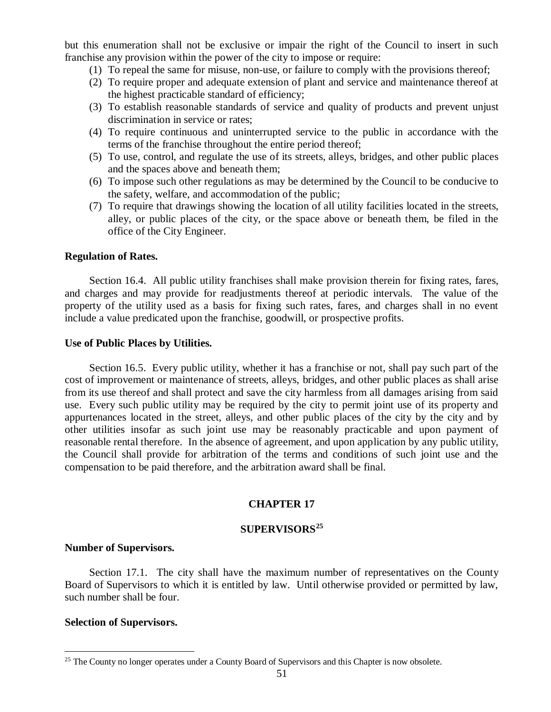but this enumeration shall not be exclusive or impair the right of the Council to insert in such franchise any provision within the power of the city to impose or require:

- (1) To repeal the same for misuse, non-use, or failure to comply with the provisions thereof;
- (2) To require proper and adequate extension of plant and service and maintenance thereof at the highest practicable standard of efficiency;
- (3) To establish reasonable standards of service and quality of products and prevent unjust discrimination in service or rates;
- (4) To require continuous and uninterrupted service to the public in accordance with the terms of the franchise throughout the entire period thereof;
- (5) To use, control, and regulate the use of its streets, alleys, bridges, and other public places and the spaces above and beneath them;
- (6) To impose such other regulations as may be determined by the Council to be conducive to the safety, welfare, and accommodation of the public;
- (7) To require that drawings showing the location of all utility facilities located in the streets, alley, or public places of the city, or the space above or beneath them, be filed in the office of the City Engineer.

## **Regulation of Rates.**

Section 16.4. All public utility franchises shall make provision therein for fixing rates, fares, and charges and may provide for readjustments thereof at periodic intervals. The value of the property of the utility used as a basis for fixing such rates, fares, and charges shall in no event include a value predicated upon the franchise, goodwill, or prospective profits.

## **Use of Public Places by Utilities.**

Section 16.5. Every public utility, whether it has a franchise or not, shall pay such part of the cost of improvement or maintenance of streets, alleys, bridges, and other public places as shall arise from its use thereof and shall protect and save the city harmless from all damages arising from said use. Every such public utility may be required by the city to permit joint use of its property and appurtenances located in the street, alleys, and other public places of the city by the city and by other utilities insofar as such joint use may be reasonably practicable and upon payment of reasonable rental therefore. In the absence of agreement, and upon application by any public utility, the Council shall provide for arbitration of the terms and conditions of such joint use and the compensation to be paid therefore, and the arbitration award shall be final.

# **CHAPTER 17**

# **SUPERVISORS<sup>25</sup>**

## **Number of Supervisors.**

Section 17.1. The city shall have the maximum number of representatives on the County Board of Supervisors to which it is entitled by law. Until otherwise provided or permitted by law, such number shall be four.

## **Selection of Supervisors.**

 $\overline{a}$ <sup>25</sup> The County no longer operates under a County Board of Supervisors and this Chapter is now obsolete.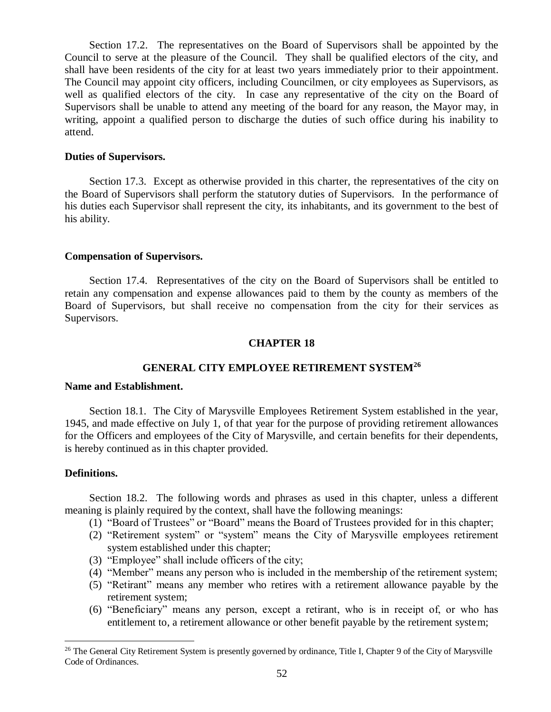Section 17.2. The representatives on the Board of Supervisors shall be appointed by the Council to serve at the pleasure of the Council. They shall be qualified electors of the city, and shall have been residents of the city for at least two years immediately prior to their appointment. The Council may appoint city officers, including Councilmen, or city employees as Supervisors, as well as qualified electors of the city. In case any representative of the city on the Board of Supervisors shall be unable to attend any meeting of the board for any reason, the Mayor may, in writing, appoint a qualified person to discharge the duties of such office during his inability to attend.

#### **Duties of Supervisors.**

Section 17.3. Except as otherwise provided in this charter, the representatives of the city on the Board of Supervisors shall perform the statutory duties of Supervisors. In the performance of his duties each Supervisor shall represent the city, its inhabitants, and its government to the best of his ability.

#### **Compensation of Supervisors.**

Section 17.4. Representatives of the city on the Board of Supervisors shall be entitled to retain any compensation and expense allowances paid to them by the county as members of the Board of Supervisors, but shall receive no compensation from the city for their services as Supervisors.

### **CHAPTER 18**

# **GENERAL CITY EMPLOYEE RETIREMENT SYSTEM<sup>26</sup>**

## **Name and Establishment.**

Section 18.1. The City of Marysville Employees Retirement System established in the year, 1945, and made effective on July 1, of that year for the purpose of providing retirement allowances for the Officers and employees of the City of Marysville, and certain benefits for their dependents, is hereby continued as in this chapter provided.

#### **Definitions.**

 $\overline{a}$ 

Section 18.2. The following words and phrases as used in this chapter, unless a different meaning is plainly required by the context, shall have the following meanings:

- (1) "Board of Trustees" or "Board" means the Board of Trustees provided for in this chapter;
- (2) "Retirement system" or "system" means the City of Marysville employees retirement system established under this chapter;
- (3) "Employee" shall include officers of the city;
- (4) "Member" means any person who is included in the membership of the retirement system;
- (5) "Retirant" means any member who retires with a retirement allowance payable by the retirement system;
- (6) "Beneficiary" means any person, except a retirant, who is in receipt of, or who has entitlement to, a retirement allowance or other benefit payable by the retirement system;

<sup>&</sup>lt;sup>26</sup> The General City Retirement System is presently governed by ordinance, Title I, Chapter 9 of the City of Marysville Code of Ordinances.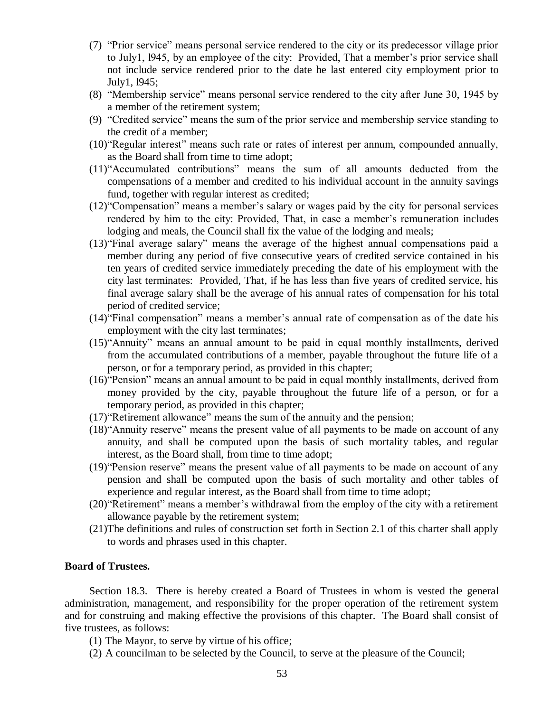- (7) "Prior service" means personal service rendered to the city or its predecessor village prior to July1, l945, by an employee of the city: Provided, That a member's prior service shall not include service rendered prior to the date he last entered city employment prior to July1, l945;
- (8) "Membership service" means personal service rendered to the city after June 30, 1945 by a member of the retirement system;
- (9) "Credited service" means the sum of the prior service and membership service standing to the credit of a member;
- (10)"Regular interest" means such rate or rates of interest per annum, compounded annually, as the Board shall from time to time adopt;
- (11)"Accumulated contributions" means the sum of all amounts deducted from the compensations of a member and credited to his individual account in the annuity savings fund, together with regular interest as credited;
- (12)"Compensation" means a member's salary or wages paid by the city for personal services rendered by him to the city: Provided, That, in case a member's remuneration includes lodging and meals, the Council shall fix the value of the lodging and meals;
- (13)"Final average salary" means the average of the highest annual compensations paid a member during any period of five consecutive years of credited service contained in his ten years of credited service immediately preceding the date of his employment with the city last terminates: Provided, That, if he has less than five years of credited service, his final average salary shall be the average of his annual rates of compensation for his total period of credited service;
- (14)"Final compensation" means a member's annual rate of compensation as of the date his employment with the city last terminates;
- (15)"Annuity" means an annual amount to be paid in equal monthly installments, derived from the accumulated contributions of a member, payable throughout the future life of a person, or for a temporary period, as provided in this chapter;
- (16)"Pension" means an annual amount to be paid in equal monthly installments, derived from money provided by the city, payable throughout the future life of a person, or for a temporary period, as provided in this chapter;
- (17)"Retirement allowance" means the sum of the annuity and the pension;
- (18)"Annuity reserve" means the present value of all payments to be made on account of any annuity, and shall be computed upon the basis of such mortality tables, and regular interest, as the Board shall, from time to time adopt;
- (19)"Pension reserve" means the present value of all payments to be made on account of any pension and shall be computed upon the basis of such mortality and other tables of experience and regular interest, as the Board shall from time to time adopt;
- (20)"Retirement" means a member's withdrawal from the employ of the city with a retirement allowance payable by the retirement system;
- (21)The definitions and rules of construction set forth in Section 2.1 of this charter shall apply to words and phrases used in this chapter.

## **Board of Trustees.**

Section 18.3. There is hereby created a Board of Trustees in whom is vested the general administration, management, and responsibility for the proper operation of the retirement system and for construing and making effective the provisions of this chapter. The Board shall consist of five trustees, as follows:

- (1) The Mayor, to serve by virtue of his office;
- (2) A councilman to be selected by the Council, to serve at the pleasure of the Council;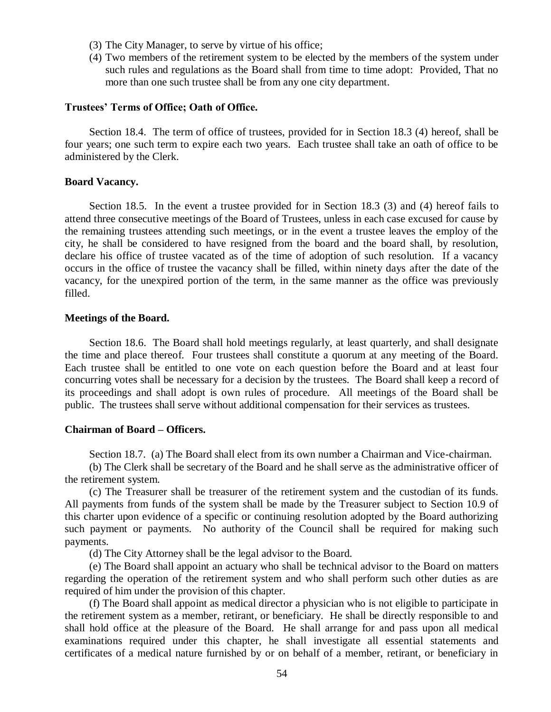- (3) The City Manager, to serve by virtue of his office;
- (4) Two members of the retirement system to be elected by the members of the system under such rules and regulations as the Board shall from time to time adopt: Provided, That no more than one such trustee shall be from any one city department.

#### **Trustees' Terms of Office; Oath of Office.**

Section 18.4. The term of office of trustees, provided for in Section 18.3 (4) hereof, shall be four years; one such term to expire each two years. Each trustee shall take an oath of office to be administered by the Clerk.

### **Board Vacancy.**

Section 18.5. In the event a trustee provided for in Section 18.3 (3) and (4) hereof fails to attend three consecutive meetings of the Board of Trustees, unless in each case excused for cause by the remaining trustees attending such meetings, or in the event a trustee leaves the employ of the city, he shall be considered to have resigned from the board and the board shall, by resolution, declare his office of trustee vacated as of the time of adoption of such resolution. If a vacancy occurs in the office of trustee the vacancy shall be filled, within ninety days after the date of the vacancy, for the unexpired portion of the term, in the same manner as the office was previously filled.

### **Meetings of the Board.**

Section 18.6. The Board shall hold meetings regularly, at least quarterly, and shall designate the time and place thereof. Four trustees shall constitute a quorum at any meeting of the Board. Each trustee shall be entitled to one vote on each question before the Board and at least four concurring votes shall be necessary for a decision by the trustees. The Board shall keep a record of its proceedings and shall adopt is own rules of procedure. All meetings of the Board shall be public. The trustees shall serve without additional compensation for their services as trustees.

## **Chairman of Board – Officers.**

Section 18.7. (a) The Board shall elect from its own number a Chairman and Vice-chairman.

(b) The Clerk shall be secretary of the Board and he shall serve as the administrative officer of the retirement system.

(c) The Treasurer shall be treasurer of the retirement system and the custodian of its funds. All payments from funds of the system shall be made by the Treasurer subject to Section 10.9 of this charter upon evidence of a specific or continuing resolution adopted by the Board authorizing such payment or payments. No authority of the Council shall be required for making such payments.

(d) The City Attorney shall be the legal advisor to the Board.

(e) The Board shall appoint an actuary who shall be technical advisor to the Board on matters regarding the operation of the retirement system and who shall perform such other duties as are required of him under the provision of this chapter.

(f) The Board shall appoint as medical director a physician who is not eligible to participate in the retirement system as a member, retirant, or beneficiary. He shall be directly responsible to and shall hold office at the pleasure of the Board. He shall arrange for and pass upon all medical examinations required under this chapter, he shall investigate all essential statements and certificates of a medical nature furnished by or on behalf of a member, retirant, or beneficiary in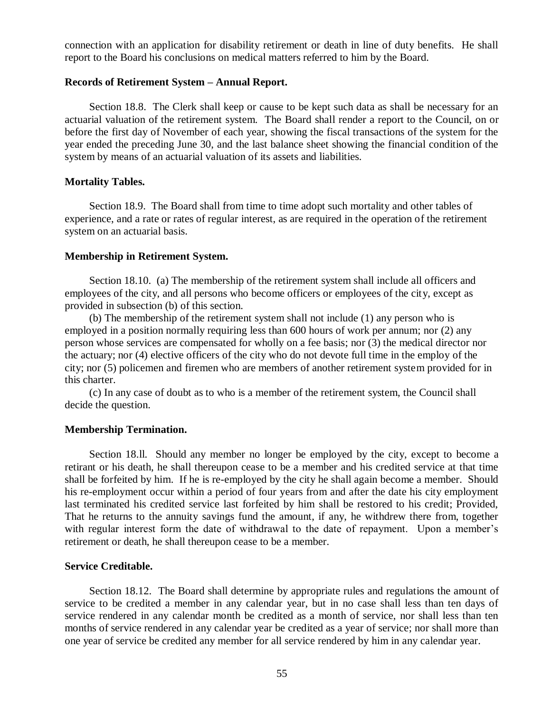connection with an application for disability retirement or death in line of duty benefits. He shall report to the Board his conclusions on medical matters referred to him by the Board.

#### **Records of Retirement System – Annual Report.**

Section 18.8. The Clerk shall keep or cause to be kept such data as shall be necessary for an actuarial valuation of the retirement system. The Board shall render a report to the Council, on or before the first day of November of each year, showing the fiscal transactions of the system for the year ended the preceding June 30, and the last balance sheet showing the financial condition of the system by means of an actuarial valuation of its assets and liabilities.

#### **Mortality Tables.**

Section 18.9. The Board shall from time to time adopt such mortality and other tables of experience, and a rate or rates of regular interest, as are required in the operation of the retirement system on an actuarial basis.

#### **Membership in Retirement System.**

Section 18.10. (a) The membership of the retirement system shall include all officers and employees of the city, and all persons who become officers or employees of the city, except as provided in subsection (b) of this section.

(b) The membership of the retirement system shall not include (1) any person who is employed in a position normally requiring less than 600 hours of work per annum; nor (2) any person whose services are compensated for wholly on a fee basis; nor (3) the medical director nor the actuary; nor (4) elective officers of the city who do not devote full time in the employ of the city; nor (5) policemen and firemen who are members of another retirement system provided for in this charter.

(c) In any case of doubt as to who is a member of the retirement system, the Council shall decide the question.

### **Membership Termination.**

Section 18.ll. Should any member no longer be employed by the city, except to become a retirant or his death, he shall thereupon cease to be a member and his credited service at that time shall be forfeited by him. If he is re-employed by the city he shall again become a member. Should his re-employment occur within a period of four years from and after the date his city employment last terminated his credited service last forfeited by him shall be restored to his credit; Provided, That he returns to the annuity savings fund the amount, if any, he withdrew there from, together with regular interest form the date of withdrawal to the date of repayment. Upon a member's retirement or death, he shall thereupon cease to be a member.

### **Service Creditable.**

Section 18.12. The Board shall determine by appropriate rules and regulations the amount of service to be credited a member in any calendar year, but in no case shall less than ten days of service rendered in any calendar month be credited as a month of service, nor shall less than ten months of service rendered in any calendar year be credited as a year of service; nor shall more than one year of service be credited any member for all service rendered by him in any calendar year.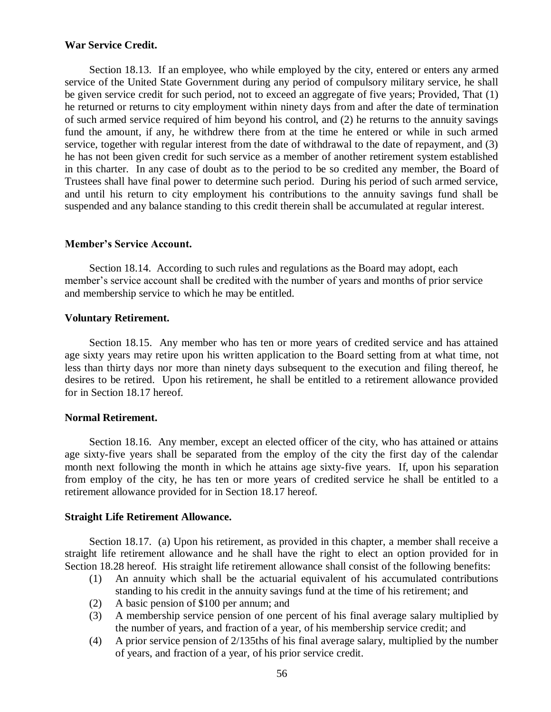## **War Service Credit.**

Section 18.13. If an employee, who while employed by the city, entered or enters any armed service of the United State Government during any period of compulsory military service, he shall be given service credit for such period, not to exceed an aggregate of five years; Provided, That (1) he returned or returns to city employment within ninety days from and after the date of termination of such armed service required of him beyond his control, and (2) he returns to the annuity savings fund the amount, if any, he withdrew there from at the time he entered or while in such armed service, together with regular interest from the date of withdrawal to the date of repayment, and (3) he has not been given credit for such service as a member of another retirement system established in this charter. In any case of doubt as to the period to be so credited any member, the Board of Trustees shall have final power to determine such period. During his period of such armed service, and until his return to city employment his contributions to the annuity savings fund shall be suspended and any balance standing to this credit therein shall be accumulated at regular interest.

## **Member's Service Account.**

Section 18.14. According to such rules and regulations as the Board may adopt, each member's service account shall be credited with the number of years and months of prior service and membership service to which he may be entitled.

## **Voluntary Retirement.**

Section 18.15. Any member who has ten or more years of credited service and has attained age sixty years may retire upon his written application to the Board setting from at what time, not less than thirty days nor more than ninety days subsequent to the execution and filing thereof, he desires to be retired. Upon his retirement, he shall be entitled to a retirement allowance provided for in Section 18.17 hereof.

## **Normal Retirement.**

Section 18.16. Any member, except an elected officer of the city, who has attained or attains age sixty-five years shall be separated from the employ of the city the first day of the calendar month next following the month in which he attains age sixty-five years. If, upon his separation from employ of the city, he has ten or more years of credited service he shall be entitled to a retirement allowance provided for in Section 18.17 hereof.

## **Straight Life Retirement Allowance.**

Section 18.17. (a) Upon his retirement, as provided in this chapter, a member shall receive a straight life retirement allowance and he shall have the right to elect an option provided for in Section 18.28 hereof. His straight life retirement allowance shall consist of the following benefits:

- (1) An annuity which shall be the actuarial equivalent of his accumulated contributions standing to his credit in the annuity savings fund at the time of his retirement; and
- (2) A basic pension of \$100 per annum; and
- (3) A membership service pension of one percent of his final average salary multiplied by the number of years, and fraction of a year, of his membership service credit; and
- (4) A prior service pension of 2/135ths of his final average salary, multiplied by the number of years, and fraction of a year, of his prior service credit.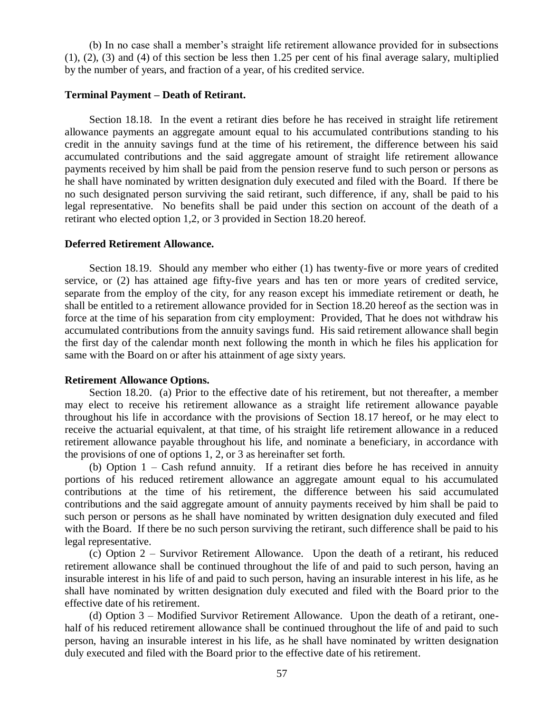(b) In no case shall a member's straight life retirement allowance provided for in subsections (1), (2), (3) and (4) of this section be less then 1.25 per cent of his final average salary, multiplied by the number of years, and fraction of a year, of his credited service.

## **Terminal Payment – Death of Retirant.**

Section 18.18. In the event a retirant dies before he has received in straight life retirement allowance payments an aggregate amount equal to his accumulated contributions standing to his credit in the annuity savings fund at the time of his retirement, the difference between his said accumulated contributions and the said aggregate amount of straight life retirement allowance payments received by him shall be paid from the pension reserve fund to such person or persons as he shall have nominated by written designation duly executed and filed with the Board. If there be no such designated person surviving the said retirant, such difference, if any, shall be paid to his legal representative. No benefits shall be paid under this section on account of the death of a retirant who elected option 1,2, or 3 provided in Section 18.20 hereof.

#### **Deferred Retirement Allowance.**

Section 18.19. Should any member who either (1) has twenty-five or more years of credited service, or (2) has attained age fifty-five years and has ten or more years of credited service, separate from the employ of the city, for any reason except his immediate retirement or death, he shall be entitled to a retirement allowance provided for in Section 18.20 hereof as the section was in force at the time of his separation from city employment: Provided, That he does not withdraw his accumulated contributions from the annuity savings fund. His said retirement allowance shall begin the first day of the calendar month next following the month in which he files his application for same with the Board on or after his attainment of age sixty years.

### **Retirement Allowance Options.**

Section 18.20. (a) Prior to the effective date of his retirement, but not thereafter, a member may elect to receive his retirement allowance as a straight life retirement allowance payable throughout his life in accordance with the provisions of Section 18.17 hereof, or he may elect to receive the actuarial equivalent, at that time, of his straight life retirement allowance in a reduced retirement allowance payable throughout his life, and nominate a beneficiary, in accordance with the provisions of one of options 1, 2, or 3 as hereinafter set forth.

(b) Option 1 – Cash refund annuity. If a retirant dies before he has received in annuity portions of his reduced retirement allowance an aggregate amount equal to his accumulated contributions at the time of his retirement, the difference between his said accumulated contributions and the said aggregate amount of annuity payments received by him shall be paid to such person or persons as he shall have nominated by written designation duly executed and filed with the Board. If there be no such person surviving the retirant, such difference shall be paid to his legal representative.

(c) Option 2 – Survivor Retirement Allowance. Upon the death of a retirant, his reduced retirement allowance shall be continued throughout the life of and paid to such person, having an insurable interest in his life of and paid to such person, having an insurable interest in his life, as he shall have nominated by written designation duly executed and filed with the Board prior to the effective date of his retirement.

(d) Option 3 – Modified Survivor Retirement Allowance. Upon the death of a retirant, onehalf of his reduced retirement allowance shall be continued throughout the life of and paid to such person, having an insurable interest in his life, as he shall have nominated by written designation duly executed and filed with the Board prior to the effective date of his retirement.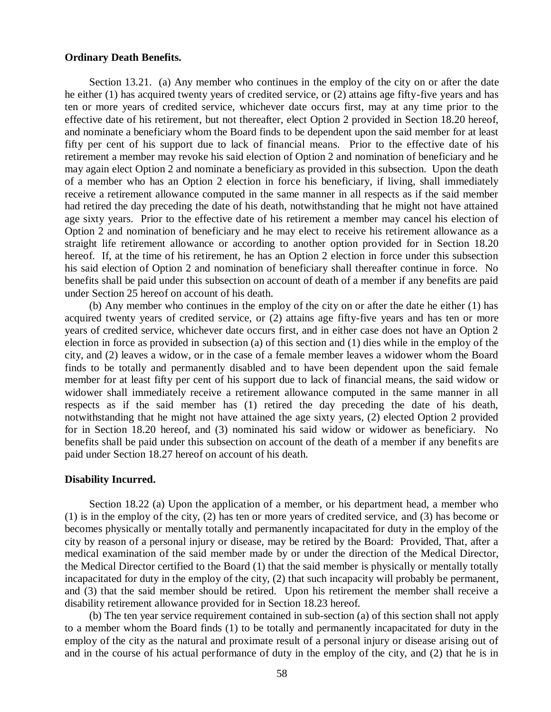#### **Ordinary Death Benefits.**

Section 13.21. (a) Any member who continues in the employ of the city on or after the date he either (1) has acquired twenty years of credited service, or (2) attains age fifty-five years and has ten or more years of credited service, whichever date occurs first, may at any time prior to the effective date of his retirement, but not thereafter, elect Option 2 provided in Section 18.20 hereof, and nominate a beneficiary whom the Board finds to be dependent upon the said member for at least fifty per cent of his support due to lack of financial means. Prior to the effective date of his retirement a member may revoke his said election of Option 2 and nomination of beneficiary and he may again elect Option 2 and nominate a beneficiary as provided in this subsection. Upon the death of a member who has an Option 2 election in force his beneficiary, if living, shall immediately receive a retirement allowance computed in the same manner in all respects as if the said member had retired the day preceding the date of his death, notwithstanding that he might not have attained age sixty years. Prior to the effective date of his retirement a member may cancel his election of Option 2 and nomination of beneficiary and he may elect to receive his retirement allowance as a straight life retirement allowance or according to another option provided for in Section 18.20 hereof. If, at the time of his retirement, he has an Option 2 election in force under this subsection his said election of Option 2 and nomination of beneficiary shall thereafter continue in force. No benefits shall be paid under this subsection on account of death of a member if any benefits are paid under Section 25 hereof on account of his death.

(b) Any member who continues in the employ of the city on or after the date he either (1) has acquired twenty years of credited service, or (2) attains age fifty-five years and has ten or more years of credited service, whichever date occurs first, and in either case does not have an Option 2 election in force as provided in subsection (a) of this section and (1) dies while in the employ of the city, and (2) leaves a widow, or in the case of a female member leaves a widower whom the Board finds to be totally and permanently disabled and to have been dependent upon the said female member for at least fifty per cent of his support due to lack of financial means, the said widow or widower shall immediately receive a retirement allowance computed in the same manner in all respects as if the said member has (1) retired the day preceding the date of his death, notwithstanding that he might not have attained the age sixty years, (2) elected Option 2 provided for in Section 18.20 hereof, and (3) nominated his said widow or widower as beneficiary. No benefits shall be paid under this subsection on account of the death of a member if any benefits are paid under Section 18.27 hereof on account of his death.

#### **Disability Incurred.**

Section 18.22 (a) Upon the application of a member, or his department head, a member who (1) is in the employ of the city, (2) has ten or more years of credited service, and (3) has become or becomes physically or mentally totally and permanently incapacitated for duty in the employ of the city by reason of a personal injury or disease, may be retired by the Board: Provided, That, after a medical examination of the said member made by or under the direction of the Medical Director, the Medical Director certified to the Board (1) that the said member is physically or mentally totally incapacitated for duty in the employ of the city, (2) that such incapacity will probably be permanent, and (3) that the said member should be retired. Upon his retirement the member shall receive a disability retirement allowance provided for in Section 18.23 hereof.

(b) The ten year service requirement contained in sub-section (a) of this section shall not apply to a member whom the Board finds (1) to be totally and permanently incapacitated for duty in the employ of the city as the natural and proximate result of a personal injury or disease arising out of and in the course of his actual performance of duty in the employ of the city, and (2) that he is in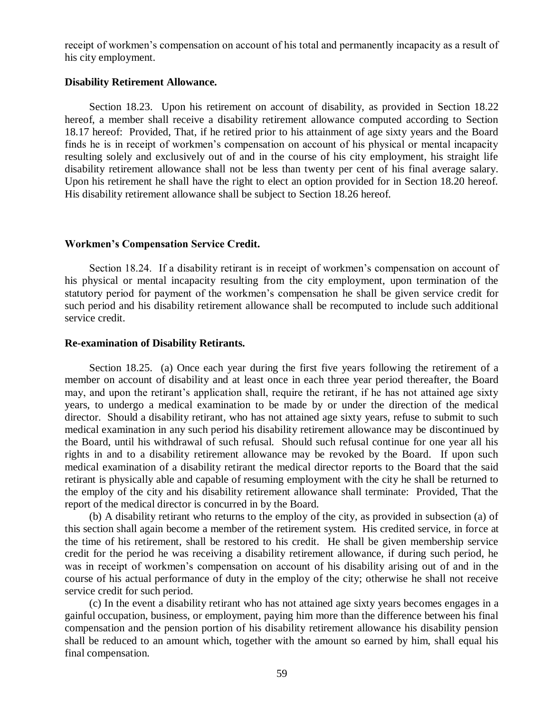receipt of workmen's compensation on account of his total and permanently incapacity as a result of his city employment.

#### **Disability Retirement Allowance.**

Section 18.23. Upon his retirement on account of disability, as provided in Section 18.22 hereof, a member shall receive a disability retirement allowance computed according to Section 18.17 hereof: Provided, That, if he retired prior to his attainment of age sixty years and the Board finds he is in receipt of workmen's compensation on account of his physical or mental incapacity resulting solely and exclusively out of and in the course of his city employment, his straight life disability retirement allowance shall not be less than twenty per cent of his final average salary. Upon his retirement he shall have the right to elect an option provided for in Section 18.20 hereof. His disability retirement allowance shall be subject to Section 18.26 hereof.

## **Workmen's Compensation Service Credit.**

Section 18.24. If a disability retirant is in receipt of workmen's compensation on account of his physical or mental incapacity resulting from the city employment, upon termination of the statutory period for payment of the workmen's compensation he shall be given service credit for such period and his disability retirement allowance shall be recomputed to include such additional service credit.

## **Re-examination of Disability Retirants.**

Section 18.25. (a) Once each year during the first five years following the retirement of a member on account of disability and at least once in each three year period thereafter, the Board may, and upon the retirant's application shall, require the retirant, if he has not attained age sixty years, to undergo a medical examination to be made by or under the direction of the medical director. Should a disability retirant, who has not attained age sixty years, refuse to submit to such medical examination in any such period his disability retirement allowance may be discontinued by the Board, until his withdrawal of such refusal. Should such refusal continue for one year all his rights in and to a disability retirement allowance may be revoked by the Board. If upon such medical examination of a disability retirant the medical director reports to the Board that the said retirant is physically able and capable of resuming employment with the city he shall be returned to the employ of the city and his disability retirement allowance shall terminate: Provided, That the report of the medical director is concurred in by the Board.

(b) A disability retirant who returns to the employ of the city, as provided in subsection (a) of this section shall again become a member of the retirement system. His credited service, in force at the time of his retirement, shall be restored to his credit. He shall be given membership service credit for the period he was receiving a disability retirement allowance, if during such period, he was in receipt of workmen's compensation on account of his disability arising out of and in the course of his actual performance of duty in the employ of the city; otherwise he shall not receive service credit for such period.

(c) In the event a disability retirant who has not attained age sixty years becomes engages in a gainful occupation, business, or employment, paying him more than the difference between his final compensation and the pension portion of his disability retirement allowance his disability pension shall be reduced to an amount which, together with the amount so earned by him, shall equal his final compensation.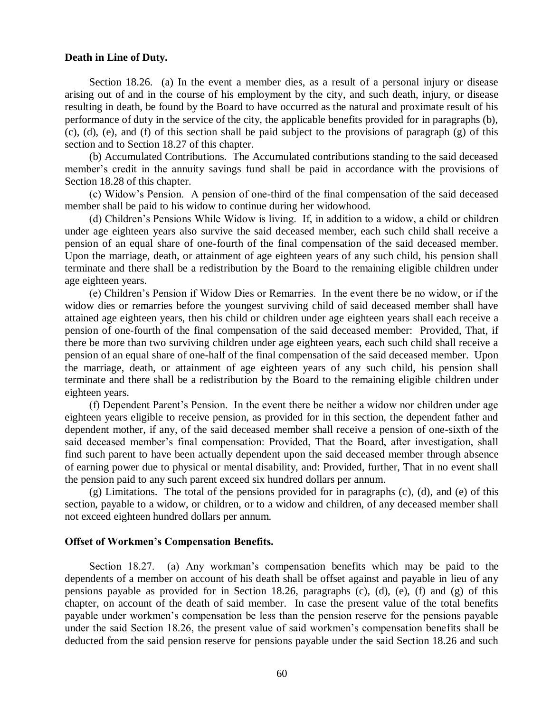### **Death in Line of Duty.**

Section 18.26. (a) In the event a member dies, as a result of a personal injury or disease arising out of and in the course of his employment by the city, and such death, injury, or disease resulting in death, be found by the Board to have occurred as the natural and proximate result of his performance of duty in the service of the city, the applicable benefits provided for in paragraphs (b), (c), (d), (e), and (f) of this section shall be paid subject to the provisions of paragraph (g) of this section and to Section 18.27 of this chapter.

(b) Accumulated Contributions. The Accumulated contributions standing to the said deceased member's credit in the annuity savings fund shall be paid in accordance with the provisions of Section 18.28 of this chapter.

(c) Widow's Pension. A pension of one-third of the final compensation of the said deceased member shall be paid to his widow to continue during her widowhood.

(d) Children's Pensions While Widow is living. If, in addition to a widow, a child or children under age eighteen years also survive the said deceased member, each such child shall receive a pension of an equal share of one-fourth of the final compensation of the said deceased member. Upon the marriage, death, or attainment of age eighteen years of any such child, his pension shall terminate and there shall be a redistribution by the Board to the remaining eligible children under age eighteen years.

(e) Children's Pension if Widow Dies or Remarries. In the event there be no widow, or if the widow dies or remarries before the youngest surviving child of said deceased member shall have attained age eighteen years, then his child or children under age eighteen years shall each receive a pension of one-fourth of the final compensation of the said deceased member: Provided, That, if there be more than two surviving children under age eighteen years, each such child shall receive a pension of an equal share of one-half of the final compensation of the said deceased member. Upon the marriage, death, or attainment of age eighteen years of any such child, his pension shall terminate and there shall be a redistribution by the Board to the remaining eligible children under eighteen years.

(f) Dependent Parent's Pension. In the event there be neither a widow nor children under age eighteen years eligible to receive pension, as provided for in this section, the dependent father and dependent mother, if any, of the said deceased member shall receive a pension of one-sixth of the said deceased member's final compensation: Provided, That the Board, after investigation, shall find such parent to have been actually dependent upon the said deceased member through absence of earning power due to physical or mental disability, and: Provided, further, That in no event shall the pension paid to any such parent exceed six hundred dollars per annum.

(g) Limitations. The total of the pensions provided for in paragraphs (c), (d), and (e) of this section, payable to a widow, or children, or to a widow and children, of any deceased member shall not exceed eighteen hundred dollars per annum.

#### **Offset of Workmen's Compensation Benefits.**

Section 18.27. (a) Any workman's compensation benefits which may be paid to the dependents of a member on account of his death shall be offset against and payable in lieu of any pensions payable as provided for in Section 18.26, paragraphs (c), (d), (e), (f) and (g) of this chapter, on account of the death of said member. In case the present value of the total benefits payable under workmen's compensation be less than the pension reserve for the pensions payable under the said Section 18.26, the present value of said workmen's compensation benefits shall be deducted from the said pension reserve for pensions payable under the said Section 18.26 and such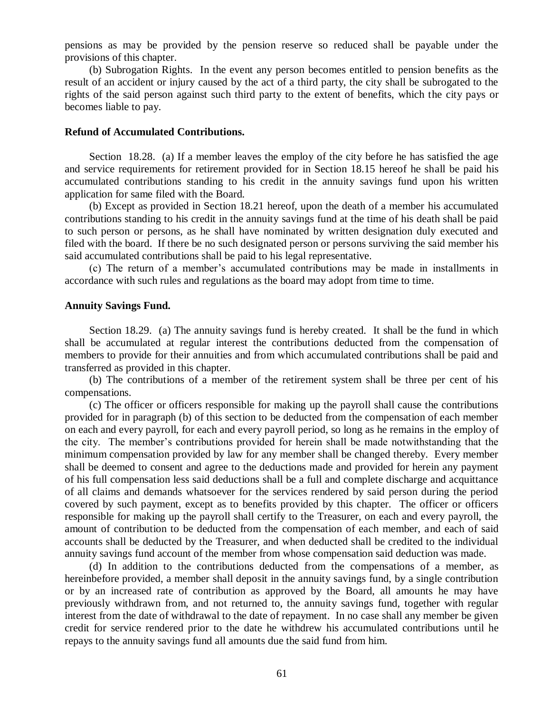pensions as may be provided by the pension reserve so reduced shall be payable under the provisions of this chapter.

(b) Subrogation Rights. In the event any person becomes entitled to pension benefits as the result of an accident or injury caused by the act of a third party, the city shall be subrogated to the rights of the said person against such third party to the extent of benefits, which the city pays or becomes liable to pay.

### **Refund of Accumulated Contributions.**

Section 18.28. (a) If a member leaves the employ of the city before he has satisfied the age and service requirements for retirement provided for in Section 18.15 hereof he shall be paid his accumulated contributions standing to his credit in the annuity savings fund upon his written application for same filed with the Board.

(b) Except as provided in Section 18.21 hereof, upon the death of a member his accumulated contributions standing to his credit in the annuity savings fund at the time of his death shall be paid to such person or persons, as he shall have nominated by written designation duly executed and filed with the board. If there be no such designated person or persons surviving the said member his said accumulated contributions shall be paid to his legal representative.

(c) The return of a member's accumulated contributions may be made in installments in accordance with such rules and regulations as the board may adopt from time to time.

### **Annuity Savings Fund.**

Section 18.29. (a) The annuity savings fund is hereby created. It shall be the fund in which shall be accumulated at regular interest the contributions deducted from the compensation of members to provide for their annuities and from which accumulated contributions shall be paid and transferred as provided in this chapter.

(b) The contributions of a member of the retirement system shall be three per cent of his compensations.

(c) The officer or officers responsible for making up the payroll shall cause the contributions provided for in paragraph (b) of this section to be deducted from the compensation of each member on each and every payroll, for each and every payroll period, so long as he remains in the employ of the city. The member's contributions provided for herein shall be made notwithstanding that the minimum compensation provided by law for any member shall be changed thereby. Every member shall be deemed to consent and agree to the deductions made and provided for herein any payment of his full compensation less said deductions shall be a full and complete discharge and acquittance of all claims and demands whatsoever for the services rendered by said person during the period covered by such payment, except as to benefits provided by this chapter. The officer or officers responsible for making up the payroll shall certify to the Treasurer, on each and every payroll, the amount of contribution to be deducted from the compensation of each member, and each of said accounts shall be deducted by the Treasurer, and when deducted shall be credited to the individual annuity savings fund account of the member from whose compensation said deduction was made.

(d) In addition to the contributions deducted from the compensations of a member, as hereinbefore provided, a member shall deposit in the annuity savings fund, by a single contribution or by an increased rate of contribution as approved by the Board, all amounts he may have previously withdrawn from, and not returned to, the annuity savings fund, together with regular interest from the date of withdrawal to the date of repayment. In no case shall any member be given credit for service rendered prior to the date he withdrew his accumulated contributions until he repays to the annuity savings fund all amounts due the said fund from him.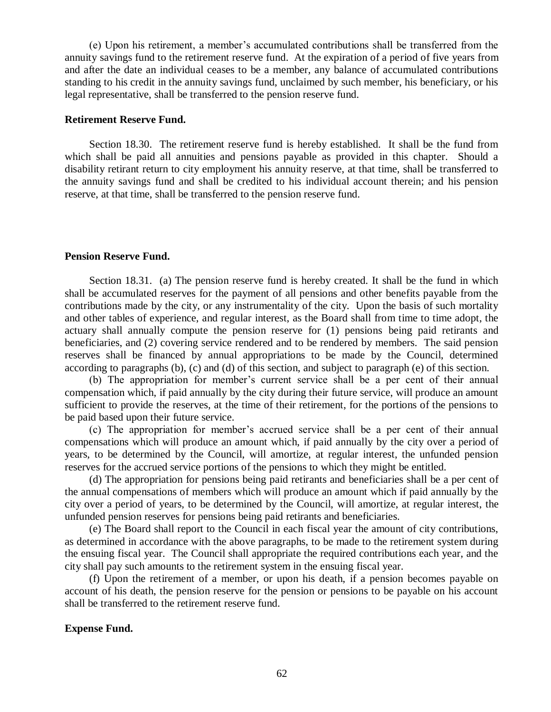(e) Upon his retirement, a member's accumulated contributions shall be transferred from the annuity savings fund to the retirement reserve fund. At the expiration of a period of five years from and after the date an individual ceases to be a member, any balance of accumulated contributions standing to his credit in the annuity savings fund, unclaimed by such member, his beneficiary, or his legal representative, shall be transferred to the pension reserve fund.

### **Retirement Reserve Fund.**

Section 18.30. The retirement reserve fund is hereby established. It shall be the fund from which shall be paid all annuities and pensions payable as provided in this chapter. Should a disability retirant return to city employment his annuity reserve, at that time, shall be transferred to the annuity savings fund and shall be credited to his individual account therein; and his pension reserve, at that time, shall be transferred to the pension reserve fund.

#### **Pension Reserve Fund.**

Section 18.31. (a) The pension reserve fund is hereby created. It shall be the fund in which shall be accumulated reserves for the payment of all pensions and other benefits payable from the contributions made by the city, or any instrumentality of the city. Upon the basis of such mortality and other tables of experience, and regular interest, as the Board shall from time to time adopt, the actuary shall annually compute the pension reserve for (1) pensions being paid retirants and beneficiaries, and (2) covering service rendered and to be rendered by members. The said pension reserves shall be financed by annual appropriations to be made by the Council, determined according to paragraphs (b), (c) and (d) of this section, and subject to paragraph (e) of this section.

(b) The appropriation for member's current service shall be a per cent of their annual compensation which, if paid annually by the city during their future service, will produce an amount sufficient to provide the reserves, at the time of their retirement, for the portions of the pensions to be paid based upon their future service.

(c) The appropriation for member's accrued service shall be a per cent of their annual compensations which will produce an amount which, if paid annually by the city over a period of years, to be determined by the Council, will amortize, at regular interest, the unfunded pension reserves for the accrued service portions of the pensions to which they might be entitled.

(d) The appropriation for pensions being paid retirants and beneficiaries shall be a per cent of the annual compensations of members which will produce an amount which if paid annually by the city over a period of years, to be determined by the Council, will amortize, at regular interest, the unfunded pension reserves for pensions being paid retirants and beneficiaries.

(e) The Board shall report to the Council in each fiscal year the amount of city contributions, as determined in accordance with the above paragraphs, to be made to the retirement system during the ensuing fiscal year. The Council shall appropriate the required contributions each year, and the city shall pay such amounts to the retirement system in the ensuing fiscal year.

(f) Upon the retirement of a member, or upon his death, if a pension becomes payable on account of his death, the pension reserve for the pension or pensions to be payable on his account shall be transferred to the retirement reserve fund.

## **Expense Fund.**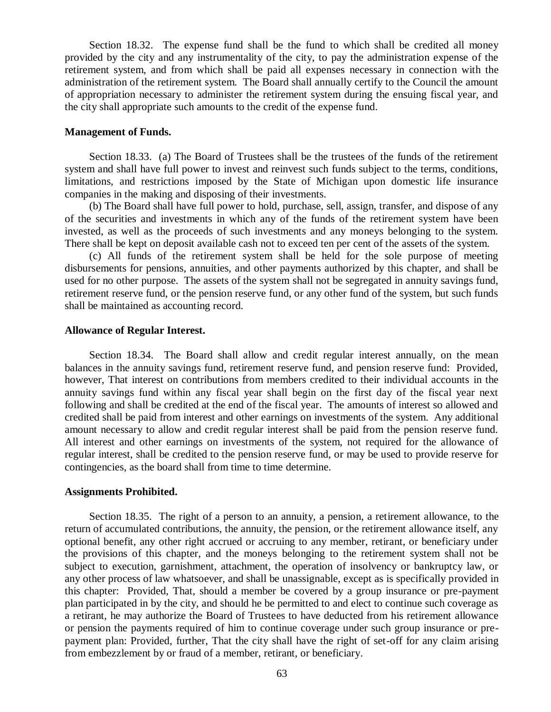Section 18.32. The expense fund shall be the fund to which shall be credited all money provided by the city and any instrumentality of the city, to pay the administration expense of the retirement system, and from which shall be paid all expenses necessary in connection with the administration of the retirement system. The Board shall annually certify to the Council the amount of appropriation necessary to administer the retirement system during the ensuing fiscal year, and the city shall appropriate such amounts to the credit of the expense fund.

#### **Management of Funds.**

Section 18.33. (a) The Board of Trustees shall be the trustees of the funds of the retirement system and shall have full power to invest and reinvest such funds subject to the terms, conditions, limitations, and restrictions imposed by the State of Michigan upon domestic life insurance companies in the making and disposing of their investments.

(b) The Board shall have full power to hold, purchase, sell, assign, transfer, and dispose of any of the securities and investments in which any of the funds of the retirement system have been invested, as well as the proceeds of such investments and any moneys belonging to the system. There shall be kept on deposit available cash not to exceed ten per cent of the assets of the system.

(c) All funds of the retirement system shall be held for the sole purpose of meeting disbursements for pensions, annuities, and other payments authorized by this chapter, and shall be used for no other purpose. The assets of the system shall not be segregated in annuity savings fund, retirement reserve fund, or the pension reserve fund, or any other fund of the system, but such funds shall be maintained as accounting record.

### **Allowance of Regular Interest.**

Section 18.34. The Board shall allow and credit regular interest annually, on the mean balances in the annuity savings fund, retirement reserve fund, and pension reserve fund: Provided, however, That interest on contributions from members credited to their individual accounts in the annuity savings fund within any fiscal year shall begin on the first day of the fiscal year next following and shall be credited at the end of the fiscal year. The amounts of interest so allowed and credited shall be paid from interest and other earnings on investments of the system. Any additional amount necessary to allow and credit regular interest shall be paid from the pension reserve fund. All interest and other earnings on investments of the system, not required for the allowance of regular interest, shall be credited to the pension reserve fund, or may be used to provide reserve for contingencies, as the board shall from time to time determine.

### **Assignments Prohibited.**

Section 18.35. The right of a person to an annuity, a pension, a retirement allowance, to the return of accumulated contributions, the annuity, the pension, or the retirement allowance itself, any optional benefit, any other right accrued or accruing to any member, retirant, or beneficiary under the provisions of this chapter, and the moneys belonging to the retirement system shall not be subject to execution, garnishment, attachment, the operation of insolvency or bankruptcy law, or any other process of law whatsoever, and shall be unassignable, except as is specifically provided in this chapter: Provided, That, should a member be covered by a group insurance or pre-payment plan participated in by the city, and should he be permitted to and elect to continue such coverage as a retirant, he may authorize the Board of Trustees to have deducted from his retirement allowance or pension the payments required of him to continue coverage under such group insurance or prepayment plan: Provided, further, That the city shall have the right of set-off for any claim arising from embezzlement by or fraud of a member, retirant, or beneficiary.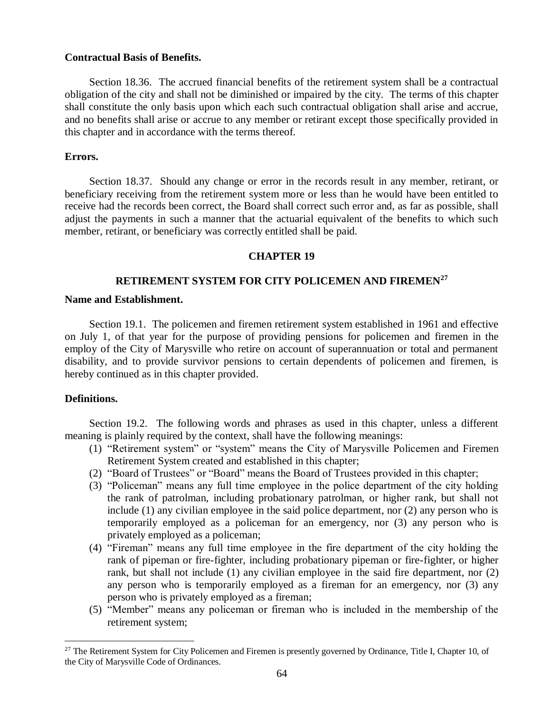## **Contractual Basis of Benefits.**

Section 18.36. The accrued financial benefits of the retirement system shall be a contractual obligation of the city and shall not be diminished or impaired by the city. The terms of this chapter shall constitute the only basis upon which each such contractual obligation shall arise and accrue, and no benefits shall arise or accrue to any member or retirant except those specifically provided in this chapter and in accordance with the terms thereof.

## **Errors.**

Section 18.37. Should any change or error in the records result in any member, retirant, or beneficiary receiving from the retirement system more or less than he would have been entitled to receive had the records been correct, the Board shall correct such error and, as far as possible, shall adjust the payments in such a manner that the actuarial equivalent of the benefits to which such member, retirant, or beneficiary was correctly entitled shall be paid.

## **CHAPTER 19**

## **RETIREMENT SYSTEM FOR CITY POLICEMEN AND FIREMEN<sup>27</sup>**

### **Name and Establishment.**

Section 19.1. The policemen and firemen retirement system established in 1961 and effective on July 1, of that year for the purpose of providing pensions for policemen and firemen in the employ of the City of Marysville who retire on account of superannuation or total and permanent disability, and to provide survivor pensions to certain dependents of policemen and firemen, is hereby continued as in this chapter provided.

# **Definitions.**

 $\overline{a}$ 

Section 19.2. The following words and phrases as used in this chapter, unless a different meaning is plainly required by the context, shall have the following meanings:

- (1) "Retirement system" or "system" means the City of Marysville Policemen and Firemen Retirement System created and established in this chapter;
- (2) "Board of Trustees" or "Board" means the Board of Trustees provided in this chapter;
- (3) "Policeman" means any full time employee in the police department of the city holding the rank of patrolman, including probationary patrolman, or higher rank, but shall not include (1) any civilian employee in the said police department, nor (2) any person who is temporarily employed as a policeman for an emergency, nor (3) any person who is privately employed as a policeman;
- (4) "Fireman" means any full time employee in the fire department of the city holding the rank of pipeman or fire-fighter, including probationary pipeman or fire-fighter, or higher rank, but shall not include (1) any civilian employee in the said fire department, nor (2) any person who is temporarily employed as a fireman for an emergency, nor (3) any person who is privately employed as a fireman;
- (5) "Member" means any policeman or fireman who is included in the membership of the retirement system;

<sup>&</sup>lt;sup>27</sup> The Retirement System for City Policemen and Firemen is presently governed by Ordinance, Title I, Chapter 10, of the City of Marysville Code of Ordinances.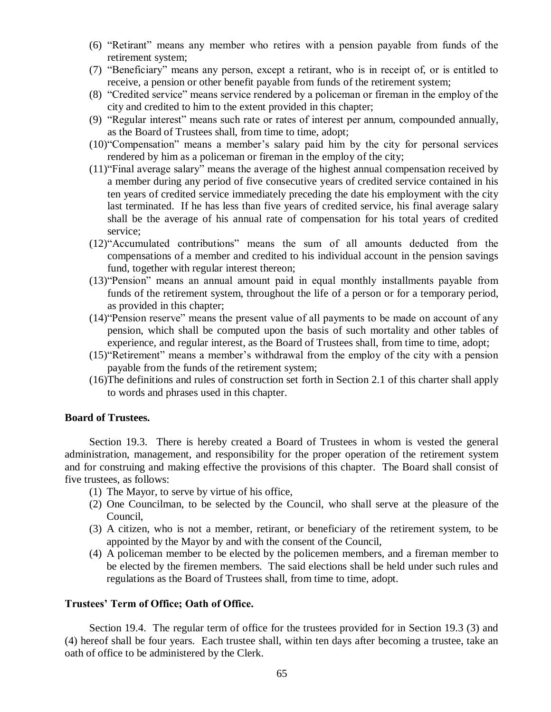- (6) "Retirant" means any member who retires with a pension payable from funds of the retirement system;
- (7) "Beneficiary" means any person, except a retirant, who is in receipt of, or is entitled to receive, a pension or other benefit payable from funds of the retirement system;
- (8) "Credited service" means service rendered by a policeman or fireman in the employ of the city and credited to him to the extent provided in this chapter;
- (9) "Regular interest" means such rate or rates of interest per annum, compounded annually, as the Board of Trustees shall, from time to time, adopt;
- (10)"Compensation" means a member's salary paid him by the city for personal services rendered by him as a policeman or fireman in the employ of the city;
- (11)"Final average salary" means the average of the highest annual compensation received by a member during any period of five consecutive years of credited service contained in his ten years of credited service immediately preceding the date his employment with the city last terminated. If he has less than five years of credited service, his final average salary shall be the average of his annual rate of compensation for his total years of credited service;
- (12)"Accumulated contributions" means the sum of all amounts deducted from the compensations of a member and credited to his individual account in the pension savings fund, together with regular interest thereon;
- (13)"Pension" means an annual amount paid in equal monthly installments payable from funds of the retirement system, throughout the life of a person or for a temporary period, as provided in this chapter;
- (14)"Pension reserve" means the present value of all payments to be made on account of any pension, which shall be computed upon the basis of such mortality and other tables of experience, and regular interest, as the Board of Trustees shall, from time to time, adopt;
- (15)"Retirement" means a member's withdrawal from the employ of the city with a pension payable from the funds of the retirement system;
- (16)The definitions and rules of construction set forth in Section 2.1 of this charter shall apply to words and phrases used in this chapter.

# **Board of Trustees.**

Section 19.3. There is hereby created a Board of Trustees in whom is vested the general administration, management, and responsibility for the proper operation of the retirement system and for construing and making effective the provisions of this chapter. The Board shall consist of five trustees, as follows:

- (1) The Mayor, to serve by virtue of his office,
- (2) One Councilman, to be selected by the Council, who shall serve at the pleasure of the Council,
- (3) A citizen, who is not a member, retirant, or beneficiary of the retirement system, to be appointed by the Mayor by and with the consent of the Council,
- (4) A policeman member to be elected by the policemen members, and a fireman member to be elected by the firemen members. The said elections shall be held under such rules and regulations as the Board of Trustees shall, from time to time, adopt.

# **Trustees' Term of Office; Oath of Office.**

Section 19.4. The regular term of office for the trustees provided for in Section 19.3 (3) and (4) hereof shall be four years. Each trustee shall, within ten days after becoming a trustee, take an oath of office to be administered by the Clerk.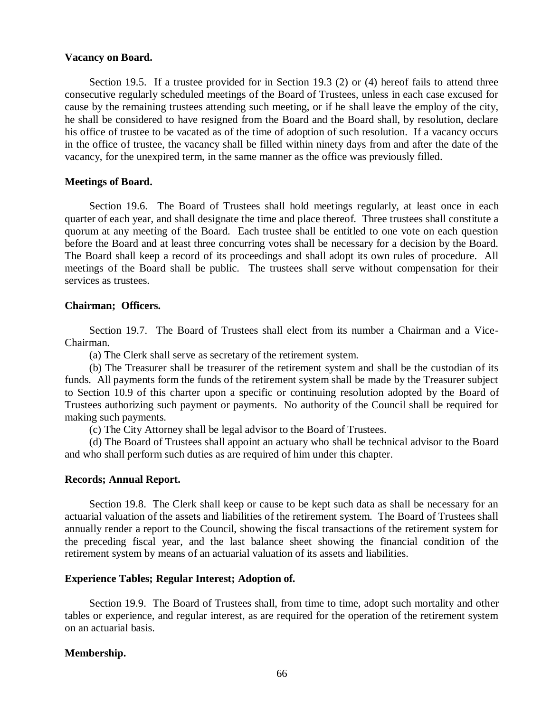### **Vacancy on Board.**

Section 19.5. If a trustee provided for in Section 19.3 (2) or (4) hereof fails to attend three consecutive regularly scheduled meetings of the Board of Trustees, unless in each case excused for cause by the remaining trustees attending such meeting, or if he shall leave the employ of the city, he shall be considered to have resigned from the Board and the Board shall, by resolution, declare his office of trustee to be vacated as of the time of adoption of such resolution. If a vacancy occurs in the office of trustee, the vacancy shall be filled within ninety days from and after the date of the vacancy, for the unexpired term, in the same manner as the office was previously filled.

### **Meetings of Board.**

Section 19.6. The Board of Trustees shall hold meetings regularly, at least once in each quarter of each year, and shall designate the time and place thereof. Three trustees shall constitute a quorum at any meeting of the Board. Each trustee shall be entitled to one vote on each question before the Board and at least three concurring votes shall be necessary for a decision by the Board. The Board shall keep a record of its proceedings and shall adopt its own rules of procedure. All meetings of the Board shall be public. The trustees shall serve without compensation for their services as trustees.

## **Chairman; Officers.**

Section 19.7. The Board of Trustees shall elect from its number a Chairman and a Vice-Chairman.

(a) The Clerk shall serve as secretary of the retirement system.

(b) The Treasurer shall be treasurer of the retirement system and shall be the custodian of its funds. All payments form the funds of the retirement system shall be made by the Treasurer subject to Section 10.9 of this charter upon a specific or continuing resolution adopted by the Board of Trustees authorizing such payment or payments. No authority of the Council shall be required for making such payments.

(c) The City Attorney shall be legal advisor to the Board of Trustees.

(d) The Board of Trustees shall appoint an actuary who shall be technical advisor to the Board and who shall perform such duties as are required of him under this chapter.

## **Records; Annual Report.**

Section 19.8. The Clerk shall keep or cause to be kept such data as shall be necessary for an actuarial valuation of the assets and liabilities of the retirement system. The Board of Trustees shall annually render a report to the Council, showing the fiscal transactions of the retirement system for the preceding fiscal year, and the last balance sheet showing the financial condition of the retirement system by means of an actuarial valuation of its assets and liabilities.

## **Experience Tables; Regular Interest; Adoption of.**

Section 19.9. The Board of Trustees shall, from time to time, adopt such mortality and other tables or experience, and regular interest, as are required for the operation of the retirement system on an actuarial basis.

## **Membership.**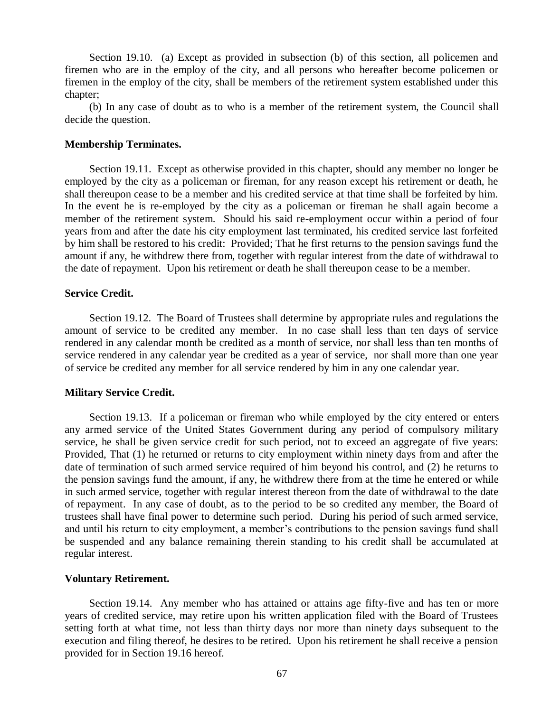Section 19.10. (a) Except as provided in subsection (b) of this section, all policemen and firemen who are in the employ of the city, and all persons who hereafter become policemen or firemen in the employ of the city, shall be members of the retirement system established under this chapter;

(b) In any case of doubt as to who is a member of the retirement system, the Council shall decide the question.

### **Membership Terminates.**

Section 19.11. Except as otherwise provided in this chapter, should any member no longer be employed by the city as a policeman or fireman, for any reason except his retirement or death, he shall thereupon cease to be a member and his credited service at that time shall be forfeited by him. In the event he is re-employed by the city as a policeman or fireman he shall again become a member of the retirement system. Should his said re-employment occur within a period of four years from and after the date his city employment last terminated, his credited service last forfeited by him shall be restored to his credit: Provided; That he first returns to the pension savings fund the amount if any, he withdrew there from, together with regular interest from the date of withdrawal to the date of repayment. Upon his retirement or death he shall thereupon cease to be a member.

### **Service Credit.**

Section 19.12. The Board of Trustees shall determine by appropriate rules and regulations the amount of service to be credited any member. In no case shall less than ten days of service rendered in any calendar month be credited as a month of service, nor shall less than ten months of service rendered in any calendar year be credited as a year of service, nor shall more than one year of service be credited any member for all service rendered by him in any one calendar year.

### **Military Service Credit.**

Section 19.13. If a policeman or fireman who while employed by the city entered or enters any armed service of the United States Government during any period of compulsory military service, he shall be given service credit for such period, not to exceed an aggregate of five years: Provided, That (1) he returned or returns to city employment within ninety days from and after the date of termination of such armed service required of him beyond his control, and (2) he returns to the pension savings fund the amount, if any, he withdrew there from at the time he entered or while in such armed service, together with regular interest thereon from the date of withdrawal to the date of repayment. In any case of doubt, as to the period to be so credited any member, the Board of trustees shall have final power to determine such period. During his period of such armed service, and until his return to city employment, a member's contributions to the pension savings fund shall be suspended and any balance remaining therein standing to his credit shall be accumulated at regular interest.

#### **Voluntary Retirement.**

Section 19.14. Any member who has attained or attains age fifty-five and has ten or more years of credited service, may retire upon his written application filed with the Board of Trustees setting forth at what time, not less than thirty days nor more than ninety days subsequent to the execution and filing thereof, he desires to be retired. Upon his retirement he shall receive a pension provided for in Section 19.16 hereof.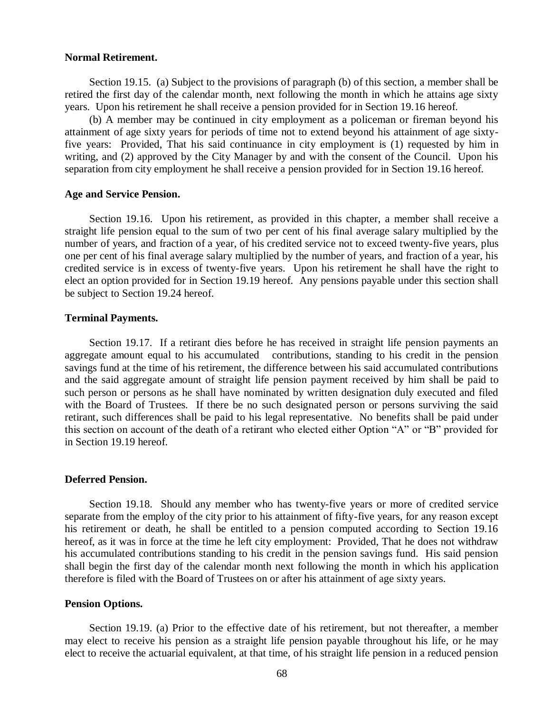### **Normal Retirement.**

Section 19.15. (a) Subject to the provisions of paragraph (b) of this section, a member shall be retired the first day of the calendar month, next following the month in which he attains age sixty years. Upon his retirement he shall receive a pension provided for in Section 19.16 hereof.

(b) A member may be continued in city employment as a policeman or fireman beyond his attainment of age sixty years for periods of time not to extend beyond his attainment of age sixtyfive years: Provided, That his said continuance in city employment is (1) requested by him in writing, and (2) approved by the City Manager by and with the consent of the Council. Upon his separation from city employment he shall receive a pension provided for in Section 19.16 hereof.

### **Age and Service Pension.**

Section 19.16. Upon his retirement, as provided in this chapter, a member shall receive a straight life pension equal to the sum of two per cent of his final average salary multiplied by the number of years, and fraction of a year, of his credited service not to exceed twenty-five years, plus one per cent of his final average salary multiplied by the number of years, and fraction of a year, his credited service is in excess of twenty-five years. Upon his retirement he shall have the right to elect an option provided for in Section 19.19 hereof. Any pensions payable under this section shall be subject to Section 19.24 hereof.

## **Terminal Payments.**

Section 19.17. If a retirant dies before he has received in straight life pension payments an aggregate amount equal to his accumulated contributions, standing to his credit in the pension savings fund at the time of his retirement, the difference between his said accumulated contributions and the said aggregate amount of straight life pension payment received by him shall be paid to such person or persons as he shall have nominated by written designation duly executed and filed with the Board of Trustees. If there be no such designated person or persons surviving the said retirant, such differences shall be paid to his legal representative. No benefits shall be paid under this section on account of the death of a retirant who elected either Option "A" or "B" provided for in Section 19.19 hereof.

## **Deferred Pension.**

Section 19.18. Should any member who has twenty-five years or more of credited service separate from the employ of the city prior to his attainment of fifty-five years, for any reason except his retirement or death, he shall be entitled to a pension computed according to Section 19.16 hereof, as it was in force at the time he left city employment: Provided, That he does not withdraw his accumulated contributions standing to his credit in the pension savings fund. His said pension shall begin the first day of the calendar month next following the month in which his application therefore is filed with the Board of Trustees on or after his attainment of age sixty years.

## **Pension Options.**

Section 19.19. (a) Prior to the effective date of his retirement, but not thereafter, a member may elect to receive his pension as a straight life pension payable throughout his life, or he may elect to receive the actuarial equivalent, at that time, of his straight life pension in a reduced pension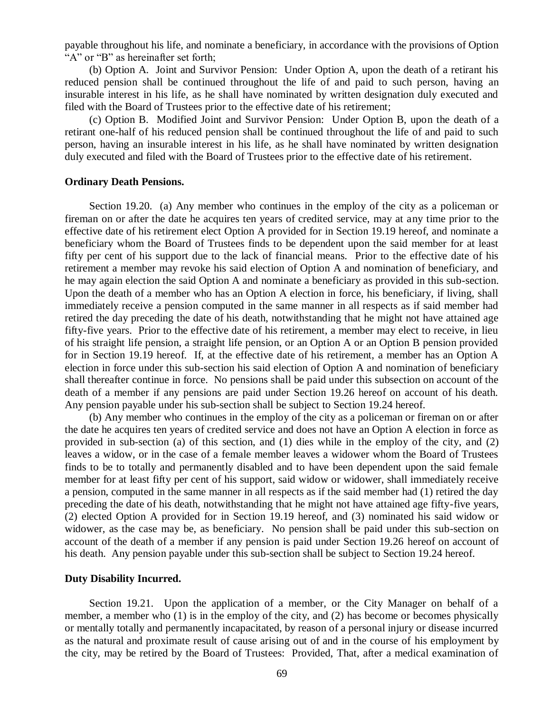payable throughout his life, and nominate a beneficiary, in accordance with the provisions of Option "A" or "B" as hereinafter set forth;

(b) Option A. Joint and Survivor Pension: Under Option A, upon the death of a retirant his reduced pension shall be continued throughout the life of and paid to such person, having an insurable interest in his life, as he shall have nominated by written designation duly executed and filed with the Board of Trustees prior to the effective date of his retirement;

(c) Option B. Modified Joint and Survivor Pension: Under Option B, upon the death of a retirant one-half of his reduced pension shall be continued throughout the life of and paid to such person, having an insurable interest in his life, as he shall have nominated by written designation duly executed and filed with the Board of Trustees prior to the effective date of his retirement.

#### **Ordinary Death Pensions.**

Section 19.20. (a) Any member who continues in the employ of the city as a policeman or fireman on or after the date he acquires ten years of credited service, may at any time prior to the effective date of his retirement elect Option A provided for in Section 19.19 hereof, and nominate a beneficiary whom the Board of Trustees finds to be dependent upon the said member for at least fifty per cent of his support due to the lack of financial means. Prior to the effective date of his retirement a member may revoke his said election of Option A and nomination of beneficiary, and he may again election the said Option A and nominate a beneficiary as provided in this sub-section. Upon the death of a member who has an Option A election in force, his beneficiary, if living, shall immediately receive a pension computed in the same manner in all respects as if said member had retired the day preceding the date of his death, notwithstanding that he might not have attained age fifty-five years. Prior to the effective date of his retirement, a member may elect to receive, in lieu of his straight life pension, a straight life pension, or an Option A or an Option B pension provided for in Section 19.19 hereof. If, at the effective date of his retirement, a member has an Option A election in force under this sub-section his said election of Option A and nomination of beneficiary shall thereafter continue in force. No pensions shall be paid under this subsection on account of the death of a member if any pensions are paid under Section 19.26 hereof on account of his death. Any pension payable under his sub-section shall be subject to Section 19.24 hereof.

(b) Any member who continues in the employ of the city as a policeman or fireman on or after the date he acquires ten years of credited service and does not have an Option A election in force as provided in sub-section (a) of this section, and (1) dies while in the employ of the city, and (2) leaves a widow, or in the case of a female member leaves a widower whom the Board of Trustees finds to be to totally and permanently disabled and to have been dependent upon the said female member for at least fifty per cent of his support, said widow or widower, shall immediately receive a pension, computed in the same manner in all respects as if the said member had (1) retired the day preceding the date of his death, notwithstanding that he might not have attained age fifty-five years, (2) elected Option A provided for in Section 19.19 hereof, and (3) nominated his said widow or widower, as the case may be, as beneficiary. No pension shall be paid under this sub-section on account of the death of a member if any pension is paid under Section 19.26 hereof on account of his death. Any pension payable under this sub-section shall be subject to Section 19.24 hereof.

#### **Duty Disability Incurred.**

Section 19.21. Upon the application of a member, or the City Manager on behalf of a member, a member who (1) is in the employ of the city, and (2) has become or becomes physically or mentally totally and permanently incapacitated, by reason of a personal injury or disease incurred as the natural and proximate result of cause arising out of and in the course of his employment by the city, may be retired by the Board of Trustees: Provided, That, after a medical examination of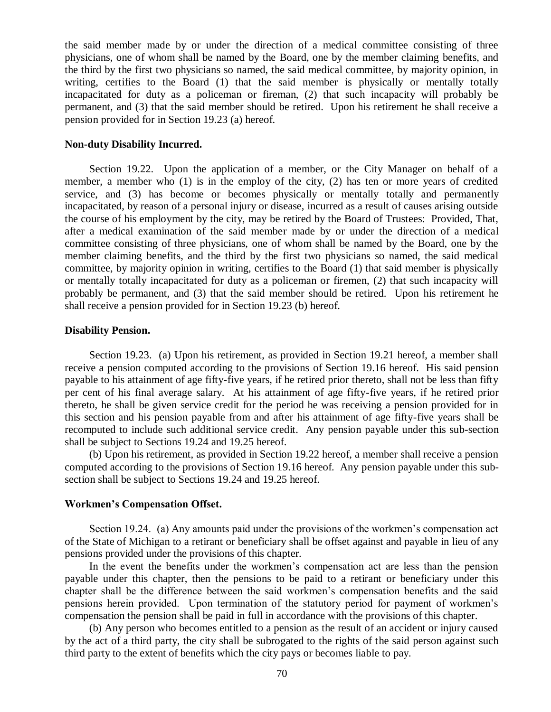the said member made by or under the direction of a medical committee consisting of three physicians, one of whom shall be named by the Board, one by the member claiming benefits, and the third by the first two physicians so named, the said medical committee, by majority opinion, in writing, certifies to the Board (1) that the said member is physically or mentally totally incapacitated for duty as a policeman or fireman, (2) that such incapacity will probably be permanent, and (3) that the said member should be retired. Upon his retirement he shall receive a pension provided for in Section 19.23 (a) hereof.

#### **Non-duty Disability Incurred.**

Section 19.22. Upon the application of a member, or the City Manager on behalf of a member, a member who (1) is in the employ of the city, (2) has ten or more years of credited service, and (3) has become or becomes physically or mentally totally and permanently incapacitated, by reason of a personal injury or disease, incurred as a result of causes arising outside the course of his employment by the city, may be retired by the Board of Trustees: Provided, That, after a medical examination of the said member made by or under the direction of a medical committee consisting of three physicians, one of whom shall be named by the Board, one by the member claiming benefits, and the third by the first two physicians so named, the said medical committee, by majority opinion in writing, certifies to the Board (1) that said member is physically or mentally totally incapacitated for duty as a policeman or firemen, (2) that such incapacity will probably be permanent, and (3) that the said member should be retired. Upon his retirement he shall receive a pension provided for in Section 19.23 (b) hereof.

### **Disability Pension.**

Section 19.23. (a) Upon his retirement, as provided in Section 19.21 hereof, a member shall receive a pension computed according to the provisions of Section 19.16 hereof. His said pension payable to his attainment of age fifty-five years, if he retired prior thereto, shall not be less than fifty per cent of his final average salary. At his attainment of age fifty-five years, if he retired prior thereto, he shall be given service credit for the period he was receiving a pension provided for in this section and his pension payable from and after his attainment of age fifty-five years shall be recomputed to include such additional service credit. Any pension payable under this sub-section shall be subject to Sections 19.24 and 19.25 hereof.

(b) Upon his retirement, as provided in Section 19.22 hereof, a member shall receive a pension computed according to the provisions of Section 19.16 hereof. Any pension payable under this subsection shall be subject to Sections 19.24 and 19.25 hereof.

### **Workmen's Compensation Offset.**

Section 19.24. (a) Any amounts paid under the provisions of the workmen's compensation act of the State of Michigan to a retirant or beneficiary shall be offset against and payable in lieu of any pensions provided under the provisions of this chapter.

In the event the benefits under the workmen's compensation act are less than the pension payable under this chapter, then the pensions to be paid to a retirant or beneficiary under this chapter shall be the difference between the said workmen's compensation benefits and the said pensions herein provided. Upon termination of the statutory period for payment of workmen's compensation the pension shall be paid in full in accordance with the provisions of this chapter.

(b) Any person who becomes entitled to a pension as the result of an accident or injury caused by the act of a third party, the city shall be subrogated to the rights of the said person against such third party to the extent of benefits which the city pays or becomes liable to pay.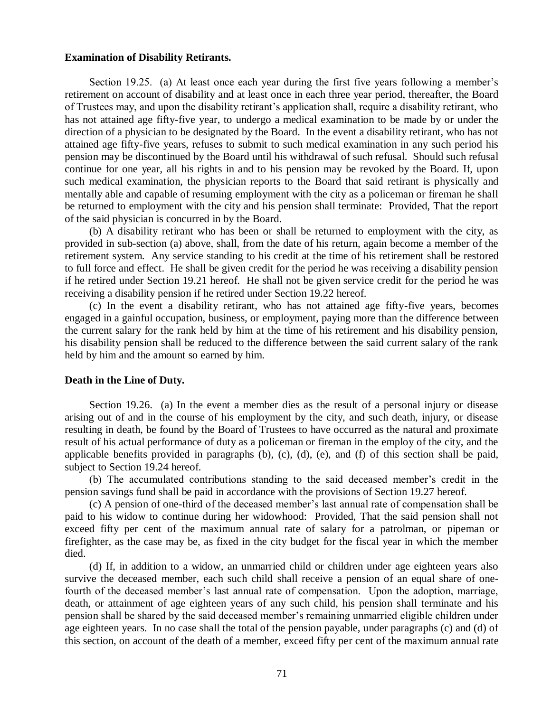#### **Examination of Disability Retirants.**

Section 19.25. (a) At least once each year during the first five years following a member's retirement on account of disability and at least once in each three year period, thereafter, the Board of Trustees may, and upon the disability retirant's application shall, require a disability retirant, who has not attained age fifty-five year, to undergo a medical examination to be made by or under the direction of a physician to be designated by the Board. In the event a disability retirant, who has not attained age fifty-five years, refuses to submit to such medical examination in any such period his pension may be discontinued by the Board until his withdrawal of such refusal. Should such refusal continue for one year, all his rights in and to his pension may be revoked by the Board. If, upon such medical examination, the physician reports to the Board that said retirant is physically and mentally able and capable of resuming employment with the city as a policeman or fireman he shall be returned to employment with the city and his pension shall terminate: Provided, That the report of the said physician is concurred in by the Board.

(b) A disability retirant who has been or shall be returned to employment with the city, as provided in sub-section (a) above, shall, from the date of his return, again become a member of the retirement system. Any service standing to his credit at the time of his retirement shall be restored to full force and effect. He shall be given credit for the period he was receiving a disability pension if he retired under Section 19.21 hereof. He shall not be given service credit for the period he was receiving a disability pension if he retired under Section 19.22 hereof.

(c) In the event a disability retirant, who has not attained age fifty-five years, becomes engaged in a gainful occupation, business, or employment, paying more than the difference between the current salary for the rank held by him at the time of his retirement and his disability pension, his disability pension shall be reduced to the difference between the said current salary of the rank held by him and the amount so earned by him.

### **Death in the Line of Duty.**

Section 19.26. (a) In the event a member dies as the result of a personal injury or disease arising out of and in the course of his employment by the city, and such death, injury, or disease resulting in death, be found by the Board of Trustees to have occurred as the natural and proximate result of his actual performance of duty as a policeman or fireman in the employ of the city, and the applicable benefits provided in paragraphs (b), (c), (d), (e), and (f) of this section shall be paid, subject to Section 19.24 hereof.

(b) The accumulated contributions standing to the said deceased member's credit in the pension savings fund shall be paid in accordance with the provisions of Section 19.27 hereof.

(c) A pension of one-third of the deceased member's last annual rate of compensation shall be paid to his widow to continue during her widowhood: Provided, That the said pension shall not exceed fifty per cent of the maximum annual rate of salary for a patrolman, or pipeman or firefighter, as the case may be, as fixed in the city budget for the fiscal year in which the member died.

(d) If, in addition to a widow, an unmarried child or children under age eighteen years also survive the deceased member, each such child shall receive a pension of an equal share of onefourth of the deceased member's last annual rate of compensation. Upon the adoption, marriage, death, or attainment of age eighteen years of any such child, his pension shall terminate and his pension shall be shared by the said deceased member's remaining unmarried eligible children under age eighteen years. In no case shall the total of the pension payable, under paragraphs (c) and (d) of this section, on account of the death of a member, exceed fifty per cent of the maximum annual rate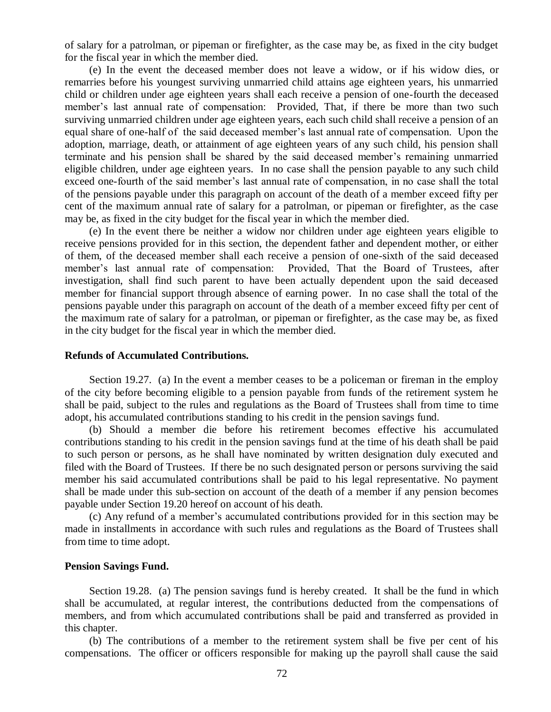of salary for a patrolman, or pipeman or firefighter, as the case may be, as fixed in the city budget for the fiscal year in which the member died.

(e) In the event the deceased member does not leave a widow, or if his widow dies, or remarries before his youngest surviving unmarried child attains age eighteen years, his unmarried child or children under age eighteen years shall each receive a pension of one-fourth the deceased member's last annual rate of compensation: Provided, That, if there be more than two such surviving unmarried children under age eighteen years, each such child shall receive a pension of an equal share of one-half of the said deceased member's last annual rate of compensation. Upon the adoption, marriage, death, or attainment of age eighteen years of any such child, his pension shall terminate and his pension shall be shared by the said deceased member's remaining unmarried eligible children, under age eighteen years. In no case shall the pension payable to any such child exceed one-fourth of the said member's last annual rate of compensation, in no case shall the total of the pensions payable under this paragraph on account of the death of a member exceed fifty per cent of the maximum annual rate of salary for a patrolman, or pipeman or firefighter, as the case may be, as fixed in the city budget for the fiscal year in which the member died.

(e) In the event there be neither a widow nor children under age eighteen years eligible to receive pensions provided for in this section, the dependent father and dependent mother, or either of them, of the deceased member shall each receive a pension of one-sixth of the said deceased member's last annual rate of compensation: Provided, That the Board of Trustees, after investigation, shall find such parent to have been actually dependent upon the said deceased member for financial support through absence of earning power. In no case shall the total of the pensions payable under this paragraph on account of the death of a member exceed fifty per cent of the maximum rate of salary for a patrolman, or pipeman or firefighter, as the case may be, as fixed in the city budget for the fiscal year in which the member died.

#### **Refunds of Accumulated Contributions.**

Section 19.27. (a) In the event a member ceases to be a policeman or fireman in the employ of the city before becoming eligible to a pension payable from funds of the retirement system he shall be paid, subject to the rules and regulations as the Board of Trustees shall from time to time adopt, his accumulated contributions standing to his credit in the pension savings fund.

(b) Should a member die before his retirement becomes effective his accumulated contributions standing to his credit in the pension savings fund at the time of his death shall be paid to such person or persons, as he shall have nominated by written designation duly executed and filed with the Board of Trustees. If there be no such designated person or persons surviving the said member his said accumulated contributions shall be paid to his legal representative. No payment shall be made under this sub-section on account of the death of a member if any pension becomes payable under Section 19.20 hereof on account of his death.

(c) Any refund of a member's accumulated contributions provided for in this section may be made in installments in accordance with such rules and regulations as the Board of Trustees shall from time to time adopt.

#### **Pension Savings Fund.**

Section 19.28. (a) The pension savings fund is hereby created. It shall be the fund in which shall be accumulated, at regular interest, the contributions deducted from the compensations of members, and from which accumulated contributions shall be paid and transferred as provided in this chapter.

(b) The contributions of a member to the retirement system shall be five per cent of his compensations. The officer or officers responsible for making up the payroll shall cause the said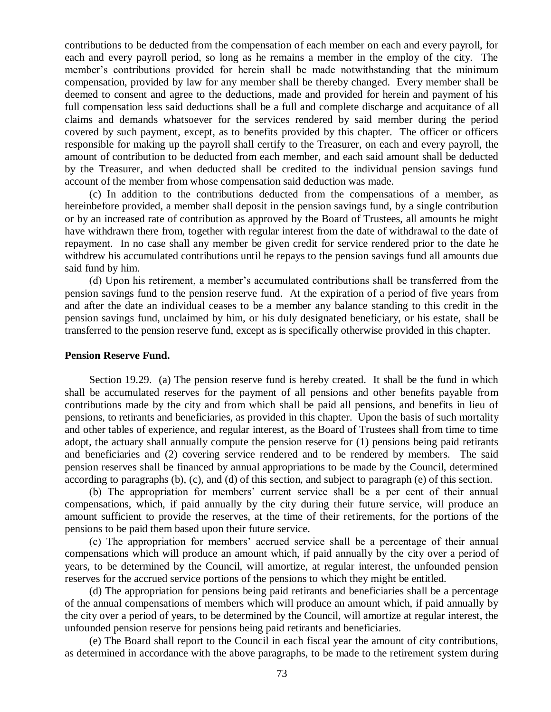contributions to be deducted from the compensation of each member on each and every payroll, for each and every payroll period, so long as he remains a member in the employ of the city. The member's contributions provided for herein shall be made notwithstanding that the minimum compensation, provided by law for any member shall be thereby changed. Every member shall be deemed to consent and agree to the deductions, made and provided for herein and payment of his full compensation less said deductions shall be a full and complete discharge and acquitance of all claims and demands whatsoever for the services rendered by said member during the period covered by such payment, except, as to benefits provided by this chapter. The officer or officers responsible for making up the payroll shall certify to the Treasurer, on each and every payroll, the amount of contribution to be deducted from each member, and each said amount shall be deducted by the Treasurer, and when deducted shall be credited to the individual pension savings fund account of the member from whose compensation said deduction was made.

(c) In addition to the contributions deducted from the compensations of a member, as hereinbefore provided, a member shall deposit in the pension savings fund, by a single contribution or by an increased rate of contribution as approved by the Board of Trustees, all amounts he might have withdrawn there from, together with regular interest from the date of withdrawal to the date of repayment. In no case shall any member be given credit for service rendered prior to the date he withdrew his accumulated contributions until he repays to the pension savings fund all amounts due said fund by him.

(d) Upon his retirement, a member's accumulated contributions shall be transferred from the pension savings fund to the pension reserve fund. At the expiration of a period of five years from and after the date an individual ceases to be a member any balance standing to this credit in the pension savings fund, unclaimed by him, or his duly designated beneficiary, or his estate, shall be transferred to the pension reserve fund, except as is specifically otherwise provided in this chapter.

#### **Pension Reserve Fund.**

Section 19.29. (a) The pension reserve fund is hereby created. It shall be the fund in which shall be accumulated reserves for the payment of all pensions and other benefits payable from contributions made by the city and from which shall be paid all pensions, and benefits in lieu of pensions, to retirants and beneficiaries, as provided in this chapter. Upon the basis of such mortality and other tables of experience, and regular interest, as the Board of Trustees shall from time to time adopt, the actuary shall annually compute the pension reserve for (1) pensions being paid retirants and beneficiaries and (2) covering service rendered and to be rendered by members. The said pension reserves shall be financed by annual appropriations to be made by the Council, determined according to paragraphs (b), (c), and (d) of this section, and subject to paragraph (e) of this section.

(b) The appropriation for members' current service shall be a per cent of their annual compensations, which, if paid annually by the city during their future service, will produce an amount sufficient to provide the reserves, at the time of their retirements, for the portions of the pensions to be paid them based upon their future service.

(c) The appropriation for members' accrued service shall be a percentage of their annual compensations which will produce an amount which, if paid annually by the city over a period of years, to be determined by the Council, will amortize, at regular interest, the unfounded pension reserves for the accrued service portions of the pensions to which they might be entitled.

(d) The appropriation for pensions being paid retirants and beneficiaries shall be a percentage of the annual compensations of members which will produce an amount which, if paid annually by the city over a period of years, to be determined by the Council, will amortize at regular interest, the unfounded pension reserve for pensions being paid retirants and beneficiaries.

(e) The Board shall report to the Council in each fiscal year the amount of city contributions, as determined in accordance with the above paragraphs, to be made to the retirement system during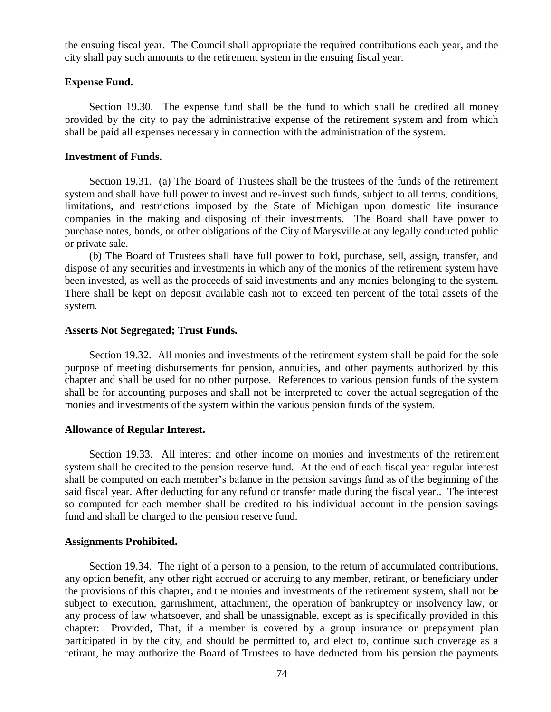the ensuing fiscal year. The Council shall appropriate the required contributions each year, and the city shall pay such amounts to the retirement system in the ensuing fiscal year.

### **Expense Fund.**

Section 19.30. The expense fund shall be the fund to which shall be credited all money provided by the city to pay the administrative expense of the retirement system and from which shall be paid all expenses necessary in connection with the administration of the system.

#### **Investment of Funds.**

Section 19.31. (a) The Board of Trustees shall be the trustees of the funds of the retirement system and shall have full power to invest and re-invest such funds, subject to all terms, conditions, limitations, and restrictions imposed by the State of Michigan upon domestic life insurance companies in the making and disposing of their investments. The Board shall have power to purchase notes, bonds, or other obligations of the City of Marysville at any legally conducted public or private sale.

(b) The Board of Trustees shall have full power to hold, purchase, sell, assign, transfer, and dispose of any securities and investments in which any of the monies of the retirement system have been invested, as well as the proceeds of said investments and any monies belonging to the system. There shall be kept on deposit available cash not to exceed ten percent of the total assets of the system.

#### **Asserts Not Segregated; Trust Funds.**

Section 19.32. All monies and investments of the retirement system shall be paid for the sole purpose of meeting disbursements for pension, annuities, and other payments authorized by this chapter and shall be used for no other purpose. References to various pension funds of the system shall be for accounting purposes and shall not be interpreted to cover the actual segregation of the monies and investments of the system within the various pension funds of the system.

### **Allowance of Regular Interest.**

Section 19.33. All interest and other income on monies and investments of the retirement system shall be credited to the pension reserve fund. At the end of each fiscal year regular interest shall be computed on each member's balance in the pension savings fund as of the beginning of the said fiscal year. After deducting for any refund or transfer made during the fiscal year.. The interest so computed for each member shall be credited to his individual account in the pension savings fund and shall be charged to the pension reserve fund.

#### **Assignments Prohibited.**

Section 19.34. The right of a person to a pension, to the return of accumulated contributions, any option benefit, any other right accrued or accruing to any member, retirant, or beneficiary under the provisions of this chapter, and the monies and investments of the retirement system, shall not be subject to execution, garnishment, attachment, the operation of bankruptcy or insolvency law, or any process of law whatsoever, and shall be unassignable, except as is specifically provided in this chapter: Provided, That, if a member is covered by a group insurance or prepayment plan participated in by the city, and should be permitted to, and elect to, continue such coverage as a retirant, he may authorize the Board of Trustees to have deducted from his pension the payments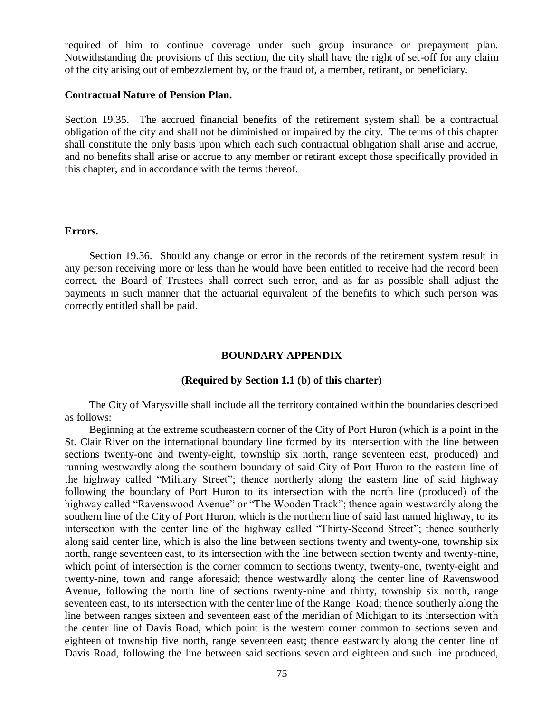required of him to continue coverage under such group insurance or prepayment plan. Notwithstanding the provisions of this section, the city shall have the right of set-off for any claim of the city arising out of embezzlement by, or the fraud of, a member, retirant, or beneficiary.

## **Contractual Nature of Pension Plan.**

Section 19.35. The accrued financial benefits of the retirement system shall be a contractual obligation of the city and shall not be diminished or impaired by the city. The terms of this chapter shall constitute the only basis upon which each such contractual obligation shall arise and accrue, and no benefits shall arise or accrue to any member or retirant except those specifically provided in this chapter, and in accordance with the terms thereof.

#### **Errors.**

Section 19.36. Should any change or error in the records of the retirement system result in any person receiving more or less than he would have been entitled to receive had the record been correct, the Board of Trustees shall correct such error, and as far as possible shall adjust the payments in such manner that the actuarial equivalent of the benefits to which such person was correctly entitled shall be paid.

### **BOUNDARY APPENDIX**

### **(Required by Section 1.1 (b) of this charter)**

The City of Marysville shall include all the territory contained within the boundaries described as follows:

Beginning at the extreme southeastern corner of the City of Port Huron (which is a point in the St. Clair River on the international boundary line formed by its intersection with the line between sections twenty-one and twenty-eight, township six north, range seventeen east, produced) and running westwardly along the southern boundary of said City of Port Huron to the eastern line of the highway called "Military Street"; thence northerly along the eastern line of said highway following the boundary of Port Huron to its intersection with the north line (produced) of the highway called "Ravenswood Avenue" or "The Wooden Track"; thence again westwardly along the southern line of the City of Port Huron, which is the northern line of said last named highway, to its intersection with the center line of the highway called "Thirty-Second Street"; thence southerly along said center line, which is also the line between sections twenty and twenty-one, township six north, range seventeen east, to its intersection with the line between section twenty and twenty-nine, which point of intersection is the corner common to sections twenty, twenty-one, twenty-eight and twenty-nine, town and range aforesaid; thence westwardly along the center line of Ravenswood Avenue, following the north line of sections twenty-nine and thirty, township six north, range seventeen east, to its intersection with the center line of the Range Road; thence southerly along the line between ranges sixteen and seventeen east of the meridian of Michigan to its intersection with the center line of Davis Road, which point is the western corner common to sections seven and eighteen of township five north, range seventeen east; thence eastwardly along the center line of Davis Road, following the line between said sections seven and eighteen and such line produced,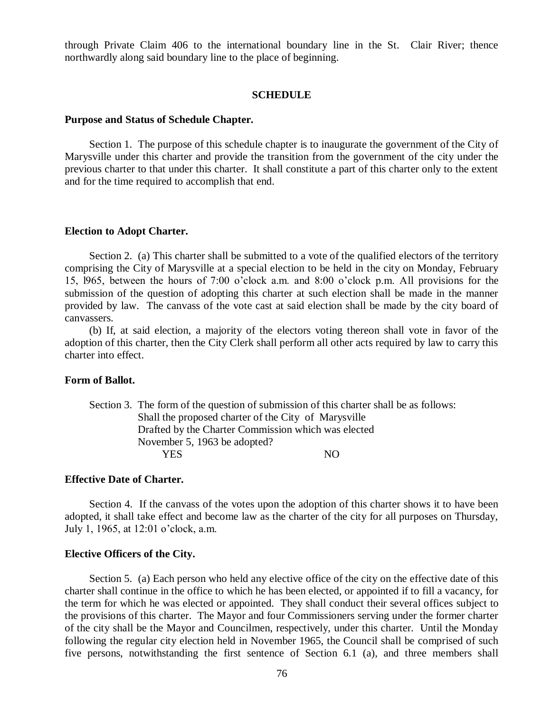through Private Claim 406 to the international boundary line in the St. Clair River; thence northwardly along said boundary line to the place of beginning.

### **SCHEDULE**

#### **Purpose and Status of Schedule Chapter.**

Section 1. The purpose of this schedule chapter is to inaugurate the government of the City of Marysville under this charter and provide the transition from the government of the city under the previous charter to that under this charter. It shall constitute a part of this charter only to the extent and for the time required to accomplish that end.

#### **Election to Adopt Charter.**

Section 2. (a) This charter shall be submitted to a vote of the qualified electors of the territory comprising the City of Marysville at a special election to be held in the city on Monday, February 15, l965, between the hours of 7:00 o'clock a.m. and 8:00 o'clock p.m. All provisions for the submission of the question of adopting this charter at such election shall be made in the manner provided by law. The canvass of the vote cast at said election shall be made by the city board of canvassers.

(b) If, at said election, a majority of the electors voting thereon shall vote in favor of the adoption of this charter, then the City Clerk shall perform all other acts required by law to carry this charter into effect.

#### **Form of Ballot.**

Section 3. The form of the question of submission of this charter shall be as follows: Shall the proposed charter of the City of Marysville Drafted by the Charter Commission which was elected November 5, 1963 be adopted? YES NO

#### **Effective Date of Charter.**

Section 4. If the canvass of the votes upon the adoption of this charter shows it to have been adopted, it shall take effect and become law as the charter of the city for all purposes on Thursday, July 1, 1965, at 12:01 o'clock, a.m.

#### **Elective Officers of the City.**

Section 5. (a) Each person who held any elective office of the city on the effective date of this charter shall continue in the office to which he has been elected, or appointed if to fill a vacancy, for the term for which he was elected or appointed. They shall conduct their several offices subject to the provisions of this charter. The Mayor and four Commissioners serving under the former charter of the city shall be the Mayor and Councilmen, respectively, under this charter. Until the Monday following the regular city election held in November 1965, the Council shall be comprised of such five persons, notwithstanding the first sentence of Section 6.1 (a), and three members shall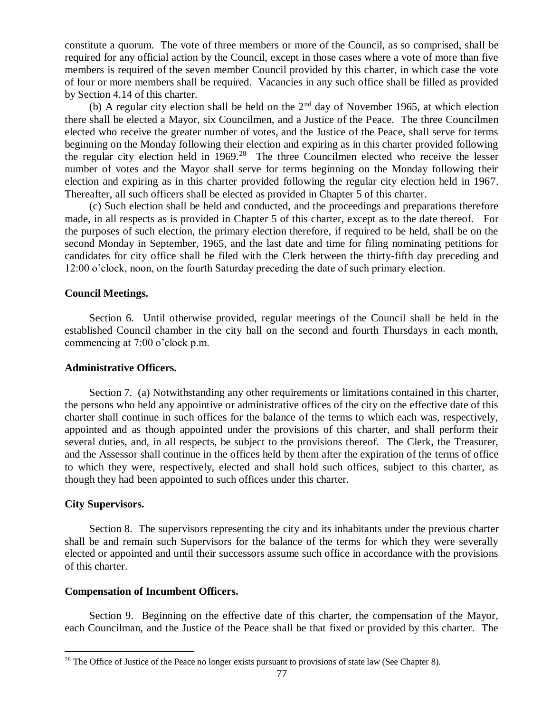constitute a quorum. The vote of three members or more of the Council, as so comprised, shall be required for any official action by the Council, except in those cases where a vote of more than five members is required of the seven member Council provided by this charter, in which case the vote of four or more members shall be required. Vacancies in any such office shall be filled as provided by Section 4.14 of this charter.

(b) A regular city election shall be held on the  $2<sup>nd</sup>$  day of November 1965, at which election there shall be elected a Mayor, six Councilmen, and a Justice of the Peace. The three Councilmen elected who receive the greater number of votes, and the Justice of the Peace, shall serve for terms beginning on the Monday following their election and expiring as in this charter provided following the regular city election held in  $1969.^{28}$  The three Councilmen elected who receive the lesser number of votes and the Mayor shall serve for terms beginning on the Monday following their election and expiring as in this charter provided following the regular city election held in 1967. Thereafter, all such officers shall be elected as provided in Chapter 5 of this charter.

(c) Such election shall be held and conducted, and the proceedings and preparations therefore made, in all respects as is provided in Chapter 5 of this charter, except as to the date thereof. For the purposes of such election, the primary election therefore, if required to be held, shall be on the second Monday in September, 1965, and the last date and time for filing nominating petitions for candidates for city office shall be filed with the Clerk between the thirty-fifth day preceding and 12:00 o'clock, noon, on the fourth Saturday preceding the date of such primary election.

### **Council Meetings.**

Section 6. Until otherwise provided, regular meetings of the Council shall be held in the established Council chamber in the city hall on the second and fourth Thursdays in each month, commencing at 7:00 o'clock p.m.

### **Administrative Officers.**

Section 7. (a) Notwithstanding any other requirements or limitations contained in this charter, the persons who held any appointive or administrative offices of the city on the effective date of this charter shall continue in such offices for the balance of the terms to which each was, respectively, appointed and as though appointed under the provisions of this charter, and shall perform their several duties, and, in all respects, be subject to the provisions thereof. The Clerk, the Treasurer, and the Assessor shall continue in the offices held by them after the expiration of the terms of office to which they were, respectively, elected and shall hold such offices, subject to this charter, as though they had been appointed to such offices under this charter.

# **City Supervisors.**

 $\overline{a}$ 

Section 8. The supervisors representing the city and its inhabitants under the previous charter shall be and remain such Supervisors for the balance of the terms for which they were severally elected or appointed and until their successors assume such office in accordance with the provisions of this charter.

### **Compensation of Incumbent Officers.**

Section 9. Beginning on the effective date of this charter, the compensation of the Mayor, each Councilman, and the Justice of the Peace shall be that fixed or provided by this charter. The

<sup>&</sup>lt;sup>28</sup> The Office of Justice of the Peace no longer exists pursuant to provisions of state law (See Chapter 8).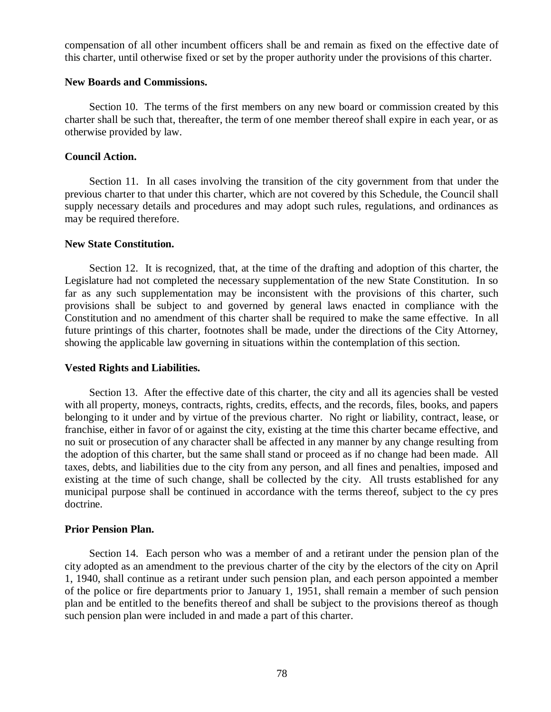compensation of all other incumbent officers shall be and remain as fixed on the effective date of this charter, until otherwise fixed or set by the proper authority under the provisions of this charter.

### **New Boards and Commissions.**

Section 10. The terms of the first members on any new board or commission created by this charter shall be such that, thereafter, the term of one member thereof shall expire in each year, or as otherwise provided by law.

### **Council Action.**

Section 11. In all cases involving the transition of the city government from that under the previous charter to that under this charter, which are not covered by this Schedule, the Council shall supply necessary details and procedures and may adopt such rules, regulations, and ordinances as may be required therefore.

## **New State Constitution.**

Section 12. It is recognized, that, at the time of the drafting and adoption of this charter, the Legislature had not completed the necessary supplementation of the new State Constitution. In so far as any such supplementation may be inconsistent with the provisions of this charter, such provisions shall be subject to and governed by general laws enacted in compliance with the Constitution and no amendment of this charter shall be required to make the same effective. In all future printings of this charter, footnotes shall be made, under the directions of the City Attorney, showing the applicable law governing in situations within the contemplation of this section.

### **Vested Rights and Liabilities.**

Section 13. After the effective date of this charter, the city and all its agencies shall be vested with all property, moneys, contracts, rights, credits, effects, and the records, files, books, and papers belonging to it under and by virtue of the previous charter. No right or liability, contract, lease, or franchise, either in favor of or against the city, existing at the time this charter became effective, and no suit or prosecution of any character shall be affected in any manner by any change resulting from the adoption of this charter, but the same shall stand or proceed as if no change had been made. All taxes, debts, and liabilities due to the city from any person, and all fines and penalties, imposed and existing at the time of such change, shall be collected by the city. All trusts established for any municipal purpose shall be continued in accordance with the terms thereof, subject to the cy pres doctrine.

# **Prior Pension Plan.**

Section 14. Each person who was a member of and a retirant under the pension plan of the city adopted as an amendment to the previous charter of the city by the electors of the city on April 1, 1940, shall continue as a retirant under such pension plan, and each person appointed a member of the police or fire departments prior to January 1, 1951, shall remain a member of such pension plan and be entitled to the benefits thereof and shall be subject to the provisions thereof as though such pension plan were included in and made a part of this charter.